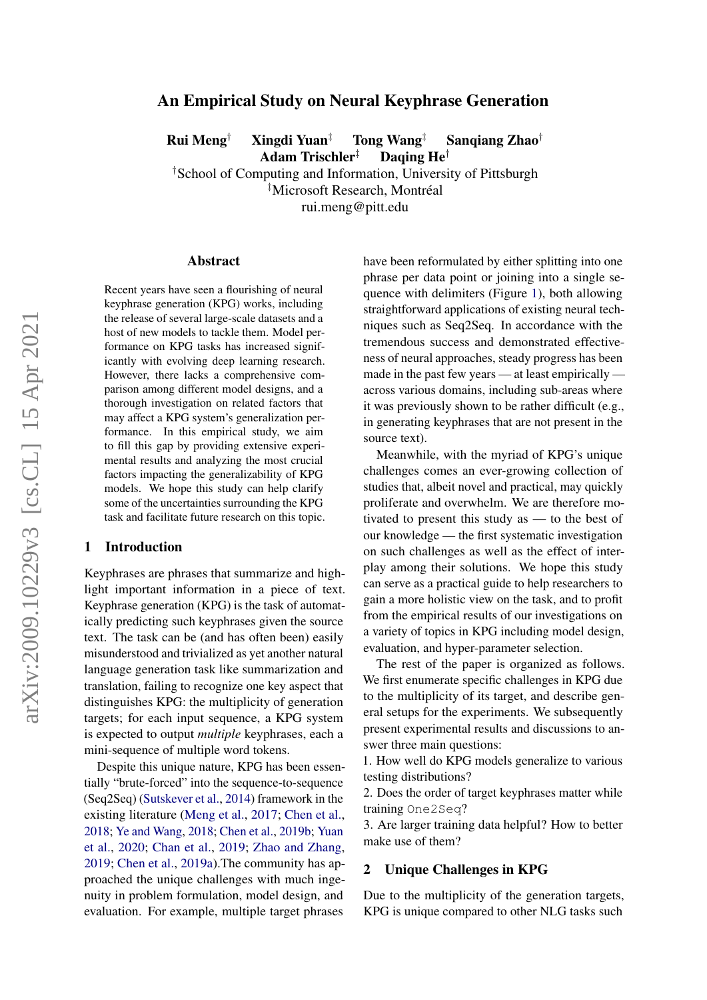# arXiv:2009.10229v3 [cs.CL] 15 Apr 2021 arXiv:2009.10229v3 [cs.CL] 15 Apr 2021

# An Empirical Study on Neural Keyphrase Generation

Rui Meng<sup>†</sup> Xingdi Yuan<sup>‡</sup> Tong Wang<sup>‡</sup> Sanqiang Zhao<sup>†</sup>

Adam Trischler<sup>‡</sup> Daqing He<sup>†</sup>

†School of Computing and Information, University of Pittsburgh

‡Microsoft Research, Montréal

rui.meng@pitt.edu

### Abstract

Recent years have seen a flourishing of neural keyphrase generation (KPG) works, including the release of several large-scale datasets and a host of new models to tackle them. Model performance on KPG tasks has increased significantly with evolving deep learning research. However, there lacks a comprehensive comparison among different model designs, and a thorough investigation on related factors that may affect a KPG system's generalization performance. In this empirical study, we aim to fill this gap by providing extensive experimental results and analyzing the most crucial factors impacting the generalizability of KPG models. We hope this study can help clarify some of the uncertainties surrounding the KPG task and facilitate future research on this topic.

### <span id="page-0-1"></span>1 Introduction

Keyphrases are phrases that summarize and highlight important information in a piece of text. Keyphrase generation (KPG) is the task of automatically predicting such keyphrases given the source text. The task can be (and has often been) easily misunderstood and trivialized as yet another natural language generation task like summarization and translation, failing to recognize one key aspect that distinguishes KPG: the multiplicity of generation targets; for each input sequence, a KPG system is expected to output *multiple* keyphrases, each a mini-sequence of multiple word tokens.

Despite this unique nature, KPG has been essentially "brute-forced" into the sequence-to-sequence (Seq2Seq) [\(Sutskever et al.,](#page-10-0) [2014\)](#page-10-0) framework in the existing literature [\(Meng et al.,](#page-9-0) [2017;](#page-9-0) [Chen et al.,](#page-8-0) [2018;](#page-8-0) [Ye and Wang,](#page-10-1) [2018;](#page-10-1) [Chen et al.,](#page-9-1) [2019b;](#page-9-1) [Yuan](#page-10-2) [et al.,](#page-10-2) [2020;](#page-10-2) [Chan et al.,](#page-8-1) [2019;](#page-8-1) [Zhao and Zhang,](#page-10-3) [2019;](#page-10-3) [Chen et al.,](#page-8-2) [2019a\)](#page-8-2).The community has approached the unique challenges with much ingenuity in problem formulation, model design, and evaluation. For example, multiple target phrases

have been reformulated by either splitting into one phrase per data point or joining into a single sequence with delimiters (Figure [1\)](#page-1-0), both allowing straightforward applications of existing neural techniques such as Seq2Seq. In accordance with the tremendous success and demonstrated effectiveness of neural approaches, steady progress has been made in the past few years — at least empirically across various domains, including sub-areas where it was previously shown to be rather difficult (e.g., in generating keyphrases that are not present in the source text).

Meanwhile, with the myriad of KPG's unique challenges comes an ever-growing collection of studies that, albeit novel and practical, may quickly proliferate and overwhelm. We are therefore motivated to present this study as — to the best of our knowledge — the first systematic investigation on such challenges as well as the effect of interplay among their solutions. We hope this study can serve as a practical guide to help researchers to gain a more holistic view on the task, and to profit from the empirical results of our investigations on a variety of topics in KPG including model design, evaluation, and hyper-parameter selection.

The rest of the paper is organized as follows. We first enumerate specific challenges in KPG due to the multiplicity of its target, and describe general setups for the experiments. We subsequently present experimental results and discussions to answer three main questions:

1. How well do KPG models generalize to various testing distributions?

2. Does the order of target keyphrases matter while training One2Seq?

3. Are larger training data helpful? How to better make use of them?

### <span id="page-0-0"></span>2 Unique Challenges in KPG

Due to the multiplicity of the generation targets, KPG is unique compared to other NLG tasks such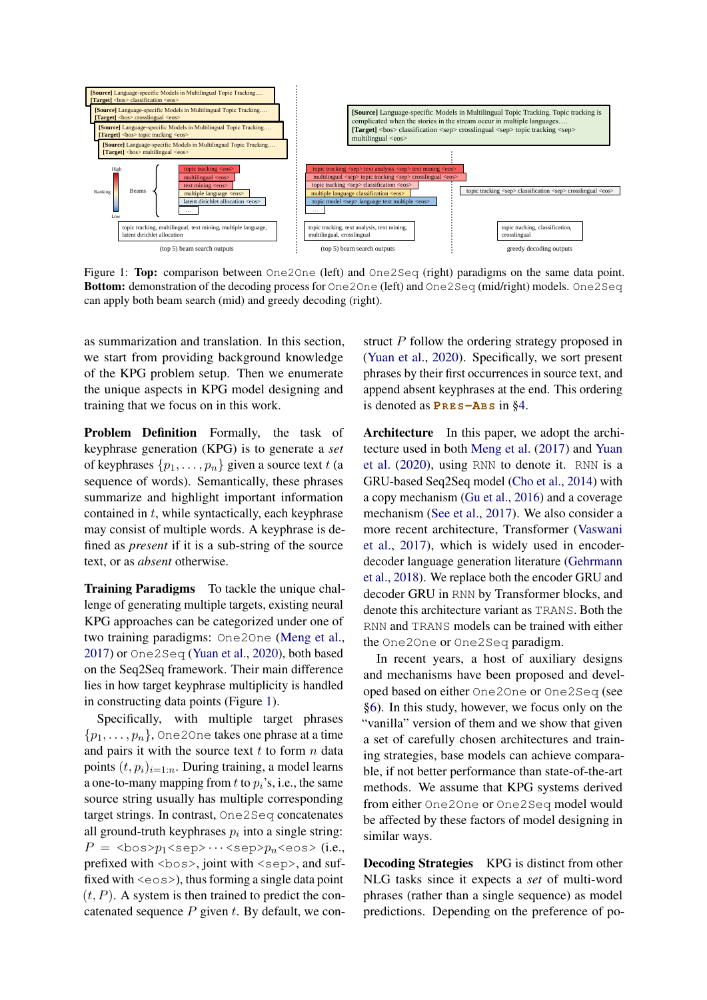<span id="page-1-0"></span>

can apply both beam search (mid) and greedy decoding (right). Figure 1: Top: comparison between One2One (left) and One2Seq (right) paradigms on the same data point. Bottom: demonstration of the decoding process for One2One (left) and One2Seq (mid/right) models. One2Seq

as summarization and translation. In this section, we start from providing background knowledge of the KPG problem setup. Then we enumerate the unique aspects in KPG model designing and training that we focus on in this work.

Problem Definition Formally, the task of keyphrase generation (KPG) is to generate a *set* of keyphrases  $\{p_1, \ldots, p_n\}$  given a source text t (a sequence of words). Semantically, these phrases summarize and highlight important information contained in  $t$ , while syntactically, each keyphrase may consist of multiple words. A keyphrase is defined as *present* if it is a sub-string of the source text, or as *absent* otherwise.

Training Paradigms To tackle the unique challenge of generating multiple targets, existing neural KPG approaches can be categorized under one of two training paradigms: One2One [\(Meng et al.,](#page-9-0) [2017\)](#page-9-0) or One2Seq [\(Yuan et al.,](#page-10-2) [2020\)](#page-10-2), both based on the Seq2Seq framework. Their main difference lies in how target keyphrase multiplicity is handled in constructing data points (Figure [1\)](#page-1-0).

Specifically, with multiple target phrases  $\{p_1, \ldots, p_n\}$ , One 20 ne takes one phrase at a time and pairs it with the source text  $t$  to form  $n$  data points  $(t, p_i)_{i=1:n}$ . During training, a model learns a one-to-many mapping from t to  $p_i$ 's, i.e., the same source string usually has multiple corresponding target strings. In contrast, One2Seq concatenates all ground-truth keyphrases  $p_i$  into a single string:  $P =$  <br/>bos> $p_1$ <sep> $\cdots$ <sep> $p_n$ <eos> (i.e., prefixed with  $\langle$ bos $\rangle$ , joint with  $\langle$ sep $\rangle$ , and suffixed with  $\leq \cos \geq 1$ , thus forming a single data point  $(t, P)$ . A system is then trained to predict the concatenated sequence  $P$  given  $t$ . By default, we construct P follow the ordering strategy proposed in [\(Yuan et al.,](#page-10-2) [2020\)](#page-10-2). Specifically, we sort present phrases by their first occurrences in source text, and append absent keyphrases at the end. This ordering is denoted as  $P$ **RES** $-\text{AB}$ **S** in [§4.](#page-4-0)

Architecture In this paper, we adopt the architecture used in both [Meng et al.](#page-9-0) [\(2017\)](#page-9-0) and [Yuan](#page-10-2) [et al.](#page-10-2) [\(2020\)](#page-10-2), using RNN to denote it. RNN is a GRU-based Seq2Seq model [\(Cho et al.,](#page-9-2) [2014\)](#page-9-2) with a copy mechanism [\(Gu et al.,](#page-9-3) [2016\)](#page-9-3) and a coverage mechanism [\(See et al.,](#page-9-4) [2017\)](#page-9-4). We also consider a more recent architecture, Transformer [\(Vaswani](#page-10-4) [et al.,](#page-10-4) [2017\)](#page-10-4), which is widely used in encoderdecoder language generation literature [\(Gehrmann](#page-9-5) [et al.,](#page-9-5) [2018\)](#page-9-5). We replace both the encoder GRU and decoder GRU in RNN by Transformer blocks, and denote this architecture variant as TRANS. Both the RNN and TRANS models can be trained with either the One2One or One2Seq paradigm.

In recent years, a host of auxiliary designs and mechanisms have been proposed and developed based on either One2One or One2Seq (see [§6\)](#page-7-0). In this study, however, we focus only on the "vanilla" version of them and we show that given a set of carefully chosen architectures and training strategies, base models can achieve comparable, if not better performance than state-of-the-art methods. We assume that KPG systems derived from either One2One or One2Seq model would be affected by these factors of model designing in similar ways.

Decoding Strategies KPG is distinct from other NLG tasks since it expects a *set* of multi-word phrases (rather than a single sequence) as model predictions. Depending on the preference of po-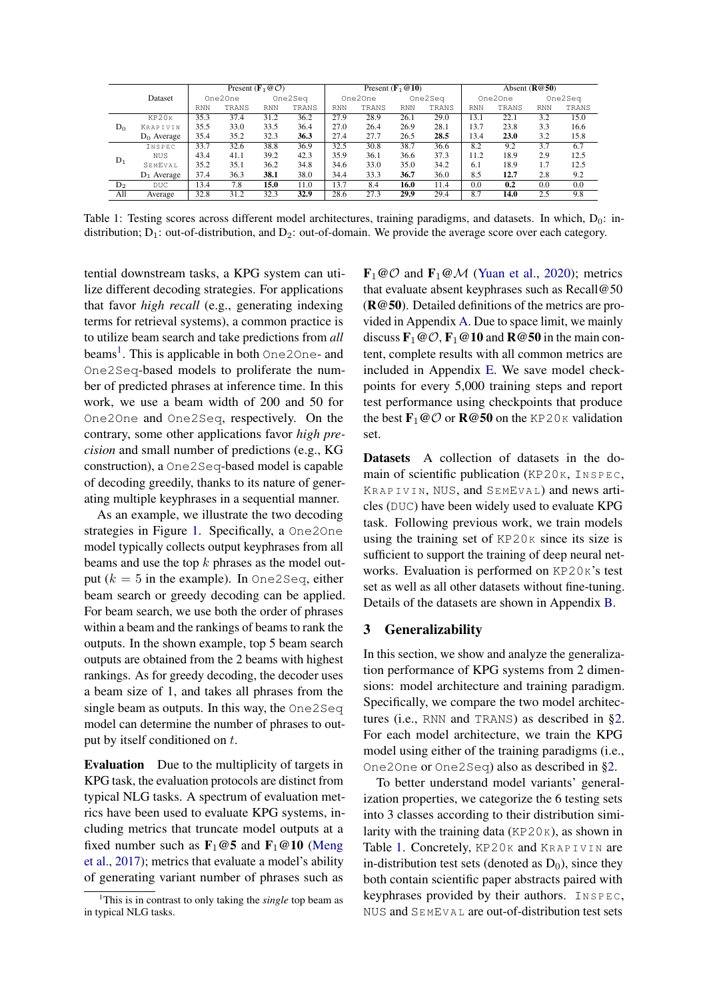<span id="page-2-1"></span>

|                |               |      |         | Present ( $\mathbf{F}_1 \otimes \mathcal{O}$ ) |         |            | Present $(\mathbf{F}_1 \otimes \mathbf{10})$ |      |         |            |         | Absent $(R@50)$ |         |
|----------------|---------------|------|---------|------------------------------------------------|---------|------------|----------------------------------------------|------|---------|------------|---------|-----------------|---------|
|                | Dataset       |      | One2One |                                                | One2Seq |            | One2One                                      |      | One2Seq |            | One2One |                 | One2Seq |
|                |               | RNN  | TRANS   | <b>RNN</b>                                     | TRANS   | <b>RNN</b> | TRANS                                        | RNN  | TRANS   | <b>RNN</b> | TRANS   | <b>RNN</b>      | TRANS   |
|                | KP20K         | 35.3 | 37.4    | 31.2                                           | 36.2    | 27.9       | 28.9                                         | 26.1 | 29.0    | 13.1       | 22.1    | 3.2             | 15.0    |
| $D_0$          | KRAPIVIN      | 35.5 | 33.0    | 33.5                                           | 36.4    | 27.0       | 26.4                                         | 26.9 | 28.1    | 13.7       | 23.8    | 3.3             | 16.6    |
|                | $D_0$ Average | 35.4 | 35.2    | 32.3                                           | 36.3    | 27.4       | 27.7                                         | 26.5 | 28.5    | 13.4       | 23.0    | 3.2             | 15.8    |
|                | INSPEC        | 33.7 | 32.6    | 38.8                                           | 36.9    | 32.5       | 30.8                                         | 38.7 | 36.6    | 8.2        | 9.2     | 3.7             | 6.7     |
| $D_1$          | <b>NUS</b>    | 43.4 | 41.1    | 39.2                                           | 42.3    | 35.9       | 36.1                                         | 36.6 | 37.3    | 11.2       | 18.9    | 2.9             | 12.5    |
|                | SEMEVAL       | 35.2 | 35.1    | 36.2                                           | 34.8    | 34.6       | 33.0                                         | 35.0 | 34.2    | 6.1        | 18.9    | 1.7             | 12.5    |
|                | $D_1$ Average | 37.4 | 36.3    | 38.1                                           | 38.0    | 34.4       | 33.3                                         | 36.7 | 36.0    | 8.5        | 12.7    | 2.8             | 9.2     |
| D <sub>2</sub> | <b>DUC</b>    | 13.4 | 7.8     | 15.0                                           | 11.0    | 13.7       | 8.4                                          | 16.0 | 11.4    | 0.0        | 0.2     | 0.0             | 0.0     |
| All            | Average       | 32.8 | 31.2    | 32.3                                           | 32.9    | 28.6       | 27.3                                         | 29.9 | 29.4    | 8.7        | 14.0    | 2.5             | 9.8     |

Table 1: Testing scores across different model architectures, training paradigms, and datasets. In which,  $D_0$ : indistribution;  $D_1$ : out-of-distribution, and  $D_2$ : out-of-domain. We provide the average score over each category.

tential downstream tasks, a KPG system can utilize different decoding strategies. For applications that favor *high recall* (e.g., generating indexing terms for retrieval systems), a common practice is to utilize beam search and take predictions from *all* beams<sup>[1](#page-2-0)</sup>. This is applicable in both One2One- and One2Seq-based models to proliferate the number of predicted phrases at inference time. In this work, we use a beam width of 200 and 50 for One2One and One2Seq, respectively. On the contrary, some other applications favor *high precision* and small number of predictions (e.g., KG construction), a One2Seq-based model is capable of decoding greedily, thanks to its nature of generating multiple keyphrases in a sequential manner.

As an example, we illustrate the two decoding strategies in Figure [1.](#page-1-0) Specifically, a One2One model typically collects output keyphrases from all beams and use the top  $k$  phrases as the model output  $(k = 5$  in the example). In One2Seq, either beam search or greedy decoding can be applied. For beam search, we use both the order of phrases within a beam and the rankings of beams to rank the outputs. In the shown example, top 5 beam search outputs are obtained from the 2 beams with highest rankings. As for greedy decoding, the decoder uses a beam size of 1, and takes all phrases from the single beam as outputs. In this way, the One2Seq model can determine the number of phrases to output by itself conditioned on t.

Evaluation Due to the multiplicity of targets in KPG task, the evaluation protocols are distinct from typical NLG tasks. A spectrum of evaluation metrics have been used to evaluate KPG systems, including metrics that truncate model outputs at a fixed number such as  $\mathbf{F}_1 \textcircled{0}5$  and  $\mathbf{F}_1 \textcircled{0}10$  [\(Meng](#page-9-0) [et al.,](#page-9-0) [2017\)](#page-9-0); metrics that evaluate a model's ability of generating variant number of phrases such as

 $\mathbf{F}_1 \text{ } \text{ } \text{ } \mathcal{O} \text{ }$  and  $\mathbf{F}_1 \text{ } \text{ } \text{ } \mathcal{O} \text{ } \text{ } \mathcal{M}$  [\(Yuan et al.,](#page-10-2) [2020\)](#page-10-2); metrics that evaluate absent keyphrases such as Recall@50 (R@50). Detailed definitions of the metrics are provided in Appendix [A.](#page-11-0) Due to space limit, we mainly discuss  $\mathbf{F}_1 \omega \mathcal{O}, \mathbf{F}_1 \omega \mathbf{10}$  and  $\mathbf{R} \omega \mathbf{50}$  in the main content, complete results with all common metrics are included in Appendix [E.](#page-13-0) We save model checkpoints for every 5,000 training steps and report test performance using checkpoints that produce the best  $\mathbf{F}_1 @ O$  or  $\mathbf{R} @ 50$  on the KP20K validation set.

Datasets A collection of datasets in the domain of scientific publication (KP20K, INSPEC, KRAPIVIN, NUS, and SEMEVAL) and news articles (DUC) have been widely used to evaluate KPG task. Following previous work, we train models using the training set of  $KP20K$  since its size is sufficient to support the training of deep neural networks. Evaluation is performed on KP20K's test set as well as all other datasets without fine-tuning. Details of the datasets are shown in Appendix [B.](#page-11-1)

### <span id="page-2-2"></span>3 Generalizability

In this section, we show and analyze the generalization performance of KPG systems from 2 dimensions: model architecture and training paradigm. Specifically, we compare the two model architectures (i.e., RNN and TRANS) as described in [§2.](#page-0-0) For each model architecture, we train the KPG model using either of the training paradigms (i.e., One2One or One2Seq) also as described in [§2.](#page-0-0)

To better understand model variants' generalization properties, we categorize the 6 testing sets into 3 classes according to their distribution similarity with the training data ( $KP20K$ ), as shown in Table [1.](#page-2-1) Concretely, KP20K and KRAPIVIN are in-distribution test sets (denoted as  $D_0$ ), since they both contain scientific paper abstracts paired with keyphrases provided by their authors.  $INSPEC$ , NUS and SE MEV A L are out-of-distribution test sets

<span id="page-2-0"></span><sup>&</sup>lt;sup>1</sup>This is in contrast to only taking the *single* top beam as in typical NLG tasks.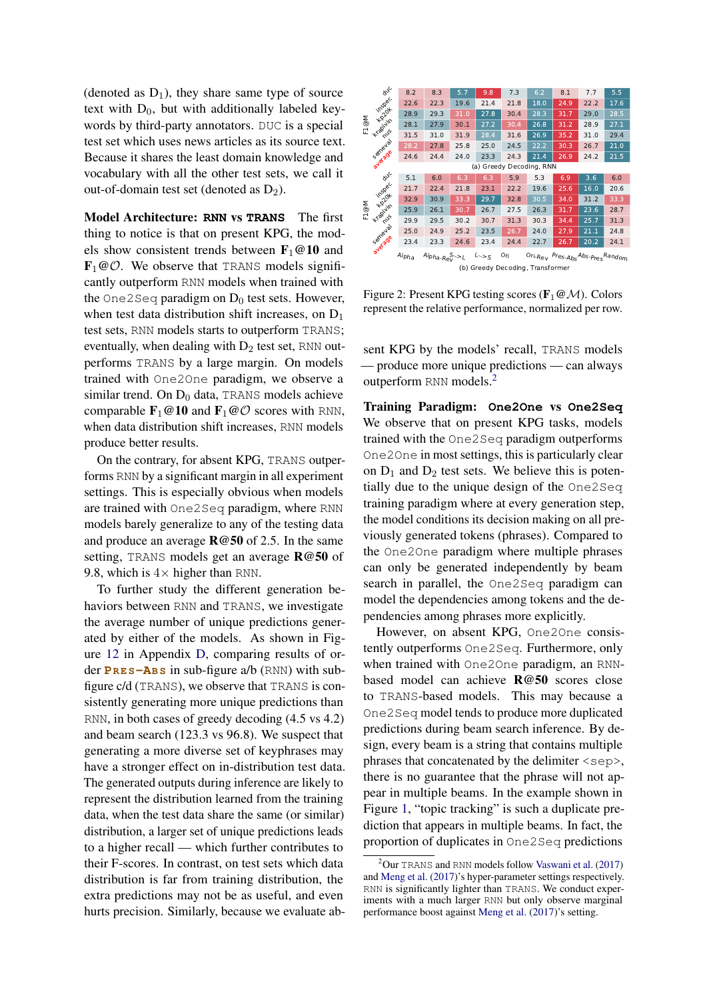(denoted as  $D_1$ ), they share same type of source text with  $D_0$ , but with additionally labeled keywords by third-party annotators. DUC is a special test set which uses news articles as its source text. Because it shares the least domain knowledge and vocabulary with all the other test sets, we call it out-of-domain test set (denoted as  $D_2$ ).

Model Architecture: **RNN** vs **TRANS** The first thing to notice is that on present KPG, the models show consistent trends between  $\mathbf{F}_1@10$  and  $\mathbf{F}_1 \textcircled{c} \mathcal{O}$ . We observe that TRANS models significantly outperform RNN models when trained with the One2Seq paradigm on  $D_0$  test sets. However, when test data distribution shift increases, on  $D_1$ test sets, RNN models starts to outperform TRANS; eventually, when dealing with  $D_2$  test set, RNN outperforms TRANS by a large margin. On models trained with One2One paradigm, we observe a similar trend. On  $D_0$  data, TRANS models achieve comparable  $\mathbf{F}_1 \otimes \mathbf{10}$  and  $\mathbf{F}_1 \otimes \mathcal{O}$  scores with RNN, when data distribution shift increases, RNN models produce better results.

On the contrary, for absent KPG, TRANS outperforms RNN by a significant margin in all experiment settings. This is especially obvious when models are trained with One2Seq paradigm, where RNN models barely generalize to any of the testing data and produce an average R@50 of 2.5. In the same setting, TRANS models get an average R@50 of 9.8, which is  $4 \times$  higher than RNN.

To further study the different generation behaviors between RNN and TRANS, we investigate the average number of unique predictions generated by either of the models. As shown in Figure [12](#page-21-0) in Appendix [D,](#page-13-1) comparing results of order **PR E S-AB S** in sub-figure a/b (RNN) with subfigure c/d (TRANS), we observe that TRANS is consistently generating more unique predictions than RNN, in both cases of greedy decoding (4.5 vs 4.2) and beam search (123.3 vs 96.8). We suspect that generating a more diverse set of keyphrases may have a stronger effect on in-distribution test data. The generated outputs during inference are likely to represent the distribution learned from the training data, when the test data share the same (or similar) distribution, a larger set of unique predictions leads to a higher recall — which further contributes to their F-scores. In contrast, on test sets which data distribution is far from training distribution, the extra predictions may not be as useful, and even hurts precision. Similarly, because we evaluate ab-

<span id="page-3-1"></span>

|      | <b>duc</b>                          | 8.2               | 8.3             | 5.7  | 9.8               | 7.3  | 6.2                                        | 8.1  | 7.7  | 5.5  |  |  |  |  |  |
|------|-------------------------------------|-------------------|-----------------|------|-------------------|------|--------------------------------------------|------|------|------|--|--|--|--|--|
|      | inspec                              | 22.6              | 22.3            | 19.6 | 21.4              | 21.8 | 18.0                                       | 24.9 | 22.2 | 17.6 |  |  |  |  |  |
|      | <b>Lol</b> ox                       | 28.9              | 29.3            | 31.0 | 27.8              | 30.4 | 28.3                                       | 31.7 | 29.0 | 28.5 |  |  |  |  |  |
| F1@M | Kapivin                             | 28.1              | 27.9            | 30.1 | 27.2              | 30.4 | 26.8                                       | 31.2 | 28.9 | 27.1 |  |  |  |  |  |
|      | mus                                 | 31.5              | 31.0            | 31.9 | 28.4              | 31.6 | 26.9                                       | 35.2 | 31.0 | 29.4 |  |  |  |  |  |
|      | Semeyal                             | 28.2              | 27.8            | 25.8 | 25.0              | 24.5 | 22.2                                       | 30.3 | 26.7 | 21.0 |  |  |  |  |  |
|      |                                     | 24.6              | 24.4            | 24.0 | 23.3              | 24.3 | 21.4                                       | 26.9 | 24.2 | 21.5 |  |  |  |  |  |
|      | average<br>(a) Greedy Decoding, RNN |                   |                 |      |                   |      |                                            |      |      |      |  |  |  |  |  |
|      | ave                                 | 5.1               | 6.0             | 6.3  | 6.3               | 5.9  | 5.3                                        | 6.9  | 3.6  | 6.0  |  |  |  |  |  |
|      | inspec                              | 21.7              | 22.4            | 21.8 | 23.1              | 22.2 | 19.6                                       | 25.6 | 16.0 | 20.6 |  |  |  |  |  |
|      | <b>Lol</b> ox                       | 32.9              | 30.9            | 33.3 | 29.7              | 32.8 | 30.5                                       | 34.0 | 31.2 | 33.3 |  |  |  |  |  |
| F1@M | Kapivin                             | 25.9              | 26.1            | 30.7 | 26.7              | 27.5 | 26.3                                       | 31.7 | 23.6 | 28.7 |  |  |  |  |  |
|      | mus                                 | 29.9              | 29.5            | 30.2 | 30.7              | 31.3 | 30.3                                       | 34.4 | 25.7 | 31.3 |  |  |  |  |  |
|      | Semeyal                             | 25.0              | 24.9            | 25.2 | 23.5              | 26.7 | 24.0                                       | 27.9 | 21.1 | 24.8 |  |  |  |  |  |
|      | average                             | 23.4              | 23.3            | 24.6 | 23.4              | 24.4 | 22.7                                       | 26.7 | 20.2 | 24.1 |  |  |  |  |  |
|      |                                     | Alph <sub>a</sub> | $Alpha-RaV > L$ |      | $L \rightarrow S$ | Ori  | Ori-Rev Pres-Abs <sup>Abs-PresRandom</sup> |      |      |      |  |  |  |  |  |
|      |                                     |                   |                 |      |                   |      | (b) Greedy Decoding, Transformer           |      |      |      |  |  |  |  |  |

Figure 2: Present KPG testing scores ( $\mathbf{F}_1 \mathcal{Q} \mathcal{M}$ ). Colors represent the relative performance, normalized per row.

sent KPG by the models' recall, TRANS models — produce more unique predictions — can always outperform RNN models.[2](#page-3-0)

Training Paradigm: **One2One** vs **One2Seq** We observe that on present KPG tasks, models trained with the One2Seq paradigm outperforms One2One in most settings, this is particularly clear on  $D_1$  and  $D_2$  test sets. We believe this is potentially due to the unique design of the One2Seq training paradigm where at every generation step, the model conditions its decision making on all previously generated tokens (phrases). Compared to the One2One paradigm where multiple phrases can only be generated independently by beam search in parallel, the One2Seq paradigm can model the dependencies among tokens and the dependencies among phrases more explicitly.

However, on absent KPG, One2One consistently outperforms One2Seq. Furthermore, only when trained with One2One paradigm, an RNNbased model can achieve R@50 scores close to TRANS-based models. This may because a One2Seq model tends to produce more duplicated predictions during beam search inference. By design, every beam is a string that contains multiple phrases that concatenated by the delimiter  $\langle$ sep $\rangle$ , there is no guarantee that the phrase will not appear in multiple beams. In the example shown in Figure [1,](#page-1-0) "topic tracking" is such a duplicate prediction that appears in multiple beams. In fact, the proportion of duplicates in One2Seq predictions

<span id="page-3-0"></span> $2$ Our TRANS and RNN models follow [Vaswani et al.](#page-10-4) [\(2017\)](#page-10-4) and [Meng et al.](#page-9-0) [\(2017\)](#page-9-0)'s hyper-parameter settings respectively. RNN is significantly lighter than TRANS. We conduct experiments with a much larger RNN but only observe marginal performance boost against [Meng et al.](#page-9-0) [\(2017\)](#page-9-0)'s setting.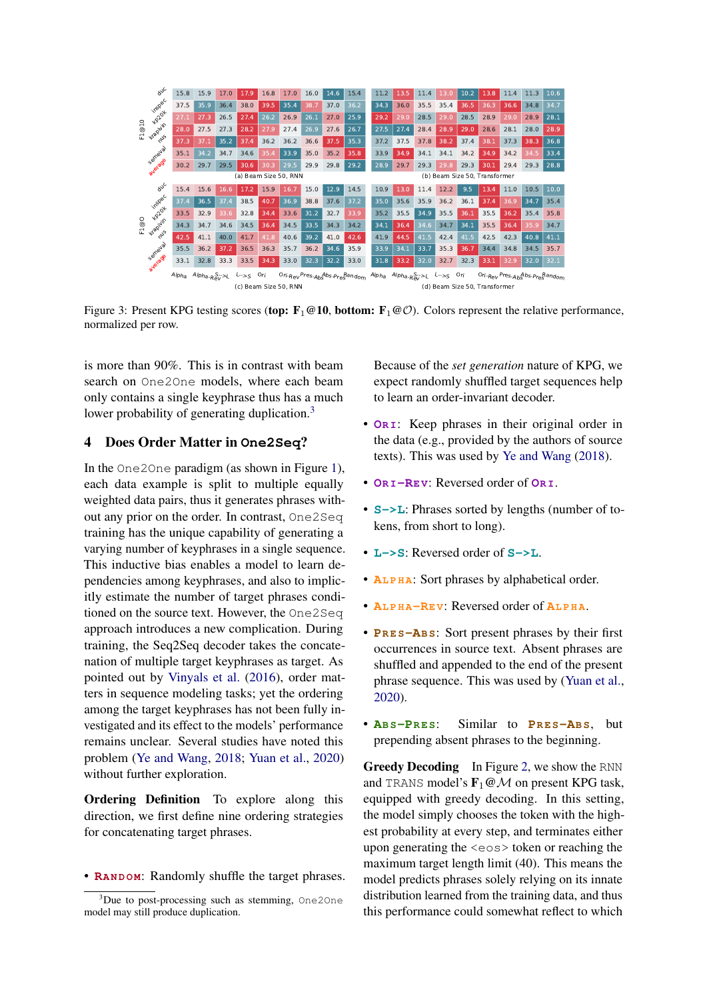<span id="page-4-2"></span>

Figure 3: Present KPG testing scores (top:  $\mathbf{F}_1 \otimes \mathbf{10}$ , bottom:  $\mathbf{F}_1 \otimes \mathcal{O}$ ). Colors represent the relative performance, normalized per row.

is more than 90%. This is in contrast with beam search on One2One models, where each beam only contains a single keyphrase thus has a much lower probability of generating duplication.<sup>[3](#page-4-1)</sup>

# <span id="page-4-0"></span>4 Does Order Matter in **One2Seq**?

In the One2One paradigm (as shown in Figure [1\)](#page-1-0), each data example is split to multiple equally weighted data pairs, thus it generates phrases without any prior on the order. In contrast, One2Seq training has the unique capability of generating a varying number of keyphrases in a single sequence. This inductive bias enables a model to learn dependencies among keyphrases, and also to implicitly estimate the number of target phrases conditioned on the source text. However, the One2Seq approach introduces a new complication. During training, the Seq2Seq decoder takes the concatenation of multiple target keyphrases as target. As pointed out by [Vinyals et al.](#page-10-5) [\(2016\)](#page-10-5), order matters in sequence modeling tasks; yet the ordering among the target keyphrases has not been fully investigated and its effect to the models' performance remains unclear. Several studies have noted this problem [\(Ye and Wang,](#page-10-1) [2018;](#page-10-1) [Yuan et al.,](#page-10-2) [2020\)](#page-10-2) without further exploration.

Ordering Definition To explore along this direction, we first define nine ordering strategies for concatenating target phrases.

• **RANDOM:** Randomly shuffle the target phrases.

Because of the *set generation* nature of KPG, we expect randomly shuffled target sequences help to learn an order-invariant decoder.

- **OR I**: Keep phrases in their original order in the data (e.g., provided by the authors of source texts). This was used by [Ye and Wang](#page-10-1) [\(2018\)](#page-10-1).
- **OR I-RE V**: Reversed order of **OR I**.
- **S->L**: Phrases sorted by lengths (number of tokens, from short to long).
- **L->S**: Reversed order of **S->L**.
- **AL P H A**: Sort phrases by alphabetical order.
- **AL P H A-RE V**: Reversed order of **AL P H A**.
- **PR E S-AB S**: Sort present phrases by their first occurrences in source text. Absent phrases are shuffled and appended to the end of the present phrase sequence. This was used by [\(Yuan et al.,](#page-10-2) [2020\)](#page-10-2).
- **AB S-PR E S**: Similar to **PR E S-AB S**, but prepending absent phrases to the beginning.

Greedy Decoding In Figure [2,](#page-3-1) we show the RNN and TRANS model's  $\mathbf{F}_1 \text{@} \mathcal{M}$  on present KPG task, equipped with greedy decoding. In this setting, the model simply chooses the token with the highest probability at every step, and terminates either upon generating the <eos> token or reaching the maximum target length limit (40). This means the model predicts phrases solely relying on its innate distribution learned from the training data, and thus this performance could somewhat reflect to which

<span id="page-4-1"></span><sup>&</sup>lt;sup>3</sup>Due to post-processing such as stemming, One2One model may still produce duplication.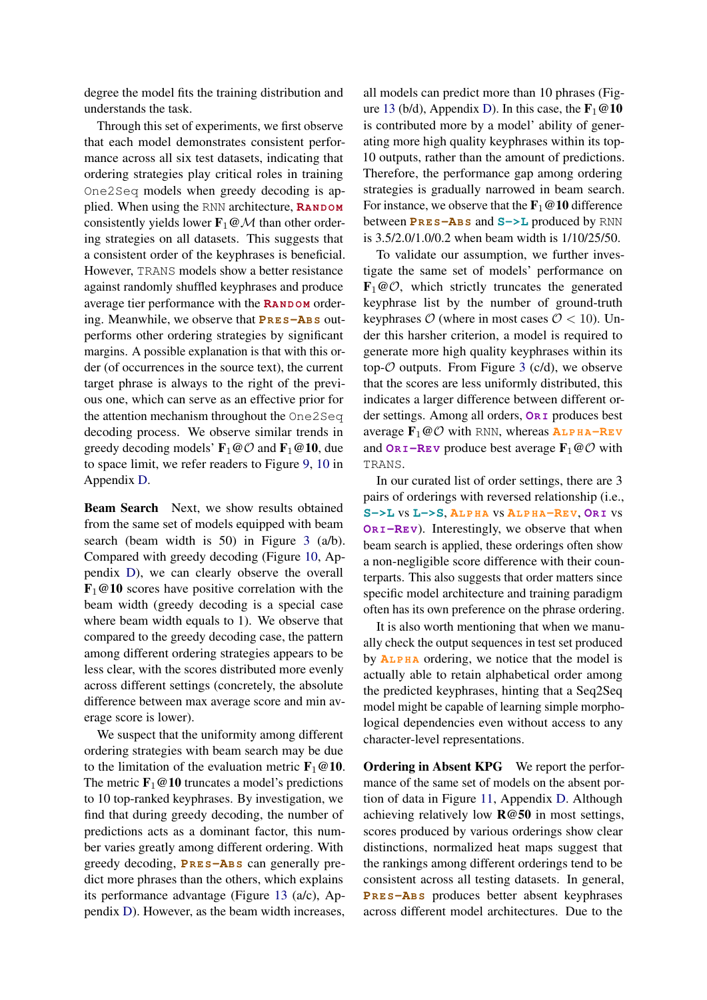degree the model fits the training distribution and understands the task.

Through this set of experiments, we first observe that each model demonstrates consistent performance across all six test datasets, indicating that ordering strategies play critical roles in training One2Seq models when greedy decoding is applied. When using the RNN architecture, **RANDOM** consistently yields lower  $\mathbf{F}_1 \boldsymbol{\omega} \mathcal{M}$  than other ordering strategies on all datasets. This suggests that a consistent order of the keyphrases is beneficial. However, TRANS models show a better resistance against randomly shuffled keyphrases and produce average tier performance with the **RANDOM** ordering. Meanwhile, we observe that **PRES-ABS** outperforms other ordering strategies by significant margins. A possible explanation is that with this order (of occurrences in the source text), the current target phrase is always to the right of the previous one, which can serve as an effective prior for the attention mechanism throughout the One2Seq decoding process. We observe similar trends in greedy decoding models'  $\mathbf{F}_1 \textcircled{c}$  and  $\mathbf{F}_1 \textcircled{e}$  10, due to space limit, we refer readers to Figure [9,](#page-20-0) [10](#page-20-1) in Appendix [D.](#page-13-1)

Beam Search Next, we show results obtained from the same set of models equipped with beam search (beam width is 50) in Figure [3](#page-4-2) (a/b). Compared with greedy decoding (Figure [10,](#page-20-1) Appendix [D\)](#page-13-1), we can clearly observe the overall  $\mathbf{F}_1 \textcircled{e} \mathbf{10}$  scores have positive correlation with the beam width (greedy decoding is a special case where beam width equals to 1). We observe that compared to the greedy decoding case, the pattern among different ordering strategies appears to be less clear, with the scores distributed more evenly across different settings (concretely, the absolute difference between max average score and min average score is lower).

We suspect that the uniformity among different ordering strategies with beam search may be due to the limitation of the evaluation metric  $\mathbf{F}_1 \textcircled{a} \mathbf{10}$ . The metric  $\mathbf{F}_1 \otimes \mathbf{10}$  truncates a model's predictions to 10 top-ranked keyphrases. By investigation, we find that during greedy decoding, the number of predictions acts as a dominant factor, this number varies greatly among different ordering. With greedy decoding, **PR E S-AB S** can generally predict more phrases than the others, which explains its performance advantage (Figure [13](#page-22-0) (a/c), Appendix [D\)](#page-13-1). However, as the beam width increases, all models can predict more than 10 phrases (Fig-ure [13](#page-22-0) (b/d), Appendix [D\)](#page-13-1). In this case, the  $\mathbf{F}_1 \otimes \mathbf{10}$ is contributed more by a model' ability of generating more high quality keyphrases within its top-10 outputs, rather than the amount of predictions. Therefore, the performance gap among ordering strategies is gradually narrowed in beam search. For instance, we observe that the  $\mathbf{F}_1 \otimes \mathbf{10}$  difference between **PR E S-AB S** and **S->L** produced by RNN is 3.5/2.0/1.0/0.2 when beam width is 1/10/25/50.

To validate our assumption, we further investigate the same set of models' performance on  $\mathbf{F}_1 \textcircled{e} \mathcal{O}$ , which strictly truncates the generated keyphrase list by the number of ground-truth keyphrases  $\mathcal{O}$  (where in most cases  $\mathcal{O} < 10$ ). Under this harsher criterion, a model is required to generate more high quality keyphrases within its top- $O$  outputs. From Figure [3](#page-4-2) (c/d), we observe that the scores are less uniformly distributed, this indicates a larger difference between different order settings. Among all orders, **OR I** produces best average  $\mathbf{F}_1 \textcircled{c} \mathcal{O}$  with RNN, whereas  $\mathbf{A} \mathbf{L} \mathbf{P} \mathbf{H} \mathbf{A} - \mathbf{R} \mathbf{E} \mathbf{V}$ and  $O_{\mathbf{R} \mathbf{I}} - \mathbf{R} \mathbf{E} \mathbf{v}$  produce best average  $\mathbf{F}_1 \textcircled{O}$  with TRANS.

In our curated list of order settings, there are 3 pairs of orderings with reversed relationship (i.e., **S->L** vs **L->S**, **AL P H A** vs **AL P H A-RE V**, **OR I** vs **OR I-RE V**). Interestingly, we observe that when beam search is applied, these orderings often show a non-negligible score difference with their counterparts. This also suggests that order matters since specific model architecture and training paradigm often has its own preference on the phrase ordering.

It is also worth mentioning that when we manually check the output sequences in test set produced by **ALPHA** ordering, we notice that the model is actually able to retain alphabetical order among the predicted keyphrases, hinting that a Seq2Seq model might be capable of learning simple morphological dependencies even without access to any character-level representations.

Ordering in Absent KPG We report the performance of the same set of models on the absent portion of data in Figure [11,](#page-21-1) Appendix [D.](#page-13-1) Although achieving relatively low R@50 in most settings, scores produced by various orderings show clear distinctions, normalized heat maps suggest that the rankings among different orderings tend to be consistent across all testing datasets. In general, **PR E S-AB S** produces better absent keyphrases across different model architectures. Due to the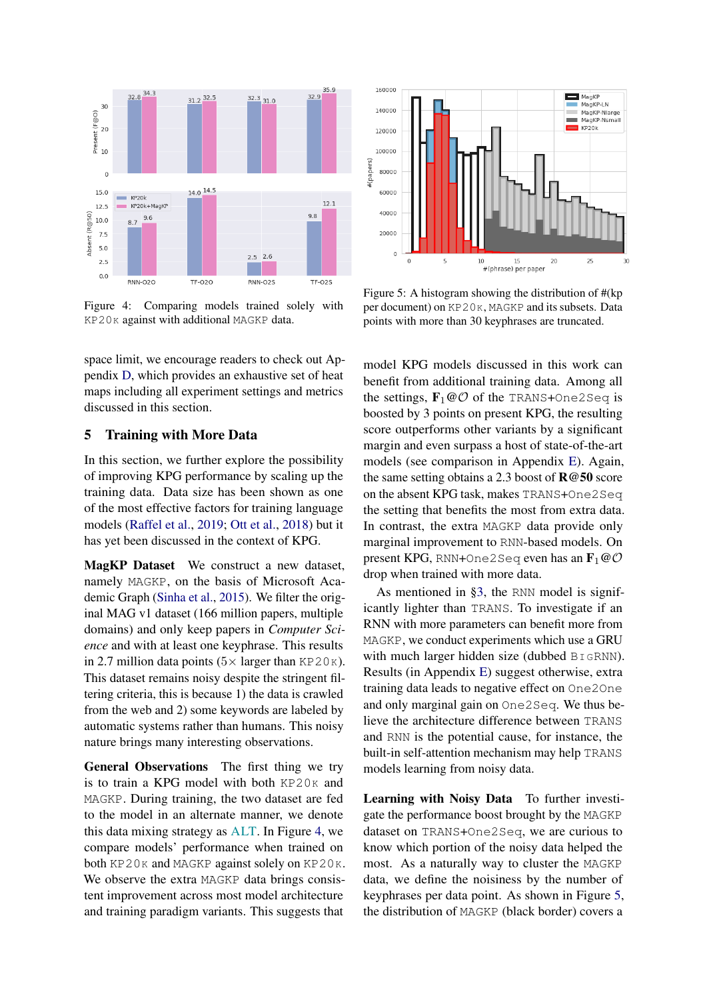<span id="page-6-0"></span>

Figure 4: Comparing models trained solely with KP20K against with additional MAGKP data.

space limit, we encourage readers to check out Appendix [D,](#page-13-1) which provides an exhaustive set of heat maps including all experiment settings and metrics discussed in this section.

# <span id="page-6-2"></span>5 Training with More Data

In this section, we further explore the possibility of improving KPG performance by scaling up the training data. Data size has been shown as one of the most effective factors for training language models [\(Raffel et al.,](#page-9-6) [2019;](#page-9-6) [Ott et al.,](#page-9-7) [2018\)](#page-9-7) but it has yet been discussed in the context of KPG.

MagKP Dataset We construct a new dataset, namely MAGKP, on the basis of Microsoft Academic Graph [\(Sinha et al.,](#page-9-8) [2015\)](#page-9-8). We filter the original MAG v1 dataset (166 million papers, multiple domains) and only keep papers in *Computer Science* and with at least one keyphrase. This results in 2.7 million data points  $(5 \times \text{larger than KP20K}).$ This dataset remains noisy despite the stringent filtering criteria, this is because 1) the data is crawled from the web and 2) some keywords are labeled by automatic systems rather than humans. This noisy nature brings many interesting observations.

General Observations The first thing we try is to train a KPG model with both  $KP20K$  and MAGKP. During training, the two dataset are fed to the model in an alternate manner, we denote this data mixing strategy as ALT. In Figure [4,](#page-6-0) we compare models' performance when trained on both KP20K and MAGKP against solely on KP20K. We observe the extra MAGKP data brings consistent improvement across most model architecture and training paradigm variants. This suggests that

<span id="page-6-1"></span>

Figure 5: A histogram showing the distribution of #(kp per document) on KP20K, MAGKP and its subsets. Data points with more than 30 keyphrases are truncated.

model KPG models discussed in this work can benefit from additional training data. Among all the settings,  $\mathbf{F}_1 \text{@} \mathcal{O}$  of the TRANS+One2Seq is boosted by 3 points on present KPG, the resulting score outperforms other variants by a significant margin and even surpass a host of state-of-the-art models (see comparison in Appendix [E\)](#page-13-0). Again, the same setting obtains a 2.3 boost of  $\mathbb{R} \otimes 50$  score on the absent KPG task, makes TRANS+One2Seq the setting that benefits the most from extra data. In contrast, the extra MAGKP data provide only marginal improvement to RNN-based models. On present KPG, RNN+One2Seq even has an  $\mathbf{F}_1 @ O$ drop when trained with more data.

As mentioned in [§3,](#page-2-2) the RNN model is significantly lighter than TRANS. To investigate if an RNN with more parameters can benefit more from MAGKP, we conduct experiments which use a GRU with much larger hidden size (dubbed BIGRNN). Results (in Appendix [E\)](#page-13-0) suggest otherwise, extra training data leads to negative effect on One2One and only marginal gain on One2Seq. We thus believe the architecture difference between TRANS and RNN is the potential cause, for instance, the built-in self-attention mechanism may help TRANS models learning from noisy data.

Learning with Noisy Data To further investigate the performance boost brought by the MAGKP dataset on TRANS+One2Seq, we are curious to know which portion of the noisy data helped the most. As a naturally way to cluster the MAGKP data, we define the noisiness by the number of keyphrases per data point. As shown in Figure [5,](#page-6-1) the distribution of MAGKP (black border) covers a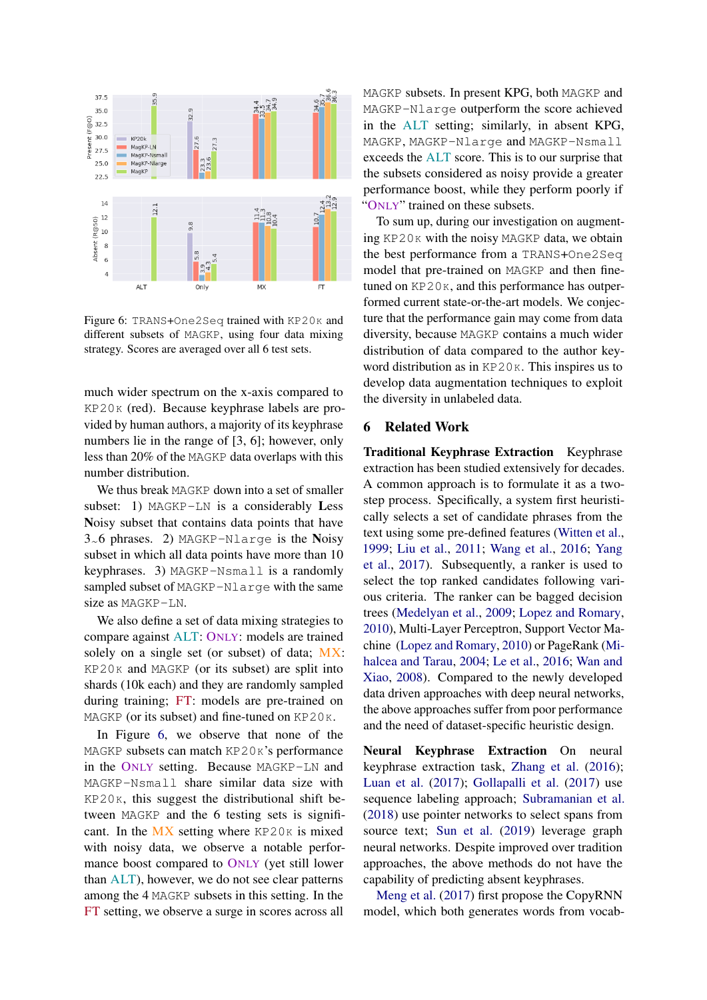<span id="page-7-1"></span>

Figure 6: TRANS+One2Seq trained with KP20K and different subsets of MAGKP, using four data mixing strategy. Scores are averaged over all 6 test sets.

much wider spectrum on the x-axis compared to KP20K (red). Because keyphrase labels are provided by human authors, a majority of its keyphrase numbers lie in the range of [3, 6]; however, only less than 20% of the MAGKP data overlaps with this number distribution.

We thus break MAGKP down into a set of smaller subset: 1) MAGKP-LN is a considerably Less Noisy subset that contains data points that have 3~6 phrases. 2) MAGKP-Nlarge is the Noisy subset in which all data points have more than 10 keyphrases. 3) MAGKP-Nsmall is a randomly sampled subset of MAGKP-Nlarge with the same size as MAGKP-LN.

We also define a set of data mixing strategies to compare against ALT: ONLY: models are trained solely on a single set (or subset) of data; MX: KP20K and MAGKP (or its subset) are split into shards (10k each) and they are randomly sampled during training; FT: models are pre-trained on MAGKP (or its subset) and fine-tuned on KP20K.

In Figure [6,](#page-7-1) we observe that none of the MAGKP subsets can match KP20K's performance in the ONLY setting. Because MAGKP-LN and MAGKP-Nsmall share similar data size with KP20K, this suggest the distributional shift between MAGKP and the 6 testing sets is significant. In the  $MX$  setting where  $KP20K$  is mixed with noisy data, we observe a notable performance boost compared to ONLY (yet still lower than ALT), however, we do not see clear patterns among the 4 MAGKP subsets in this setting. In the FT setting, we observe a surge in scores across all

MAGKP subsets. In present KPG, both MAGKP and MAGKP-Nlarge outperform the score achieved in the ALT setting; similarly, in absent KPG, MAGKP, MAGKP-Nlarge and MAGKP-Nsmall exceeds the ALT score. This is to our surprise that the subsets considered as noisy provide a greater performance boost, while they perform poorly if "ONLY" trained on these subsets.

To sum up, during our investigation on augmenting KP20K with the noisy MAGKP data, we obtain the best performance from a TRANS+One2Seq model that pre-trained on MAGKP and then finetuned on  $KP20K$ , and this performance has outperformed current state-or-the-art models. We conjecture that the performance gain may come from data diversity, because MAGKP contains a much wider distribution of data compared to the author keyword distribution as in KP20<sub>K</sub>. This inspires us to develop data augmentation techniques to exploit the diversity in unlabeled data.

### <span id="page-7-0"></span>6 Related Work

Traditional Keyphrase Extraction Keyphrase extraction has been studied extensively for decades. A common approach is to formulate it as a twostep process. Specifically, a system first heuristically selects a set of candidate phrases from the text using some pre-defined features [\(Witten et al.,](#page-10-6) [1999;](#page-10-6) [Liu et al.,](#page-9-9) [2011;](#page-9-9) [Wang et al.,](#page-10-7) [2016;](#page-10-7) [Yang](#page-10-8) [et al.,](#page-10-8) [2017\)](#page-10-8). Subsequently, a ranker is used to select the top ranked candidates following various criteria. The ranker can be bagged decision trees [\(Medelyan et al.,](#page-9-10) [2009;](#page-9-10) [Lopez and Romary,](#page-9-11) [2010\)](#page-9-11), Multi-Layer Perceptron, Support Vector Machine [\(Lopez and Romary,](#page-9-11) [2010\)](#page-9-11) or PageRank [\(Mi](#page-9-12)[halcea and Tarau,](#page-9-12) [2004;](#page-9-12) [Le et al.,](#page-9-13) [2016;](#page-9-13) [Wan and](#page-10-9) [Xiao,](#page-10-9) [2008\)](#page-10-9). Compared to the newly developed data driven approaches with deep neural networks, the above approaches suffer from poor performance and the need of dataset-specific heuristic design.

Neural Keyphrase Extraction On neural keyphrase extraction task, [Zhang et al.](#page-10-10) [\(2016\)](#page-10-10); [Luan et al.](#page-9-14) [\(2017\)](#page-9-14); [Gollapalli et al.](#page-9-15) [\(2017\)](#page-9-15) use sequence labeling approach; [Subramanian et al.](#page-9-16) [\(2018\)](#page-9-16) use pointer networks to select spans from source text; [Sun et al.](#page-10-11) [\(2019\)](#page-10-11) leverage graph neural networks. Despite improved over tradition approaches, the above methods do not have the capability of predicting absent keyphrases.

[Meng et al.](#page-9-0) [\(2017\)](#page-9-0) first propose the CopyRNN model, which both generates words from vocab-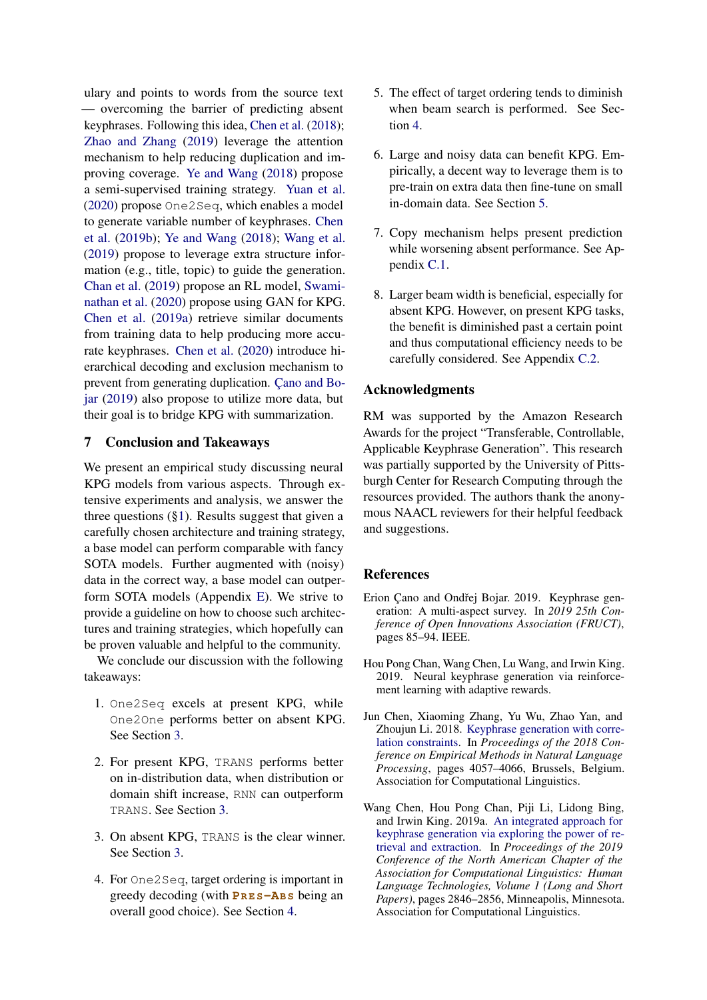ulary and points to words from the source text — overcoming the barrier of predicting absent keyphrases. Following this idea, [Chen et al.](#page-8-0) [\(2018\)](#page-8-0); [Zhao and Zhang](#page-10-3) [\(2019\)](#page-10-3) leverage the attention mechanism to help reducing duplication and improving coverage. [Ye and Wang](#page-10-1) [\(2018\)](#page-10-1) propose a semi-supervised training strategy. [Yuan et al.](#page-10-2) [\(2020\)](#page-10-2) propose One2Seq, which enables a model to generate variable number of keyphrases. [Chen](#page-9-1) [et al.](#page-9-1) [\(2019b\)](#page-9-1); [Ye and Wang](#page-10-1) [\(2018\)](#page-10-1); [Wang et al.](#page-10-12) [\(2019\)](#page-10-12) propose to leverage extra structure information (e.g., title, topic) to guide the generation. [Chan et al.](#page-8-1) [\(2019\)](#page-8-1) propose an RL model, [Swami](#page-10-13)[nathan et al.](#page-10-13) [\(2020\)](#page-10-13) propose using GAN for KPG. [Chen et al.](#page-8-2) [\(2019a\)](#page-8-2) retrieve similar documents from training data to help producing more accurate keyphrases. [Chen et al.](#page-9-17) [\(2020\)](#page-9-17) introduce hierarchical decoding and exclusion mechanism to prevent from generating duplication. [Çano and Bo](#page-8-3)[jar](#page-8-3) [\(2019\)](#page-8-3) also propose to utilize more data, but their goal is to bridge KPG with summarization.

### <span id="page-8-6"></span>7 Conclusion and Takeaways

We present an empirical study discussing neural KPG models from various aspects. Through extensive experiments and analysis, we answer the three questions  $(\S1)$ . Results suggest that given a carefully chosen architecture and training strategy, a base model can perform comparable with fancy SOTA models. Further augmented with (noisy) data in the correct way, a base model can outperform SOTA models (Appendix [E\)](#page-13-0). We strive to provide a guideline on how to choose such architectures and training strategies, which hopefully can be proven valuable and helpful to the community.

We conclude our discussion with the following takeaways:

- 1. One2Seq excels at present KPG, while One2One performs better on absent KPG. See Section [3.](#page-2-2)
- 2. For present KPG, TRANS performs better on in-distribution data, when distribution or domain shift increase, RNN can outperform TRANS. See Section [3.](#page-2-2)
- 3. On absent KPG, TRANS is the clear winner. See Section [3.](#page-2-2)
- 4. For One2Seq, target ordering is important in greedy decoding (with **PR E S-AB S** being an overall good choice). See Section [4.](#page-4-0)
- 5. The effect of target ordering tends to diminish when beam search is performed. See Section [4.](#page-4-0)
- 6. Large and noisy data can benefit KPG. Empirically, a decent way to leverage them is to pre-train on extra data then fine-tune on small in-domain data. See Section [5.](#page-6-2)
- 7. Copy mechanism helps present prediction while worsening absent performance. See Appendix [C.1.](#page-12-0)
- 8. Larger beam width is beneficial, especially for absent KPG. However, on present KPG tasks, the benefit is diminished past a certain point and thus computational efficiency needs to be carefully considered. See Appendix [C.2.](#page-12-1)

### <span id="page-8-5"></span><span id="page-8-4"></span>Acknowledgments

RM was supported by the Amazon Research Awards for the project "Transferable, Controllable, Applicable Keyphrase Generation". This research was partially supported by the University of Pittsburgh Center for Research Computing through the resources provided. The authors thank the anonymous NAACL reviewers for their helpful feedback and suggestions.

### **References**

- <span id="page-8-3"></span>Erion Çano and Ondřej Bojar. 2019. Keyphrase generation: A multi-aspect survey. In *2019 25th Conference of Open Innovations Association (FRUCT)*, pages 85–94. IEEE.
- <span id="page-8-1"></span>Hou Pong Chan, Wang Chen, Lu Wang, and Irwin King. 2019. Neural keyphrase generation via reinforcement learning with adaptive rewards.
- <span id="page-8-0"></span>Jun Chen, Xiaoming Zhang, Yu Wu, Zhao Yan, and Zhoujun Li. 2018. [Keyphrase generation with corre](https://doi.org/10.18653/v1/D18-1439)[lation constraints.](https://doi.org/10.18653/v1/D18-1439) In *Proceedings of the 2018 Conference on Empirical Methods in Natural Language Processing*, pages 4057–4066, Brussels, Belgium. Association for Computational Linguistics.
- <span id="page-8-2"></span>Wang Chen, Hou Pong Chan, Piji Li, Lidong Bing, and Irwin King. 2019a. [An integrated approach for](https://www.aclweb.org/anthology/N19-1292) [keyphrase generation via exploring the power of re](https://www.aclweb.org/anthology/N19-1292)[trieval and extraction.](https://www.aclweb.org/anthology/N19-1292) In *Proceedings of the 2019 Conference of the North American Chapter of the Association for Computational Linguistics: Human Language Technologies, Volume 1 (Long and Short Papers)*, pages 2846–2856, Minneapolis, Minnesota. Association for Computational Linguistics.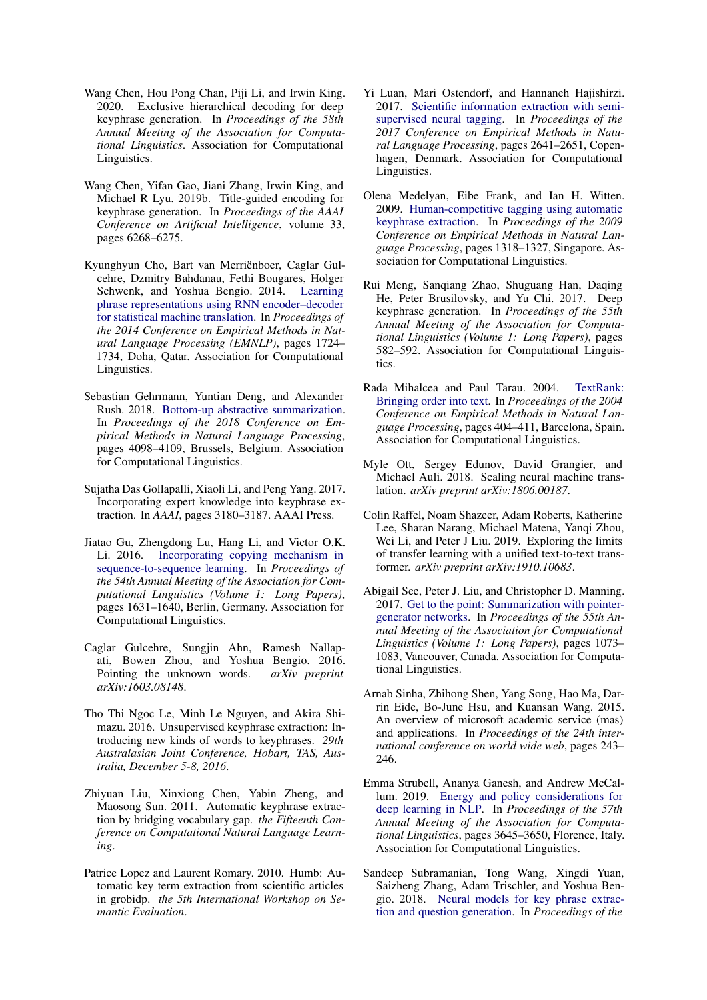- <span id="page-9-17"></span>Wang Chen, Hou Pong Chan, Piji Li, and Irwin King. 2020. Exclusive hierarchical decoding for deep keyphrase generation. In *Proceedings of the 58th Annual Meeting of the Association for Computational Linguistics*. Association for Computational Linguistics.
- <span id="page-9-1"></span>Wang Chen, Yifan Gao, Jiani Zhang, Irwin King, and Michael R Lyu. 2019b. Title-guided encoding for keyphrase generation. In *Proceedings of the AAAI Conference on Artificial Intelligence*, volume 33, pages 6268–6275.
- <span id="page-9-2"></span>Kyunghyun Cho, Bart van Merriënboer, Caglar Gulcehre, Dzmitry Bahdanau, Fethi Bougares, Holger Schwenk, and Yoshua Bengio. 2014. [Learning](https://doi.org/10.3115/v1/D14-1179) [phrase representations using RNN encoder–decoder](https://doi.org/10.3115/v1/D14-1179) [for statistical machine translation.](https://doi.org/10.3115/v1/D14-1179) In *Proceedings of the 2014 Conference on Empirical Methods in Natural Language Processing (EMNLP)*, pages 1724– 1734, Doha, Qatar. Association for Computational Linguistics.
- <span id="page-9-5"></span>Sebastian Gehrmann, Yuntian Deng, and Alexander Rush. 2018. [Bottom-up abstractive summarization.](https://doi.org/10.18653/v1/D18-1443) In *Proceedings of the 2018 Conference on Empirical Methods in Natural Language Processing*, pages 4098–4109, Brussels, Belgium. Association for Computational Linguistics.
- <span id="page-9-15"></span>Sujatha Das Gollapalli, Xiaoli Li, and Peng Yang. 2017. Incorporating expert knowledge into keyphrase extraction. In *AAAI*, pages 3180–3187. AAAI Press.
- <span id="page-9-3"></span>Jiatao Gu, Zhengdong Lu, Hang Li, and Victor O.K. Li. 2016. [Incorporating copying mechanism in](https://doi.org/10.18653/v1/P16-1154) [sequence-to-sequence learning.](https://doi.org/10.18653/v1/P16-1154) In *Proceedings of the 54th Annual Meeting of the Association for Computational Linguistics (Volume 1: Long Papers)*, pages 1631–1640, Berlin, Germany. Association for Computational Linguistics.
- <span id="page-9-18"></span>Caglar Gulcehre, Sungjin Ahn, Ramesh Nallapati, Bowen Zhou, and Yoshua Bengio. 2016. Pointing the unknown words. *arXiv preprint arXiv:1603.08148*.
- <span id="page-9-13"></span>Tho Thi Ngoc Le, Minh Le Nguyen, and Akira Shimazu. 2016. Unsupervised keyphrase extraction: Introducing new kinds of words to keyphrases. *29th Australasian Joint Conference, Hobart, TAS, Australia, December 5-8, 2016*.
- <span id="page-9-9"></span>Zhiyuan Liu, Xinxiong Chen, Yabin Zheng, and Maosong Sun. 2011. Automatic keyphrase extraction by bridging vocabulary gap. *the Fifteenth Conference on Computational Natural Language Learning*.
- <span id="page-9-11"></span>Patrice Lopez and Laurent Romary. 2010. Humb: Automatic key term extraction from scientific articles in grobidp. *the 5th International Workshop on Semantic Evaluation*.
- <span id="page-9-14"></span>Yi Luan, Mari Ostendorf, and Hannaneh Hajishirzi. 2017. [Scientific information extraction with semi](https://doi.org/10.18653/v1/D17-1279)[supervised neural tagging.](https://doi.org/10.18653/v1/D17-1279) In *Proceedings of the 2017 Conference on Empirical Methods in Natural Language Processing*, pages 2641–2651, Copenhagen, Denmark. Association for Computational Linguistics.
- <span id="page-9-10"></span>Olena Medelyan, Eibe Frank, and Ian H. Witten. 2009. [Human-competitive tagging using automatic](https://www.aclweb.org/anthology/D09-1137) [keyphrase extraction.](https://www.aclweb.org/anthology/D09-1137) In *Proceedings of the 2009 Conference on Empirical Methods in Natural Language Processing*, pages 1318–1327, Singapore. Association for Computational Linguistics.
- <span id="page-9-0"></span>Rui Meng, Sanqiang Zhao, Shuguang Han, Daqing He, Peter Brusilovsky, and Yu Chi. 2017. Deep keyphrase generation. In *Proceedings of the 55th Annual Meeting of the Association for Computational Linguistics (Volume 1: Long Papers)*, pages 582–592. Association for Computational Linguistics.
- <span id="page-9-20"></span><span id="page-9-12"></span>Rada Mihalcea and Paul Tarau. 2004. [TextRank:](https://www.aclweb.org/anthology/W04-3252) [Bringing order into text.](https://www.aclweb.org/anthology/W04-3252) In *Proceedings of the 2004 Conference on Empirical Methods in Natural Language Processing*, pages 404–411, Barcelona, Spain. Association for Computational Linguistics.
- <span id="page-9-7"></span>Myle Ott, Sergey Edunov, David Grangier, and Michael Auli. 2018. Scaling neural machine translation. *arXiv preprint arXiv:1806.00187*.
- <span id="page-9-6"></span>Colin Raffel, Noam Shazeer, Adam Roberts, Katherine Lee, Sharan Narang, Michael Matena, Yanqi Zhou, Wei Li, and Peter J Liu. 2019. Exploring the limits of transfer learning with a unified text-to-text transformer. *arXiv preprint arXiv:1910.10683*.
- <span id="page-9-4"></span>Abigail See, Peter J. Liu, and Christopher D. Manning. 2017. [Get to the point: Summarization with pointer](https://doi.org/10.18653/v1/P17-1099)[generator networks.](https://doi.org/10.18653/v1/P17-1099) In *Proceedings of the 55th Annual Meeting of the Association for Computational Linguistics (Volume 1: Long Papers)*, pages 1073– 1083, Vancouver, Canada. Association for Computational Linguistics.
- <span id="page-9-8"></span>Arnab Sinha, Zhihong Shen, Yang Song, Hao Ma, Darrin Eide, Bo-June Hsu, and Kuansan Wang. 2015. An overview of microsoft academic service (mas) and applications. In *Proceedings of the 24th international conference on world wide web*, pages 243– 246.
- <span id="page-9-19"></span>Emma Strubell, Ananya Ganesh, and Andrew McCallum. 2019. [Energy and policy considerations for](https://doi.org/10.18653/v1/P19-1355) [deep learning in NLP.](https://doi.org/10.18653/v1/P19-1355) In *Proceedings of the 57th Annual Meeting of the Association for Computational Linguistics*, pages 3645–3650, Florence, Italy. Association for Computational Linguistics.
- <span id="page-9-16"></span>Sandeep Subramanian, Tong Wang, Xingdi Yuan, Saizheng Zhang, Adam Trischler, and Yoshua Bengio. 2018. [Neural models for key phrase extrac](https://doi.org/10.18653/v1/W18-2609)[tion and question generation.](https://doi.org/10.18653/v1/W18-2609) In *Proceedings of the*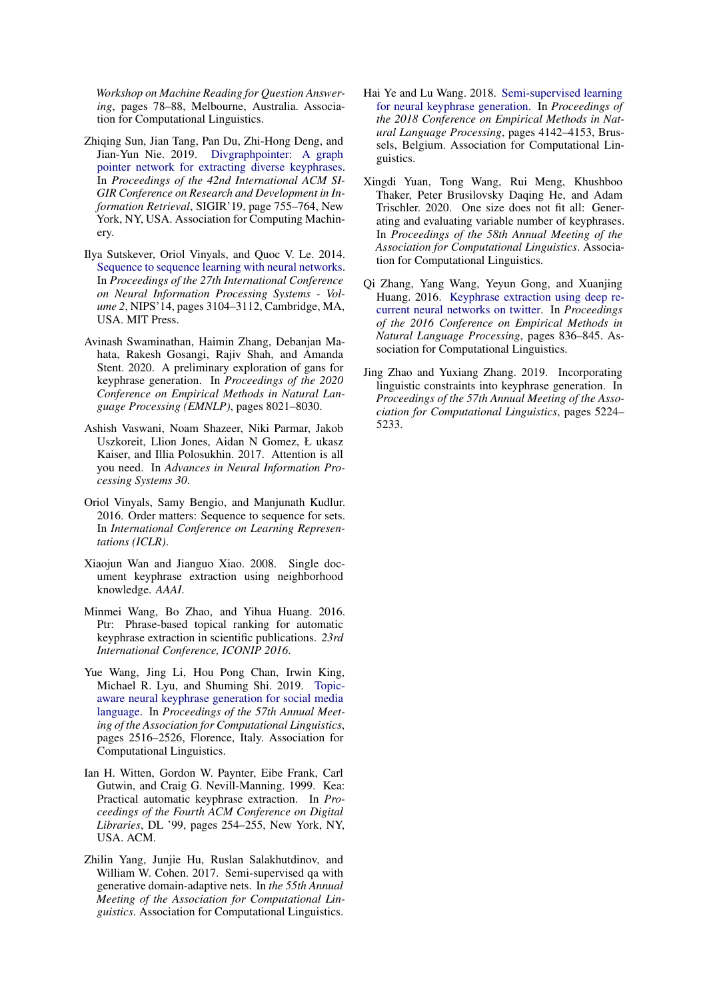*Workshop on Machine Reading for Question Answering*, pages 78–88, Melbourne, Australia. Association for Computational Linguistics.

- <span id="page-10-11"></span>Zhiqing Sun, Jian Tang, Pan Du, Zhi-Hong Deng, and Jian-Yun Nie. 2019. [Divgraphpointer: A graph](https://doi.org/10.1145/3331184.3331219) [pointer network for extracting diverse keyphrases.](https://doi.org/10.1145/3331184.3331219) In *Proceedings of the 42nd International ACM SI-GIR Conference on Research and Development in Information Retrieval*, SIGIR'19, page 755–764, New York, NY, USA. Association for Computing Machinery.
- <span id="page-10-0"></span>Ilya Sutskever, Oriol Vinyals, and Quoc V. Le. 2014. [Sequence to sequence learning with neural networks.](http://dl.acm.org/citation.cfm?id=2969033.2969173) In *Proceedings of the 27th International Conference on Neural Information Processing Systems - Volume 2*, NIPS'14, pages 3104–3112, Cambridge, MA, USA. MIT Press.
- <span id="page-10-13"></span>Avinash Swaminathan, Haimin Zhang, Debanjan Mahata, Rakesh Gosangi, Rajiv Shah, and Amanda Stent. 2020. A preliminary exploration of gans for keyphrase generation. In *Proceedings of the 2020 Conference on Empirical Methods in Natural Language Processing (EMNLP)*, pages 8021–8030.
- <span id="page-10-4"></span>Ashish Vaswani, Noam Shazeer, Niki Parmar, Jakob Uszkoreit, Llion Jones, Aidan N Gomez, Ł ukasz Kaiser, and Illia Polosukhin. 2017. Attention is all you need. In *Advances in Neural Information Processing Systems 30*.
- <span id="page-10-5"></span>Oriol Vinyals, Samy Bengio, and Manjunath Kudlur. 2016. Order matters: Sequence to sequence for sets. In *International Conference on Learning Representations (ICLR)*.
- <span id="page-10-9"></span>Xiaojun Wan and Jianguo Xiao. 2008. Single document keyphrase extraction using neighborhood knowledge. *AAAI*.
- <span id="page-10-7"></span>Minmei Wang, Bo Zhao, and Yihua Huang. 2016. Ptr: Phrase-based topical ranking for automatic keyphrase extraction in scientific publications. *23rd International Conference, ICONIP 2016*.
- <span id="page-10-12"></span>Yue Wang, Jing Li, Hou Pong Chan, Irwin King, Michael R. Lyu, and Shuming Shi. 2019. [Topic](https://doi.org/10.18653/v1/P19-1240)[aware neural keyphrase generation for social media](https://doi.org/10.18653/v1/P19-1240) [language.](https://doi.org/10.18653/v1/P19-1240) In *Proceedings of the 57th Annual Meeting of the Association for Computational Linguistics*, pages 2516–2526, Florence, Italy. Association for Computational Linguistics.
- <span id="page-10-6"></span>Ian H. Witten, Gordon W. Paynter, Eibe Frank, Carl Gutwin, and Craig G. Nevill-Manning. 1999. Kea: Practical automatic keyphrase extraction. In *Proceedings of the Fourth ACM Conference on Digital Libraries*, DL '99, pages 254–255, New York, NY, USA. ACM.
- <span id="page-10-8"></span>Zhilin Yang, Junjie Hu, Ruslan Salakhutdinov, and William W. Cohen. 2017. Semi-supervised qa with generative domain-adaptive nets. In *the 55th Annual Meeting of the Association for Computational Linguistics*. Association for Computational Linguistics.
- <span id="page-10-1"></span>Hai Ye and Lu Wang. 2018. [Semi-supervised learning](https://doi.org/10.18653/v1/D18-1447) [for neural keyphrase generation.](https://doi.org/10.18653/v1/D18-1447) In *Proceedings of the 2018 Conference on Empirical Methods in Natural Language Processing*, pages 4142–4153, Brussels, Belgium. Association for Computational Linguistics.
- <span id="page-10-2"></span>Xingdi Yuan, Tong Wang, Rui Meng, Khushboo Thaker, Peter Brusilovsky Daqing He, and Adam Trischler. 2020. One size does not fit all: Generating and evaluating variable number of keyphrases. In *Proceedings of the 58th Annual Meeting of the Association for Computational Linguistics*. Association for Computational Linguistics.
- <span id="page-10-10"></span>Qi Zhang, Yang Wang, Yeyun Gong, and Xuanjing Huang. 2016. [Keyphrase extraction using deep re](https://doi.org/10.18653/v1/D16-1080)[current neural networks on twitter.](https://doi.org/10.18653/v1/D16-1080) In *Proceedings of the 2016 Conference on Empirical Methods in Natural Language Processing*, pages 836–845. Association for Computational Linguistics.
- <span id="page-10-15"></span><span id="page-10-14"></span><span id="page-10-3"></span>Jing Zhao and Yuxiang Zhang. 2019. Incorporating linguistic constraints into keyphrase generation. In *Proceedings of the 57th Annual Meeting of the Association for Computational Linguistics*, pages 5224– 5233.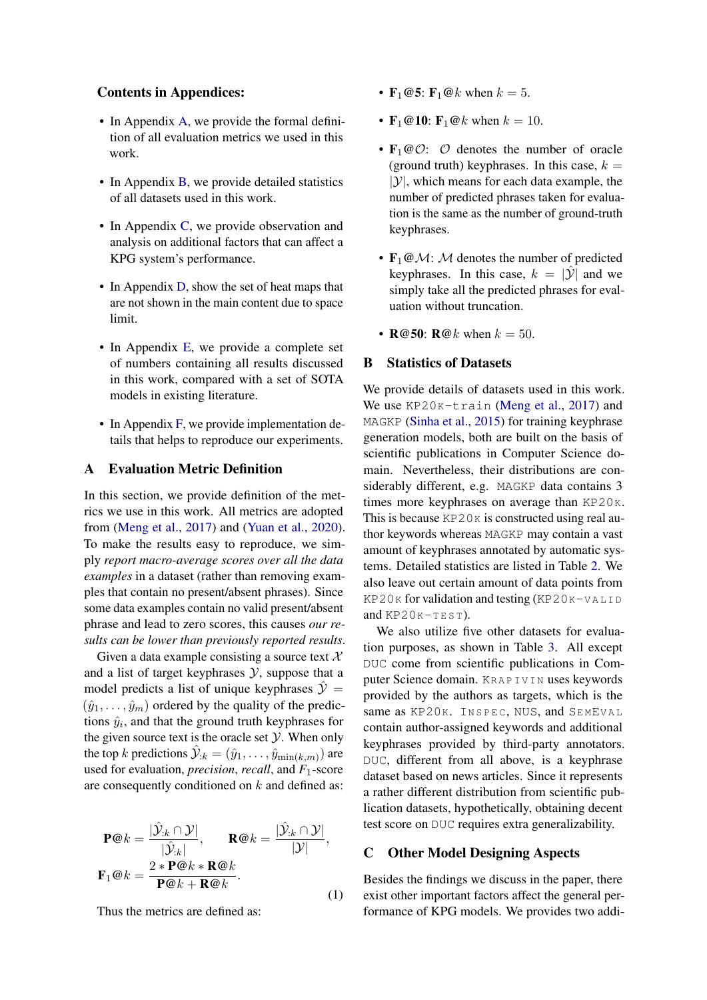### Contents in Appendices:

- In Appendix [A,](#page-11-0) we provide the formal definition of all evaluation metrics we used in this work.
- In Appendix [B,](#page-11-1) we provide detailed statistics of all datasets used in this work.
- In Appendix [C,](#page-11-2) we provide observation and analysis on additional factors that can affect a KPG system's performance.
- In Appendix [D,](#page-13-1) show the set of heat maps that are not shown in the main content due to space limit.
- In Appendix [E,](#page-13-0) we provide a complete set of numbers containing all results discussed in this work, compared with a set of SOTA models in existing literature.
- In Appendix [F,](#page-13-2) we provide implementation details that helps to reproduce our experiments.

## <span id="page-11-0"></span>A Evaluation Metric Definition

In this section, we provide definition of the metrics we use in this work. All metrics are adopted from [\(Meng et al.,](#page-9-0) [2017\)](#page-9-0) and [\(Yuan et al.,](#page-10-2) [2020\)](#page-10-2). To make the results easy to reproduce, we simply *report macro-average scores over all the data examples* in a dataset (rather than removing examples that contain no present/absent phrases). Since some data examples contain no valid present/absent phrase and lead to zero scores, this causes *our results can be lower than previously reported results*.

Given a data example consisting a source text  $\mathcal{X}$ and a list of target keyphrases  $Y$ , suppose that a model predicts a list of unique keyphrases  $\mathcal{Y} =$  $(\hat{y}_1, \ldots, \hat{y}_m)$  ordered by the quality of the predictions  $\hat{y}_i$ , and that the ground truth keyphrases for the given source text is the oracle set  $Y$ . When only the top k predictions  $\hat{\mathcal{Y}}_{:k} = (\hat{y}_1, \dots, \hat{y}_{\min(k,m)})$  are used for evaluation, *precision*, *recall*, and *F*1-score are consequently conditioned on  $k$  and defined as:

$$
\mathbf{P@k} = \frac{|\hat{\mathcal{Y}}_{:k} \cap \mathcal{Y}|}{|\hat{\mathcal{Y}}_{:k}|}, \qquad \mathbf{R@k} = \frac{|\hat{\mathcal{Y}}_{:k} \cap \mathcal{Y}|}{|\mathcal{Y}|},
$$

$$
\mathbf{F}_1@k = \frac{2 * \mathbf{P@k} * \mathbf{R@k}}{\mathbf{P@k} + \mathbf{R@k}}.
$$
(1)

Thus the metrics are defined as:

- $F_1@5$ :  $F_1@k$  when  $k = 5$ .
- $F_1@10$ :  $F_1@k$  when  $k = 10$ .
- $\mathbf{F}_1 \textcircled{c}$ :  $\mathcal{O}$  denotes the number of oracle (ground truth) keyphrases. In this case,  $k =$  $|y|$ , which means for each data example, the number of predicted phrases taken for evaluation is the same as the number of ground-truth keyphrases.
- $\mathbf{F}_1 \omega \mathcal{M}$ : M denotes the number of predicted keyphrases. In this case,  $k = |\hat{y}|$  and we simply take all the predicted phrases for evaluation without truncation.
- $R@50$   $R@k$  when  $k = 50$ .

### <span id="page-11-1"></span>B Statistics of Datasets

We provide details of datasets used in this work. We use KP20K-train [\(Meng et al.,](#page-9-0) [2017\)](#page-9-0) and MAGKP [\(Sinha et al.,](#page-9-8) [2015\)](#page-9-8) for training keyphrase generation models, both are built on the basis of scientific publications in Computer Science domain. Nevertheless, their distributions are considerably different, e.g. MAGKP data contains 3 times more keyphrases on average than KP20K. This is because  $KP20K$  is constructed using real author keywords whereas MAGKP may contain a vast amount of keyphrases annotated by automatic systems. Detailed statistics are listed in Table [2.](#page-12-2) We also leave out certain amount of data points from  $KP20K$  for validation and testing  $(KP20K-VALLID)$ and  $KP20K-TEST$ ).

We also utilize five other datasets for evaluation purposes, as shown in Table [3.](#page-12-3) All except DUC come from scientific publications in Computer Science domain. KR A P I V I N uses keywords provided by the authors as targets, which is the same as KP20K. INSPEC, NUS, and SEMEVAL contain author-assigned keywords and additional keyphrases provided by third-party annotators. DUC, different from all above, is a keyphrase dataset based on news articles. Since it represents a rather different distribution from scientific publication datasets, hypothetically, obtaining decent test score on DUC requires extra generalizability.

### <span id="page-11-2"></span>C Other Model Designing Aspects

Besides the findings we discuss in the paper, there exist other important factors affect the general performance of KPG models. We provides two addi-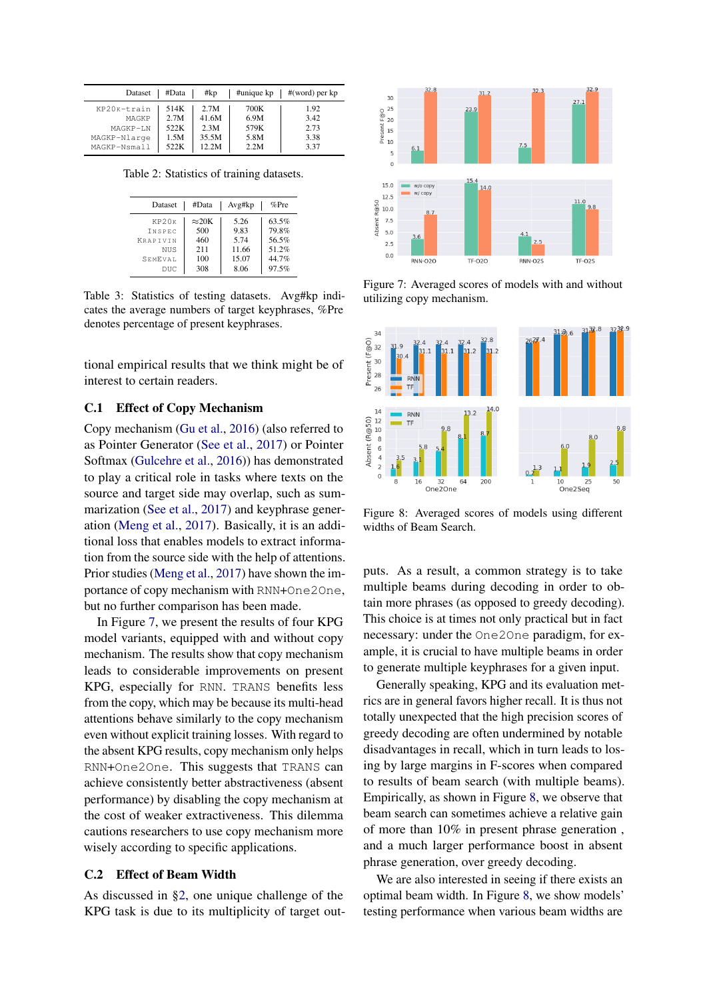<span id="page-12-2"></span>

| Dataset      | #Data | #kp   | #unique kp | $#(word)$ per kp |
|--------------|-------|-------|------------|------------------|
| KP20K-train  | 514K  | 2.7M  | 700K       | 1.92             |
| MAGKP        | 2.7M  | 41.6M | 6.9M       | 3.42             |
| MAGKP-LN     | 522K  | 2.3M  | 579K       | 2.73             |
| MAGKP-Nlarge | 1.5M  | 35.5M | 5.8M       | 3.38             |
| MAGKP-Nsmall | 522K  | 12.2M | 2.2M       | 3.37             |

<span id="page-12-3"></span>Table 2: Statistics of training datasets.

| Dataset         | #Data         | Avg#kp | $%$ Pre |
|-----------------|---------------|--------|---------|
| KP20K           | $\approx$ 20K | 5.26   | 63.5%   |
| <b>TNSPEC</b>   | 500           | 9.83   | 79.8%   |
| <b>KRAPTVIN</b> | 460           | 5 74   | 56.5%   |
| NUS             | 211           | 11.66  | 51.2%   |
| SEMEVAL         | 100           | 15.07  | 44.7%   |
| DUC             | 308           | 8.06   | 97.5%   |

Table 3: Statistics of testing datasets. Avg#kp indicates the average numbers of target keyphrases, %Pre denotes percentage of present keyphrases.

tional empirical results that we think might be of interest to certain readers.

### <span id="page-12-0"></span>C.1 Effect of Copy Mechanism

Copy mechanism [\(Gu et al.,](#page-9-3) [2016\)](#page-9-3) (also referred to as Pointer Generator [\(See et al.,](#page-9-4) [2017\)](#page-9-4) or Pointer Softmax [\(Gulcehre et al.,](#page-9-18) [2016\)](#page-9-18)) has demonstrated to play a critical role in tasks where texts on the source and target side may overlap, such as summarization [\(See et al.,](#page-9-4) [2017\)](#page-9-4) and keyphrase generation [\(Meng et al.,](#page-9-0) [2017\)](#page-9-0). Basically, it is an additional loss that enables models to extract information from the source side with the help of attentions. Prior studies [\(Meng et al.,](#page-9-0) [2017\)](#page-9-0) have shown the importance of copy mechanism with RNN+One2One, but no further comparison has been made.

In Figure [7,](#page-12-4) we present the results of four KPG model variants, equipped with and without copy mechanism. The results show that copy mechanism leads to considerable improvements on present KPG, especially for RNN. TRANS benefits less from the copy, which may be because its multi-head attentions behave similarly to the copy mechanism even without explicit training losses. With regard to the absent KPG results, copy mechanism only helps RNN+One2One. This suggests that TRANS can achieve consistently better abstractiveness (absent performance) by disabling the copy mechanism at the cost of weaker extractiveness. This dilemma cautions researchers to use copy mechanism more wisely according to specific applications.

### <span id="page-12-1"></span>C.2 Effect of Beam Width

As discussed in [§2,](#page-0-0) one unique challenge of the KPG task is due to its multiplicity of target out-

<span id="page-12-4"></span>

Figure 7: Averaged scores of models with and without utilizing copy mechanism.

<span id="page-12-5"></span>

Figure 8: Averaged scores of models using different widths of Beam Search.

puts. As a result, a common strategy is to take multiple beams during decoding in order to obtain more phrases (as opposed to greedy decoding). This choice is at times not only practical but in fact necessary: under the One2One paradigm, for example, it is crucial to have multiple beams in order to generate multiple keyphrases for a given input.

Generally speaking, KPG and its evaluation metrics are in general favors higher recall. It is thus not totally unexpected that the high precision scores of greedy decoding are often undermined by notable disadvantages in recall, which in turn leads to losing by large margins in F-scores when compared to results of beam search (with multiple beams). Empirically, as shown in Figure [8,](#page-12-5) we observe that beam search can sometimes achieve a relative gain of more than 10% in present phrase generation , and a much larger performance boost in absent phrase generation, over greedy decoding.

We are also interested in seeing if there exists an optimal beam width. In Figure [8,](#page-12-5) we show models' testing performance when various beam widths are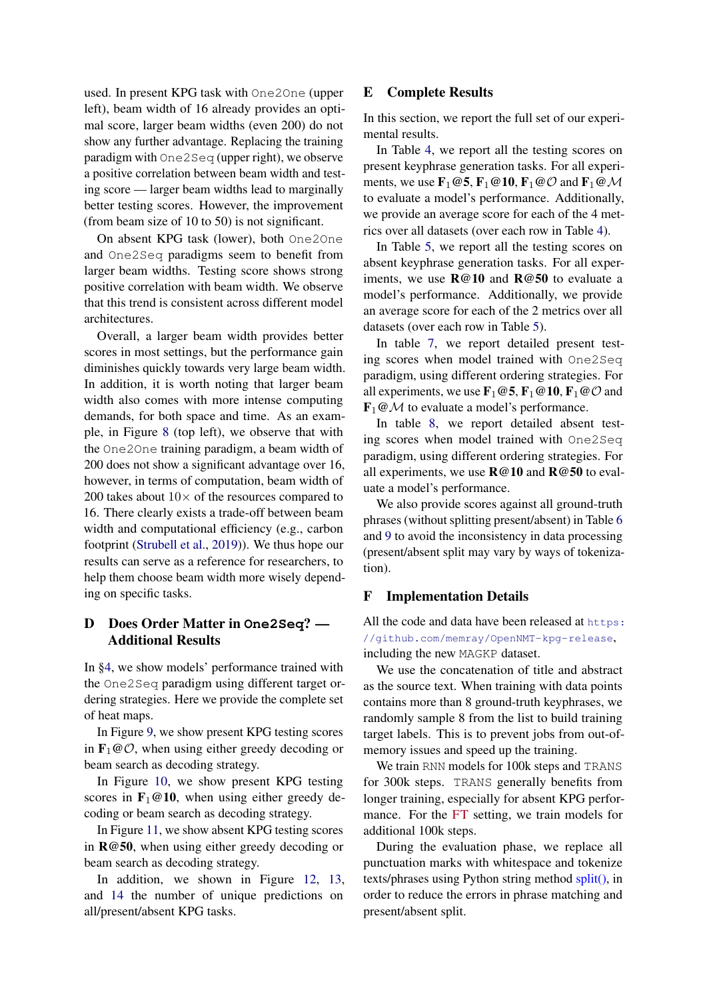used. In present KPG task with One2One (upper left), beam width of 16 already provides an optimal score, larger beam widths (even 200) do not show any further advantage. Replacing the training paradigm with One2Seq (upper right), we observe a positive correlation between beam width and testing score — larger beam widths lead to marginally better testing scores. However, the improvement (from beam size of 10 to 50) is not significant.

On absent KPG task (lower), both One2One and One2Seq paradigms seem to benefit from larger beam widths. Testing score shows strong positive correlation with beam width. We observe that this trend is consistent across different model architectures.

Overall, a larger beam width provides better scores in most settings, but the performance gain diminishes quickly towards very large beam width. In addition, it is worth noting that larger beam width also comes with more intense computing demands, for both space and time. As an example, in Figure [8](#page-12-5) (top left), we observe that with the One2One training paradigm, a beam width of 200 does not show a significant advantage over 16, however, in terms of computation, beam width of 200 takes about  $10\times$  of the resources compared to 16. There clearly exists a trade-off between beam width and computational efficiency (e.g., carbon footprint [\(Strubell et al.,](#page-9-19) [2019\)](#page-9-19)). We thus hope our results can serve as a reference for researchers, to help them choose beam width more wisely depending on specific tasks.

# <span id="page-13-1"></span>D Does Order Matter in **One2Seq**? — Additional Results

In [§4,](#page-4-0) we show models' performance trained with the One2Seq paradigm using different target ordering strategies. Here we provide the complete set of heat maps.

In Figure [9,](#page-20-0) we show present KPG testing scores in  $\mathbf{F}_1 \otimes \mathcal{O}$ , when using either greedy decoding or beam search as decoding strategy.

In Figure [10,](#page-20-1) we show present KPG testing scores in  $\mathbf{F}_1@10$ , when using either greedy decoding or beam search as decoding strategy.

In Figure [11,](#page-21-1) we show absent KPG testing scores in R@50, when using either greedy decoding or beam search as decoding strategy.

In addition, we shown in Figure [12,](#page-21-0) [13,](#page-22-0) and [14](#page-22-1) the number of unique predictions on all/present/absent KPG tasks.

# <span id="page-13-0"></span>E Complete Results

In this section, we report the full set of our experimental results.

In Table [4,](#page-14-0) we report all the testing scores on present keyphrase generation tasks. For all experiments, we use  $\mathbf{F}_1 \textcircled{e} 5$ ,  $\mathbf{F}_1 \textcircled{e} 10$ ,  $\mathbf{F}_1 \textcircled{e} \mathcal{O}$  and  $\mathbf{F}_1 \textcircled{e} \mathcal{M}$ to evaluate a model's performance. Additionally, we provide an average score for each of the 4 metrics over all datasets (over each row in Table [4\)](#page-14-0).

In Table [5,](#page-15-0) we report all the testing scores on absent keyphrase generation tasks. For all experiments, we use R@10 and R@50 to evaluate a model's performance. Additionally, we provide an average score for each of the 2 metrics over all datasets (over each row in Table [5\)](#page-15-0).

In table [7,](#page-17-0) we report detailed present testing scores when model trained with One2Seq paradigm, using different ordering strategies. For all experiments, we use  $\mathbf{F}_1 \textcircled{e} 5$ ,  $\mathbf{F}_1 \textcircled{e} 10$ ,  $\mathbf{F}_1 \textcircled{e} \mathcal{O}$  and  $\mathbf{F}_1 \textcircled{A}$  to evaluate a model's performance.

In table [8,](#page-18-0) we report detailed absent testing scores when model trained with One2Seq paradigm, using different ordering strategies. For all experiments, we use  $R@10$  and  $R@50$  to evaluate a model's performance.

We also provide scores against all ground-truth phrases (without splitting present/absent) in Table [6](#page-16-0) and [9](#page-19-0) to avoid the inconsistency in data processing (present/absent split may vary by ways of tokenization).

# <span id="page-13-2"></span>F Implementation Details

All the code and data have been released at [https:](https://github.com/memray/OpenNMT-kpg-release) [//github.com/memray/OpenNMT-kpg-release](https://github.com/memray/OpenNMT-kpg-release), including the new MAGKP dataset.

We use the concatenation of title and abstract as the source text. When training with data points contains more than 8 ground-truth keyphrases, we randomly sample 8 from the list to build training target labels. This is to prevent jobs from out-ofmemory issues and speed up the training.

We train RNN models for 100k steps and TRANS for 300k steps. TRANS generally benefits from longer training, especially for absent KPG performance. For the FT setting, we train models for additional 100k steps.

During the evaluation phase, we replace all punctuation marks with whitespace and tokenize texts/phrases using Python string method split(), in order to reduce the errors in phrase matching and present/absent split.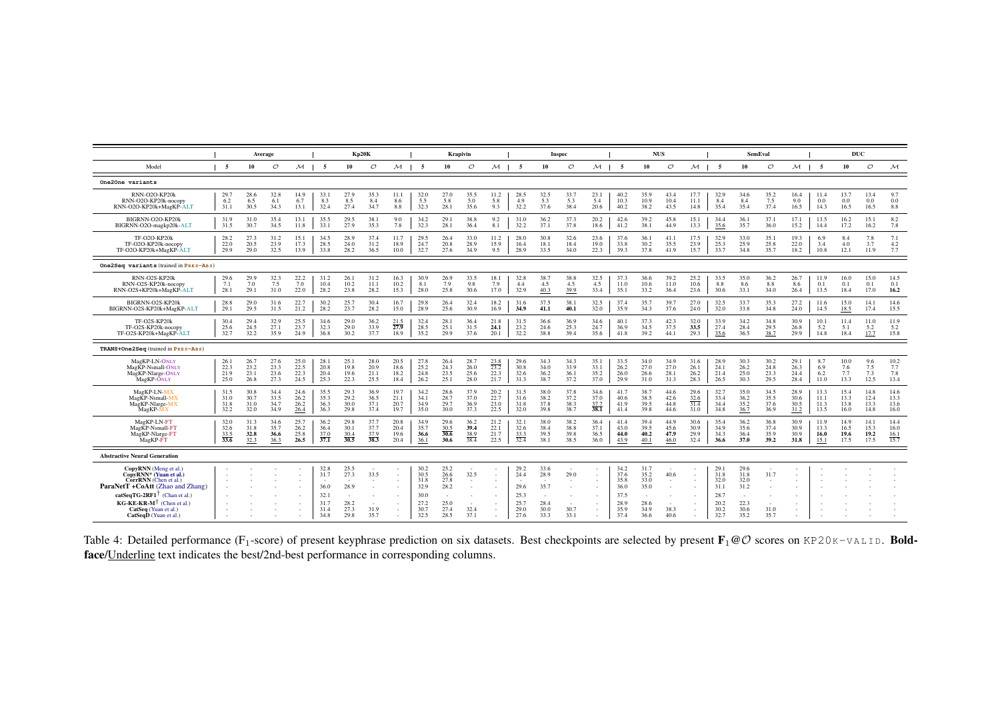<span id="page-14-0"></span>

|                                                                                                                                                                                                                                                  |                              |                              | Average                      |                              |                                                             |                                                        | Kp20K                        |                              |                                                              |                                                                | Krapivin                     |                                     |                                                      |                                                        | Inspec                         |                                     |                                                              | <b>NUS</b>                                           |                              |                                     |                                                              |                                                      | <b>SemEval</b>                           |                              |                              | <b>DUC</b>                   |                              |                              |
|--------------------------------------------------------------------------------------------------------------------------------------------------------------------------------------------------------------------------------------------------|------------------------------|------------------------------|------------------------------|------------------------------|-------------------------------------------------------------|--------------------------------------------------------|------------------------------|------------------------------|--------------------------------------------------------------|----------------------------------------------------------------|------------------------------|-------------------------------------|------------------------------------------------------|--------------------------------------------------------|--------------------------------|-------------------------------------|--------------------------------------------------------------|------------------------------------------------------|------------------------------|-------------------------------------|--------------------------------------------------------------|------------------------------------------------------|------------------------------------------|------------------------------|------------------------------|------------------------------|------------------------------|------------------------------|
| Model                                                                                                                                                                                                                                            | - 5                          | 10                           | $\circ$                      | $M$                          | -5                                                          | 10                                                     | $\circ$                      | $\mathcal{M}$                | 5                                                            | 10                                                             | $\circ$                      | $M$                                 | -5                                                   | 10                                                     | $\circ$                        | $\mathcal{M}$                       | -5                                                           | 10                                                   | $\circ$                      | $M$                                 | -5                                                           | 10                                                   | $\circ$                                  | $M$                          | -5                           | 10                           | $\circ$                      | $\mathcal M$                 |
| One2One variants                                                                                                                                                                                                                                 |                              |                              |                              |                              |                                                             |                                                        |                              |                              |                                                              |                                                                |                              |                                     |                                                      |                                                        |                                |                                     |                                                              |                                                      |                              |                                     |                                                              |                                                      |                                          |                              |                              |                              |                              |                              |
| RNN-O2O-KP20k<br>RNN-O2O-KP20k-nocopy<br>RNN-O2O-KP20k+MagKP-ALT                                                                                                                                                                                 | 29.7<br>6.2<br>31.1          | 28.6<br>6.5<br>30.5          | 32.8<br>6.1<br>34.3          | 14.9<br>6.7<br>13.1          | 33.1<br>8.3<br>32.4                                         | $^{27.9}_{8.5}$<br>27.4                                | 35.3<br>8.4<br>34.7          | 11.1<br>8.6<br>8.8           | 32.0<br>5.5<br>32.3                                          | 27.0<br>5.8<br>28.1                                            | 35.5<br>5.0<br>35.6          | $\frac{11.2}{5.8}$<br>9.3           | 28.5<br>4.9<br>32.2                                  | $32.5$<br>5.3<br>37.6                                  | 33.7<br>5.3<br>38.4            | 23.1<br>5.4<br>20.6                 | 40.2<br>10.3<br>40.2                                         | 35.9<br>10.9<br>38.2                                 | 43.4<br>10.4<br>43.5         | 17.7<br>11.1<br>14.8                | $\frac{32.9}{8.4}$<br>35.4                                   | 34.6<br>8.4<br>35.4                                  | $\frac{35.2}{7.5}$<br>37.4               | 16.4<br>9.0<br>16.5          | 11.4<br>0.0<br>14.3          | 13.7<br>0.0<br>16.5          | 13.4<br>0.0<br>16.5          | 9.7<br>0.0<br>8.8            |
| BIGRNN-O2O-KP20k<br>BIGRNN-O2O-magkp20k-ALT                                                                                                                                                                                                      | 31.9<br>31.5                 | 31.0<br>30.7                 | 35.4<br>34.5                 | 13.1<br>11.8                 | 35.5<br>33.1                                                | 29.5<br>27.9                                           | 38.1<br>35.3                 | 9.0<br>7.8                   | 34.2<br>32.3                                                 | 29.1<br>28.1                                                   | 38.8<br>36.4                 | 9.2<br>8.1                          | 31.0<br>32.2                                         | 36.2<br>37.1                                           | 37.3<br>37.8                   | 20.2<br>18.6                        | 42.6<br>41.2                                                 | 39.2<br>38.1                                         | 45.8<br>44.9                 | 15.1<br>13.3                        | 34.4<br>35.6                                                 | 36.1<br>35.7                                         | 37.1<br>36.0                             | 17.1<br>15.2                 | 13.5<br>14.4                 | 16.2<br>17.2                 | 15.1<br>16.2                 | 8.2<br>7.8                   |
| TF-O2O-KP20k<br>TF-O2O-KP20k-nocopy<br>TF-O2O-KP20k+MagKP-ALT                                                                                                                                                                                    | 28.2<br>22.0<br>29.9         | 27.3<br>20.5<br>29.0         | 31.2<br>23.9<br>32.5         | 15.1<br>17.3<br>13.9         | 34.5<br>28.5<br>33.8                                        | 28.9<br>24.0<br>28.2                                   | 37.4<br>31.2<br>36.5         | 11.7<br>18.9<br>10.0         | 29.5<br>24.7<br>32.7                                         | 26.4<br>20.8<br>27.6                                           | 33.0<br>28.9<br>34.9         | 11.2<br>15.9<br>9.5                 | 28.0<br>16.4<br>28.9                                 | 30.8<br>18.1<br>33.5                                   | 32.6<br>18.4<br>34.0           | 23.6<br>19.0<br>22.3                | 37.6<br>33.8<br>39.3                                         | 36.1<br>30.2<br>37.8                                 | 41.1<br>35.5<br>41.9         | 17.5<br>23.9<br>15.7                | 32.9<br>25.3<br>33.7                                         | 33.0<br>25.9<br>34.8                                 | 35.1<br>25.8<br>35.7                     | 19.3<br>22.0<br>18.2         | 6.9<br>3.4<br>10.8           | 8.4<br>4.0<br>12.1           | 7.8<br>3.7<br>11.9           | 7.1<br>4.2<br>7.7            |
| One2Seq variants (trained in PRES-ABS)                                                                                                                                                                                                           |                              |                              |                              |                              |                                                             |                                                        |                              |                              |                                                              |                                                                |                              |                                     |                                                      |                                                        |                                |                                     |                                                              |                                                      |                              |                                     |                                                              |                                                      |                                          |                              |                              |                              |                              |                              |
| RNN-O2S-KP20k<br>RNN-O2S-KP20k-nocopy<br>RNN-O2S+KP20k+MagKP-ALT                                                                                                                                                                                 | 29.6<br>7.1<br>28.1          | 29.9<br>7.0<br>29.1          | 32.3<br>7.5<br>31.0          | $^{22.2}_{7.0}$<br>22.0      | 31.2<br>10.4<br>28.2                                        | 26.1<br>10.2<br>23.8                                   | 31.2<br>11.1<br>28.2         | 16.3<br>10.2<br>15.3         | 30.9<br>8.1<br>28.0                                          | 26.9<br>7.9<br>25.8                                            | 33.5<br>9.8<br>30.6          | 18.1<br>7.9<br>17.0                 | 32.8<br>4.4<br>32.9                                  | 38.7<br>4.5<br>40.3                                    | 38.8<br>4.5<br>39.9            | 32.5<br>4.5<br>33.4                 | 37.3<br>11.0<br>35.1                                         | 36.6<br>10.6<br>33.2                                 | 39.2<br>11.0<br>36.4         | 25.2<br>10.6<br>23.6                | 33.5<br>8.8<br>30.6                                          | 35.0<br>8.6<br>33.1                                  | 36.2<br>8.8<br>34.0                      | 26.7<br>8.6<br>26.4          | 11.9<br>0.1<br>13.5          | 16.0<br>0.1<br>18.4          | 15.0<br>0.1<br>17.0          | 14.5<br>0.1<br>16.2          |
| BIGRNN-O2S-KP20k<br>BIGRNN-O2S-KP20k+MagKP-ALT                                                                                                                                                                                                   | 28.8<br>29.1                 | 29.0<br>29.5                 | 31.6<br>31.5                 | 22.7<br>21.2                 | 30.2<br>28.2                                                | 25.7<br>23.7                                           | 30.4<br>28.2                 | 16.7<br>15.0                 | 29.8<br>28.9                                                 | 26.4<br>25.6                                                   | 32.4<br>30.9                 | 18.2<br>16.9                        | 31.6<br>34.9                                         | 37.5<br>41.1                                           | 38.1<br>40.1                   | 32.5<br>32.0                        | 37.4<br>35.9                                                 | 35.7<br>34.3                                         | 39.7<br>37.6                 | 27.0<br>24.0                        | 32.5<br>32.0                                                 | 33.7<br>33.8                                         | 35.3<br>34.8                             | 27.2<br>24.0                 | 11.6<br>14.5                 | 15.0<br>18.5                 | 14.1<br>17.4                 | 14.6<br>15.5                 |
| TF-O2S-KP20k<br>TF-O2S-KP20k-nocopy<br>TF-O2S-KP20k+MagKP-ALT                                                                                                                                                                                    | 30.4<br>25.6<br>32.7         | 29.4<br>24.5<br>32.2         | 32.9<br>27.1<br>35.9         | 25.5<br>23.7<br>24.9         | 34.6<br>32.3<br>36.8                                        | 29.0<br>29.0<br>30.2                                   | 36.2<br>33.9<br>37.7         | $\frac{21.5}{27.9}$<br>18.9  | 32.4<br>28.5<br>35.2                                         | 28.1<br>25.1<br>29.9                                           | 36.4<br>31.5<br>37.6         | 21.8<br>24.1<br>20.1                | 31.5<br>23.2<br>32.2                                 | 36.6<br>24.6<br>38.8                                   | 36.9<br>25.3<br>39.4           | 34.6<br>24.7<br>35.6                | 40.1<br>36.9<br>41.8                                         | 37.3<br>34.5<br>39.2                                 | 42.3<br>37.5<br>44.1         | 32.0<br>33.5<br>29.3                | 33.9<br>27.4<br>35.6                                         | 34.2<br>28.4<br>36.5                                 | 34.8<br>29.5<br>38.7                     | 30.9<br>26.8<br>29.9         | 10.1<br>5.2<br>14.8          | 11.4<br>5.1<br>18.4          | 11.0<br>5.2<br>17.7          | 11.9<br>5.2<br>15.8          |
| TRANS+One2Seq (trained in PRES-ABS)                                                                                                                                                                                                              |                              |                              |                              |                              |                                                             |                                                        |                              |                              |                                                              |                                                                |                              |                                     |                                                      |                                                        |                                |                                     |                                                              |                                                      |                              |                                     |                                                              |                                                      |                                          |                              |                              |                              |                              |                              |
| MagKP-LN-ONLY<br>MagKP-Nsmall-ONLY<br>MagKP-Nlarge-ONLY<br>MagKP-ONLY                                                                                                                                                                            | 26.1<br>22.3<br>21.9<br>25.0 | 26.7<br>23.2<br>23.1<br>26.8 | 27.6<br>23.3<br>23.6<br>27.3 | 25.0<br>22.5<br>22.3<br>24.5 | 28.1<br>20.8<br>20.4<br>25.3                                | 25.1<br>19.8<br>19.6<br>22.3                           | 28.0<br>20.9<br>21.1<br>25.5 | 20.5<br>18.6<br>18.2<br>18.4 | 27.8<br>25.2<br>24.8<br>26.2                                 | 26.4<br>24.3<br>23.5<br>25.1                                   | 28.7<br>26.0<br>25.6<br>28.0 | $\frac{23.8}{23.2}$<br>22.3<br>21.7 | 29.6<br>30.8<br>32.6<br>31.3                         | 34.3<br>34.0<br>36.2<br>38.7                           | 34.3<br>33.9<br>36.1<br>37.2   | 35.1<br>33.1<br>35.2<br>37.0        | 33.5<br>26.2<br>26.0<br>29.9                                 | 34.0<br>27.0<br>26.6<br>31.0                         | 34.9<br>27.0<br>28.1<br>31.3 | 31.6<br>26.1<br>26.2<br>28.3        | 28.9<br>24.1<br>21.4<br>26.5                                 | 30.3<br>26.2<br>25.0<br>30.3                         | 30.2<br>24.8<br>23.3<br>29.5             | 29.1<br>26.3<br>24.4<br>28.4 | 8.7<br>6.9<br>6.2<br>11.0    | 10.0<br>7.6<br>7.7<br>13.3   | 9.6<br>7.5<br>7.3<br>12.5    | 10.2<br>7.7<br>7.8<br>13.4   |
| MagKP-LN-MX<br>MagKP-Nsmall-MX<br>MagKP-Nlarge-MX<br>MagKP-MX                                                                                                                                                                                    | 31.5<br>31.0<br>31.8<br>32.2 | 30.8<br>30.7<br>31.0<br>32.0 | 34.4<br>33.5<br>34.7<br>34.9 | 24.6<br>26.2<br>26.2<br>26.4 | 35.5<br>35.3<br>36.3<br>36.3                                | 29.3<br>29.2<br>30.0<br>29.8                           | 36.9<br>36.5<br>37.1<br>37.4 | 19.7<br>21.1<br>20.7<br>19.7 | 34.2<br>34.1<br>34.9<br>35.0                                 | 28.6<br>28.7<br>29.7<br>30.0                                   | 37.9<br>37.0<br>36.9<br>37.3 | 20.2<br>22.7<br>23.0<br>22.5        | 31.5<br>31.6<br>31.8<br>32.0                         | 38.0<br>38.2<br>37.8<br>39.8                           | 37.8<br>37.2<br>38.3<br>38.7   | 34.6<br>37.0<br>$\frac{37.7}{38.1}$ | 41.7<br>40.6<br>41.9<br>41.4                                 | 38.7<br>38.5<br>39.5<br>39.8                         | 44.6<br>42.6<br>44.8<br>44.6 | 29.6<br>$\frac{32.6}{31.4}$<br>31.0 | 32.7<br>33.4<br>34.4<br>34.8                                 | 35.0<br>36.2<br>35.2<br>36.7                         | 34.5<br>35.5<br>37.6<br>36.9             | 28.9<br>30.6<br>30.5<br>31.2 | 13.3<br>11.1<br>11.3<br>13.5 | 15.4<br>13.3<br>13.8<br>16.0 | 14.8<br>12.4<br>13.3<br>14.8 | 14.6<br>13.3<br>13.6<br>16.0 |
| MagKP-LN-FT<br>Mag <sub>KP</sub> -Nsmall-FT<br>MagKP-Nlarge-FT<br>MagKP-FT                                                                                                                                                                       | 32.0<br>32.6<br>33.5<br>33.6 | 31.3<br>31.8<br>32.8<br>32.3 | 34.6<br>35.7<br>36.6<br>36.3 | 25.7<br>26.2<br>25.8<br>26.5 | 36.2<br>36.4<br>37.0<br>$\overline{37.1}$                   | 29.8<br>30.1<br>30.4<br>30.5                           | 37.7<br>37.7<br>37.9<br>38.3 | 20.8<br>20.4<br>19.6<br>20.4 | 34.9<br>35.7<br>36.6<br>36.1                                 | 29.6<br>$\frac{30.5}{30.6}$<br>30.6                            | 36.2<br>39.4<br>38.9<br>38.4 | 21.2<br>22.1<br>21.7<br>22.5        | 32.1<br>32.6<br>33.3<br>32.4                         | 38.0<br>38.4<br>39.5<br>38.1                           | 38.2<br>38.8<br>39.8<br>38.5   | 36.4<br>37.1<br>36.5<br>36.0        | 41.4<br>43.0<br>44.0<br>43.9                                 | 39.4<br>39.5<br>40.2<br>40.1                         | 44.9<br>45.6<br>47.9<br>46.0 | 30.6<br>30.9<br>29.9<br>32.4        | 35.4<br>34.9<br>34.3<br>36.6                                 | 36.2<br>35.6<br>36.4<br>37.0                         | 36.8<br>37.4<br>35.9<br>39.2             | 30.9<br>30.9<br>30.9<br>31.8 | 11.9<br>13.3<br>16.0<br>15.1 | 14.9<br>16.5<br>19.6<br>17.5 | 14.1<br>15.3<br>19.2<br>17.5 | 14.4<br>16.0<br>16.1<br>15.7 |
| <b>Abstractive Neural Generation</b>                                                                                                                                                                                                             |                              |                              |                              |                              |                                                             |                                                        |                              |                              |                                                              |                                                                |                              |                                     |                                                      |                                                        |                                |                                     |                                                              |                                                      |                              |                                     |                                                              |                                                      |                                          |                              |                              |                              |                              |                              |
| CopyRNN (Meng et al.)<br>CopyRNN* (Yuan et al.)<br>CorrRNN (Chen et al.)<br>ParaNetT +CoAtt (Zhao and Zhang)<br>catSeqTG-2RF1 $\bar{ }$ (Chan et al.)<br>$KG-KE-KR-M$ <sup>T</sup> (Chen et al.)<br>CatSeq (Yuan et al.)<br>CatSeqD (Yuan et al. |                              |                              |                              |                              | 32.8<br>31.7<br>- 1<br>36.0<br>32.1<br>31.7<br>31.4<br>34.8 | 25.5<br>27.3<br>$\sim$<br>28.9<br>28.2<br>27.3<br>29.8 | 33.5<br>31.9<br>35.7         | $\sim$                       | 30.2<br>30.5<br>31.8<br>32.9<br>30.0<br>27.2<br>30.7<br>32.5 | 25.2<br>26.6<br>27.8<br>28.2<br>$\sim$<br>25.0<br>27.4<br>28.5 | 32.5<br>. .<br>32.4<br>37.1  | $\mathbf{r}$<br>. .                 | 29.2<br>24.4<br>29.6<br>25.3<br>25.7<br>29.0<br>27.6 | 33.6<br>28.9<br>$\sim$<br>35.7<br>28.4<br>30.0<br>33.3 | 29.0<br>$\sim$<br>30.7<br>33.1 |                                     | 34.2<br>37.6<br>35.8<br>36.0<br>37.5<br>28.9<br>35.9<br>37.4 | 31.7<br>35.2<br>33.0<br>35.0<br>28.6<br>34.9<br>36.6 | 40.6<br>38.3<br>40.6         |                                     | 29.1<br>31.8<br>32.0<br>31.1<br>28.7<br>20.2<br>30.2<br>32.7 | 29.6<br>31.8<br>32.0<br>31.2<br>22.3<br>30.6<br>35.2 | 31.7<br>$\sim$<br>$\sim$<br>31.0<br>35.7 |                              |                              |                              |                              |                              |

Table 4: Detailed performance (F<sub>1</sub>-score) of present keyphrase prediction on six datasets. Best checkpoints are selected by present  $\mathbf{F}_1 \otimes \mathcal{O}$  scores on KP20K-VALID. **Bold-**<br>**face**/<u>Underline</u> text indicates the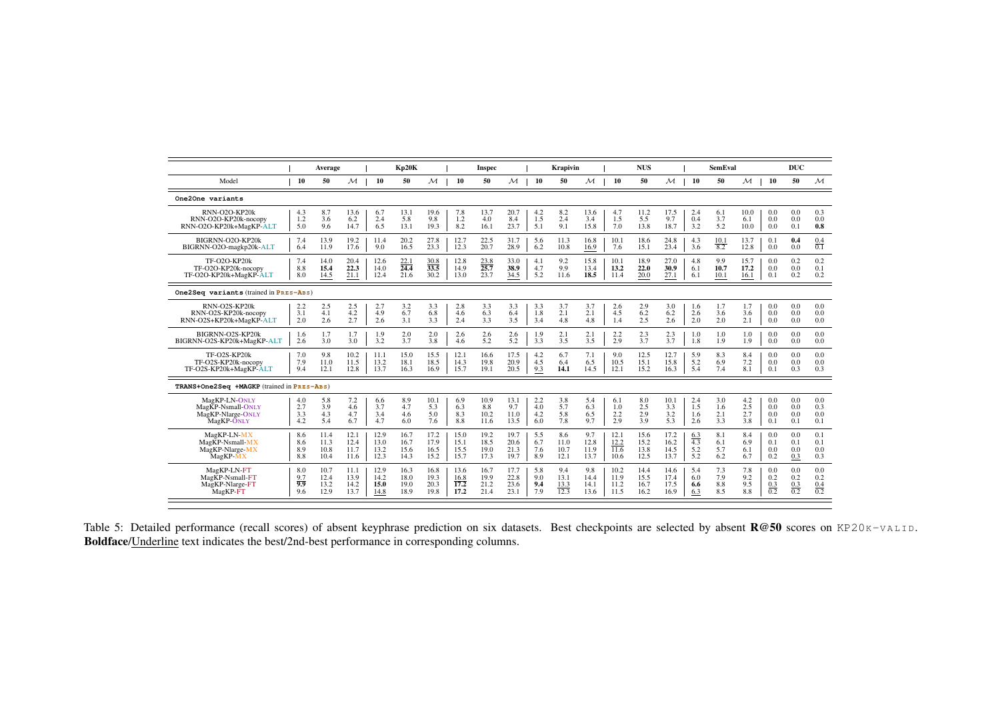|                                                                      |                   | Average              |                        |                      | Kp20K                             |                             |                      | <b>Inspec</b>               |                      |                   | Krapivin           |                        |                      | <b>NUS</b>           |                        |                   | <b>SemEval</b>      |                      |                   | <b>DUC</b>        |                   |
|----------------------------------------------------------------------|-------------------|----------------------|------------------------|----------------------|-----------------------------------|-----------------------------|----------------------|-----------------------------|----------------------|-------------------|--------------------|------------------------|----------------------|----------------------|------------------------|-------------------|---------------------|----------------------|-------------------|-------------------|-------------------|
| Model                                                                | 10                | 50                   | $\mathcal{M}_{\alpha}$ | 10                   | 50                                | $\mathcal{M}$               | 10                   | 50                          | $\mathcal{M}$        | <b>10</b>         | 50                 | $\mathcal{M}_{\alpha}$ | 10                   | 50                   | $\mathcal{M}_{\alpha}$ | 10                | 50                  | $\mathcal M$         | 10                | 50                | $\mathcal{M}$     |
| One2One variants                                                     |                   |                      |                        |                      |                                   |                             |                      |                             |                      |                   |                    |                        |                      |                      |                        |                   |                     |                      |                   |                   |                   |
| RNN-O2O-KP20k                                                        | 4.3               | 8.7                  | 13.6                   | 6.7                  | 13.1                              | 19.6                        | 7.8                  | 13.7                        | 20.7                 | 4.2               | 8.2                | 13.6                   | 4.7                  | 11.2                 | 17.5                   | 2.4               | 6.1                 | 10.0                 | 0.0               | 0.0               | 0.3               |
| RNN-O2O-KP20k-nocopy                                                 | 1.2               | 3.6                  | 6.2                    | 2.4                  | 5.8                               | 9.8                         | 1.2                  | 4.0                         | 8.4                  | 1.5               | 2.4                | 3.4                    | 1.5                  | 5.5                  | 9.7                    | 0.4               | 3.7                 | 6.1                  | 0.0               | 0.0               | 0.0               |
| RNN-O2O-KP20k+MagKP-ALT                                              | 5.0               | 9.6                  | 14.7                   | 6.5                  | 13.1                              | 19.3                        | 8.2                  | 16.1                        | 23.7                 | 5.1               | 9.1                | 15.8                   | 7.0                  | 13.8                 | 18.7                   | 3.2               | 5.2                 | 10.0                 | 0.0               | 0.1               | 0.8               |
| BIGRNN-O2O-KP20k                                                     | 7.4               | 13.9                 | 19.2                   | 11.4                 | 20.2                              | 27.8                        | 12.7                 | 22.5                        | 31.7                 | 5.6               | 11.3               | 16.8                   | 10.1                 | 18.6                 | 24.8                   | 4.3               | 10.1                | 13.7                 | 0.1               | 0.4               | 0.4               |
| BIGRNN-O2O-magkp20k-ALT                                              | 6.4               | 11.9                 | 17.6                   | 9.0                  | 16.5                              | 23.3                        | 12.3                 | 20.7                        | 28.9                 | 6.2               | 10.8               | 16.9                   | 7.6                  | 15.1                 | 23.4                   | 3.6               | $\overline{8.2}$    | 12.8                 | 0.0               | 0.0               | $\overline{0.1}$  |
| <b>TF-O2O-KP20k</b><br>TF-O2O-KP20k-nocopy<br>TF-O2O-KP20k+MagKP-ALT | 7.4<br>8.8<br>8.0 | 14.0<br>15.4<br>14.5 | 20.4<br>22.3<br>21.1   | 12.6<br>14.0<br>12.4 | 22.1<br>$\overline{24.4}$<br>21.6 | $\frac{30.8}{33.5}$<br>30.2 | 12.8<br>14.9<br>13.0 | $\frac{23.8}{25.7}$<br>23.7 | 33.0<br>38.9<br>34.5 | 4.1<br>4.7<br>5.2 | 9.2<br>9.9<br>11.6 | 15.8<br>13.4<br>18.5   | 10.1<br>13.2<br>11.4 | 18.9<br>22.0<br>20.0 | 27.0<br>30.9<br>27.1   | 4.8<br>6.1<br>6.1 | 9.9<br>10.7<br>10.1 | 15.7<br>17.2<br>16.1 | 0.0<br>0.0<br>0.1 | 0.2<br>0.0<br>0.2 | 0.2<br>0.1<br>0.2 |
| One2Seq variants (trained in PRES-ABS)                               |                   |                      |                        |                      |                                   |                             |                      |                             |                      |                   |                    |                        |                      |                      |                        |                   |                     |                      |                   |                   |                   |
| RNN-O2S-KP20k                                                        | 2.2               | 2.5                  | 2.5                    | 2.7                  | 3.2                               | 3.3                         | 2.8                  | 3.3                         | 3.3                  | 3.3               | 3.7                | 3.7                    | 2.6                  | 2.9                  | 3.0                    | 1.6               | 1.7                 | 1.7                  | 0.0               | 0.0               | 0.0               |
| RNN-O2S-KP20k-nocopy                                                 | 3.1               | 4.1                  | 4.2                    | 4.9                  | 6.7                               | 6.8                         | 4.6                  | 6.3                         | 6.4                  | 1.8               | 2.1                | 2.1                    | 4.5                  | 6.2                  | 6.2                    | 2.6               | 3.6                 | 3.6                  | 0.0               | 0.0               | 0.0               |
| RNN-O2S+KP20k+MagKP-ALT                                              | 2.0               | 2.6                  | 2.7                    | 2.6                  | 3.1                               | 3.3                         | 2.4                  | 3.3                         | 3.5                  | 3.4               | 4.8                | 4.8                    | 1.4                  | 2.5                  | 2.6                    | 2.0               | 2.0                 | 2.1                  | 0.0               | 0.0               | 0.0               |
| BIGRNN-O2S-KP20k                                                     | 1.6               | 1.7                  | 1.7                    | 1.9                  | 2.0                               | 2.0                         | 2.6                  | 2.6                         | 2.6                  | 1.9               | 2.1                | 2.1                    | 2.2                  | 2.3                  | 2.3                    | 1.0               | 1.0                 | 1.0                  | 0.0               | 0.0               | 0.0               |
| BIGRNN-O2S-KP20k+MagKP-ALT                                           | 2.6               | 3.0                  | 3.0                    | 3.2                  | 3.7                               | 3.8                         | 4.6                  | 5.2                         | 5.2                  | 3.3               | 3.5                | 3.5                    | 2.9                  | 3.7                  | 3.7                    | 1.8               | 1.9                 | 1.9                  | 0.0               | 0.0               | 0.0               |
| TF-O2S-KP20k                                                         | 7.0               | 9.8                  | 10.2                   | 11.1                 | 15.0                              | 15.5                        | 12.1                 | 16.6                        | 17.5                 | 4.2               | 6.7                | 7.1                    | 9.0                  | 12.5                 | 12.7                   | 5.9               | 8.3                 | 8.4                  | 0.0               | 0.0               | 0.0               |
| TF-O2S-KP20k-nocopy                                                  | 7.9               | 11.0                 | 11.5                   | 13.2                 | 18.1                              | 18.5                        | 14.3                 | 19.8                        | 20.9                 | 4.5               | 6.4                | 6.5                    | 10.5                 | 15.1                 | 15.8                   | 5.2               | 6.9                 | 7.2                  | 0.0               | 0.0               | 0.0               |
| TF-O2S-KP20k+MagKP-ALT                                               | 9.4               | 12.1                 | 12.8                   | 13.7                 | 16.3                              | 16.9                        | 15.7                 | 19.1                        | 20.5                 | 9.3               | 14.1               | 14.5                   | 12.1                 | 15.2                 | 16.3                   | 5.4               | 7.4                 | 8.1                  | 0.1               | 0.3               | 0.3               |
| TRANS+One2Seq +MAGKP (trained in PRES-ABS)                           |                   |                      |                        |                      |                                   |                             |                      |                             |                      |                   |                    |                        |                      |                      |                        |                   |                     |                      |                   |                   |                   |
| MagKP-LN-ONLY                                                        | 4.0               | 5.8                  | 7.2                    | 6.6                  | 8.9                               | 10.1                        | 6.9                  | 10.9                        | 13.1                 | 2.2               | 3.8                | 5.4                    | 6.1                  | 8.0                  | 10.1                   | 2.4               | 3.0                 | 4.2                  | 0.0               | 0.0               | 0.0               |
| MagKP-Nsmall-ONLY                                                    | 2.7               | 3.9                  | 4.6                    | 3.7                  | 4.7                               | 5.3                         | 6.3                  | 8.8                         | 9.7                  | 4.0               | 5.7                | 6.3                    | 1.0                  | 2.5                  | 3.3                    | 1.5               | 1.6                 | 2.5                  | 0.0               | 0.0               | 0.3               |
| MagKP-Nlarge-ONLY                                                    | 3.3               | 4.3                  | 4.7                    | 3.4                  | 4.6                               | 5.0                         | 8.3                  | 10.2                        | 11.0                 | 4.2               | 5.8                | 6.5                    | 2.2                  | 2.9                  | 3.2                    | 1.6               | 2.1                 | 2.7                  | 0.0               | 0.0               | 0.0               |
| MagKP ONLY                                                           | 4.2               | 5.4                  | 6.7                    | 4.7                  | 6.0                               | 7.6                         | 8.8                  | 11.6                        | 13.5                 | 6.0               | 7.8                | 9.7                    | 2.9                  | 3.9                  | 5.3                    | 2.6               | 3.3                 | 3.8                  | 0.1               | 0.1               | 0.1               |
| MagKP-LN-MX                                                          | 8.6               | 11.4                 | 12.1                   | 12.9                 | 16.7                              | 17.2                        | 15.0                 | 19.2                        | 19.7                 | 5.5               | 8.6                | 9.7                    | 12.1                 | 15.6                 | 17.2                   | 6.3               | 8.1                 | 8.4                  | 0.0               | 0.0               | 0.1               |
| MagKP-Nsmall-MX                                                      | 8.6               | 11.3                 | 12.4                   | 13.0                 | 16.7                              | 17.9                        | 15.1                 | 18.5                        | 20.6                 | 6.7               | 11.0               | 12.8                   | 12.2                 | 15.2                 | 16.2                   | $\overline{4.3}$  | 6.1                 | 6.9                  | 0.1               | 0.1               | 0.1               |
| MagKP-Nlarge-MX                                                      | 8.9               | 10.8                 | 11.7                   | 13.2                 | 15.6                              | 16.5                        | 15.5                 | 19.0                        | 21.3                 | 7.6               | 10.7               | 11.9                   | $\overline{11.6}$    | 13.8                 | 14.5                   | 5.2               | 5.7                 | 6.1                  | 0.0               | 0.0               | 0.0               |
| MagKP-MX                                                             | 8.8               | 10.4                 | 11.6                   | 12.3                 | 14.3                              | 15.2                        | 15.7                 | 17.3                        | 19.7                 | 8.9               | 12.1               | 13.7                   | 10.6                 | 12.5                 | 13.7                   | 5.2               | 6.2                 | 6.7                  | 0.2               | 0.3               | 0.3               |
| MagKP-LN-FT                                                          | 8.0               | 10.7                 | 11.1                   | 12.9                 | 16.3                              | 16.8                        | 13.6                 | 16.7                        | 17.7                 | 5.8               | 9.4                | 9.8                    | 10.2                 | 14.4                 | 14.6                   | 5.4               | 7.3                 | 7.8                  | 0.0               | 0.0               | 0.0               |
| Mag <sub>KP</sub> -N <sub>small-FT</sub>                             | 9.7               | 12.4                 | 13.9                   | 14.2                 | 18.0                              | 19.3                        | 16.8                 | 19.9                        | 22.8                 | 9.0               | 13.1               | 14.4                   | 11.9                 | 15.5                 | 17.4                   | 6.0               | 7.9                 | 9.2                  | 0.2               | 0.2               | 0.2               |
| MagKP-Nlarge-FT                                                      | 9.9               | 13.2                 | 14.2                   | 15.0                 | 19.0                              | 20.3                        | 17.2                 | 21.2                        | 23.6                 | 9.4               | 13.3               | 14.1                   | 11.2                 | 16.7                 | 17.5                   | 6.6               | 8.8                 | 9.5                  | 0.3               | 0.3               | 0.4               |
| MagKP-FT                                                             | 9.6               | 12.9                 | 13.7                   | 14.8                 | 18.9                              | 19.8                        | 17.2                 | 21.4                        | 23.1                 | 7.9               | 12.3               | 13.6                   | 11.5                 | 16.2                 | 16.9                   | 6.3               | 8.5                 | 8.8                  | $\overline{0.2}$  | $\overline{0.2}$  | $\overline{0.2}$  |

<span id="page-15-0"></span>Table 5: Detailed performance (recall scores) of absent keyphrase prediction on six datasets. Best checkpoints are selected by absent R@50 scores on KP20K-VALID.<br>B<mark>oldface/Underline</mark> text indicates the best/2nd-best perfor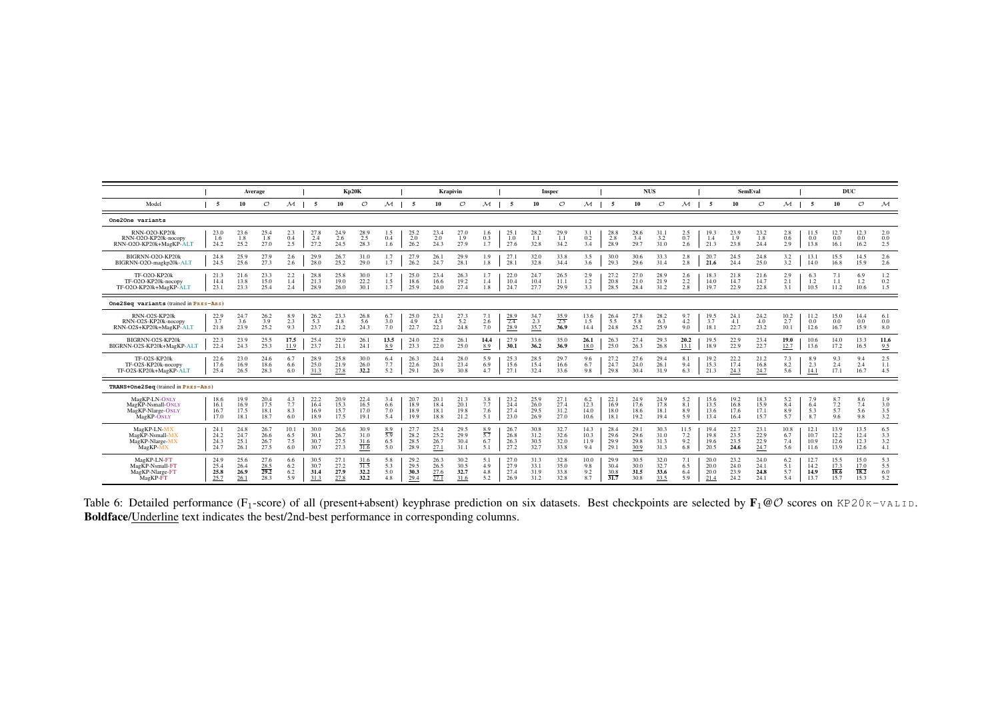<span id="page-16-0"></span>

|                                                                                    |                              |                              | Average                             |                           |                              |                              | <b>Kp20K</b>                 |                                 |                              |                                     | Krapivin                     |                                 |                              |                              | Inspec                       |                             |                                         |                              | <b>NUS</b>                   |                                |                              |                              | <b>SemEval</b>               |                           |                              | DUC                                 |                              |                                 |
|------------------------------------------------------------------------------------|------------------------------|------------------------------|-------------------------------------|---------------------------|------------------------------|------------------------------|------------------------------|---------------------------------|------------------------------|-------------------------------------|------------------------------|---------------------------------|------------------------------|------------------------------|------------------------------|-----------------------------|-----------------------------------------|------------------------------|------------------------------|--------------------------------|------------------------------|------------------------------|------------------------------|---------------------------|------------------------------|-------------------------------------|------------------------------|---------------------------------|
| Model                                                                              | 5                            | 10                           | $\circ$                             | м                         | 5                            | 10                           | $\circ$                      | м                               | -5                           | 10                                  | $\circ$                      | м                               | 5                            | 10                           | $\mathcal{O}$                | М                           | 5                                       | 10                           | $\mathcal{O}$                | $\mathcal M$                   | -5                           | 10                           | $\circ$                      | $\mathcal M$              | 5                            | 10                                  | $\mathcal{O}$                | $\mathcal M$                    |
| One2One variants                                                                   |                              |                              |                                     |                           |                              |                              |                              |                                 |                              |                                     |                              |                                 |                              |                              |                              |                             |                                         |                              |                              |                                |                              |                              |                              |                           |                              |                                     |                              |                                 |
| RNN-O2O-KP20k<br>RNN-O2O-KP20k-nocopy<br>RNN-O2O-KP20k+MagKP-ALT                   | 23.0<br>1.6<br>24.2          | 23.6<br>1.8<br>25.2          | 25.4<br>1.8<br>27.0                 | 2.3<br>0.4<br>2.5         | 27.8<br>2.4<br>27.2          | 24.9<br>2.6<br>24.5          | 28.9<br>2.5<br>28.3          | $^{1.5}_{0.4}$<br>1.6           | 25.2<br>2.0<br>26.2          | 23.4<br>2.0<br>24.3                 | 27.0<br>1.9<br>27.9          | 1.6<br>0.3<br>1.7               | 25.<br>1.0<br>27.6           | 28.2<br>1.1<br>32.8          | 29.9<br>1.1<br>34.2          | 3.1<br>0.2<br>3.4           | 28.8<br>2.8<br>28.9                     | 28.6<br>3.4<br>29.7          | 31.1<br>3.2<br>31.0          | $^{2.5}_{0.7}$<br>2.6          | 19.3<br>1.4<br>21.3          | 23.9<br>1.9<br>23.8          | 23.2<br>1.8<br>24.4          | 2.8<br>0.6<br>2.9         | 11.5<br>0.0<br>13.8          | 12.7<br>0.0<br>16.1                 | 12.3<br>0.0<br>16.2          | 2.0<br>0.0<br>2.5               |
| BIGRNN-O2O-KP20k<br>BIGRNN-O2O-magkp20k-ALT                                        | 24.8<br>24.5                 | 25.9<br>25.6                 | 27.9<br>27.3                        | 2.6<br>2.6                | 29.9<br>28.0                 | 26.7<br>25.2                 | 31.0<br>29.0                 | 1.7<br>1.7                      | 27.9<br>26.2                 | 26.1<br>24.7                        | 29.9<br>28.1                 | 1.9<br>1.8                      | 27.<br>28.                   | 32.0<br>32.8                 | 33.8<br>34.4                 | 3.5<br>3.6                  | 30.0<br>29.3                            | 30.6<br>29.6                 | 33.3<br>31.4                 | 2.8<br>2.8                     | 20.7<br>21.6                 | 24.5<br>24.4                 | 24.8<br>25.0                 | 3.2<br>3.2                | 13.1<br>14.0                 | 15.5<br>16.8                        | 14.5<br>15.9                 | 2.6<br>2.6                      |
| TF-O2O-KP20k<br>TF-O2O-KP20k-nocopy<br>TF-O2O-KP20k+MagKP-ALT                      | 21.3<br>14.4<br>23.1         | 21.6<br>13.8<br>23.3         | 23.3<br>15.0<br>25.4                | 2.2<br>1.4<br>2.4         | 28.8<br>21.3<br>28.9         | 25.8<br>19.0<br>26.0         | 30.0<br>22.2<br>30.1         | 1.7<br>1.5<br>1.7               | 25.0<br>18.6<br>25.9         | 23.4<br>16.6<br>24.0                | 26.3<br>19.2<br>27.4         | 1.7<br>1.4<br>1.8               | 22.0<br>10.4<br>24.7         | 24.7<br>10.4<br>27.7         | 26.5<br>11.1<br>29.9         | 2.9<br>1.2<br>3.3           | 27.2<br>20.8<br>28.5                    | 27.0<br>21.0<br>28.4         | 28.9<br>21.9<br>31.2         | 2.6<br>$2.2\phantom{0}$<br>2.8 | 18.3<br>14.0<br>19.7         | 21.8<br>14.7<br>22.9         | 21.6<br>14.7<br>22.8         | 2.9<br>2.1<br>3.1         | 6.3<br>1.2<br>10.5           | 1.1<br>11.2                         | 6.9<br>1.2<br>10.6           | $1.2\,$<br>0.2<br>1.5           |
| One2Seq variants (trained in PRES-ABS)                                             |                              |                              |                                     |                           |                              |                              |                              |                                 |                              |                                     |                              |                                 |                              |                              |                              |                             |                                         |                              |                              |                                |                              |                              |                              |                           |                              |                                     |                              |                                 |
| RNN-O2S-KP20k<br>RNN-O2S-KP20k-nocopy<br>RNN-O2S+KP20k+MagKP-ALT                   | 22.9<br>3.7<br>21.8          | 24.7<br>3.6<br>23.9          | 26.2<br>3.9<br>25.2                 | 8.9<br>2.3<br>9.3         | 26.2<br>5.3<br>23.7          | 23.3<br>4.8<br>21.2          | 26.8<br>5.6<br>24.3          | 6.7<br>3.0<br>7.0               | 25.0<br>4.9<br>22.7          | 23.1<br>4.5<br>22.1                 | 27.3<br>5.2<br>24.8          | 7.1<br>2.6<br>7.0               | $\frac{28.9}{2.4}$<br>28.9   | 34.7<br>2.3<br>35.7          | $\frac{35.9}{2.5}$<br>36.9   | 13.6<br>1.5<br>14.4         | 26.4<br>5.5<br>24.8                     | 27.8<br>5.8<br>25.2          | 28.2<br>6.3<br>25.9          | 9.7<br>4.2<br>9.0              | 19.5<br>3.7<br>18.1          | 24.1<br>4.1<br>22.7          | 24.2<br>4.0<br>23.2          | 10.2<br>2.7<br>10.1       | 11.2<br>0.0<br>12.6          | 15.0<br>0.0<br>16.7                 | 14.4<br>0.0<br>15.9          | 6.1<br>0.0<br>8.0               |
| BIGRNN-O2S-KP20k<br>BIGRNN-O2S-KP20k+MagKP-ALT                                     | 22.3<br>22.4                 | 23.9<br>24.3                 | 25.5<br>25.3                        | 17.5<br>11.9              | 25.4<br>23.7                 | 22.9<br>21.1                 | 26.1<br>24.1                 | 13.5<br>8.9                     | 24.0<br>23.3                 | 22.8<br>22.0                        | 26.1<br>25.0                 | 14.4<br>8.9                     | 27.9<br>30.1                 | 33.6<br>36.2                 | 35.0<br>36.9                 | 26.1<br>18.0                | 26.3<br>25.0                            | 27.4<br>26.3                 | 29.3<br>26.8                 | 20.2<br>13.1                   | 19.5<br>18.9                 | 22.9<br>22.9                 | 23.4<br>22.7                 | 19.0<br>12.7              | 10.6<br>13.6                 | 14.0<br>17.2                        | 13.3<br>16.5                 | 11.6<br>9.5                     |
| TF-O2S-KP20k<br>TF-O2S-KP20k-nocopy<br>TF-O2S-KP20k+MagKP-ALT                      | 22.6<br>17.6<br>25.4         | 23.0<br>16.9<br>26.5         | 24.6<br>18.6<br>28.3                | 6.7<br>6.6<br>6.0         | 28.9<br>25.0<br>31.3         | 25.8<br>21.9<br>27.8         | 30.0<br>26.0<br>32.2         | 6.4<br>7.7<br>5.2               | 26.3<br>22.6<br>29.1         | 24.4<br>20.1<br>26.9                | 28.0<br>23.4<br>30.8         | 5.9<br>6.9<br>4.7               | 25.3<br>15.6<br>27.1         | 28.5<br>15.4<br>32.4         | 29.7<br>16.6<br>33.6         | 9.6<br>6.7<br>9.8           | 27.2<br>24.7<br>29.8                    | 27.6<br>24.0<br>30.4         | 29.4<br>26.1<br>31.9         | 8.1<br>9.4<br>6.3              | 19.2<br>15.3<br>21.3         | 22.2<br>17.4<br>24.3         | 21.2<br>16.8<br>24.7         | 7.3<br>8.2<br>5.6         | 8.9<br>2.3<br>14.1           | 9.3<br>2.4<br>17.1                  | 9.4<br>2.4<br>16.7           | 2.5<br>1.1<br>4.5               |
| TRANS+One2Seq (trained in PRES-ABS)                                                |                              |                              |                                     |                           |                              |                              |                              |                                 |                              |                                     |                              |                                 |                              |                              |                              |                             |                                         |                              |                              |                                |                              |                              |                              |                           |                              |                                     |                              |                                 |
| MagKP-LN-ONLY<br>Mag <sub>KP</sub> -Nsmall-ONLY<br>MagKP-Nlarge-ONLY<br>MagKP-ONLY | 18.6<br>16.1<br>16.7<br>17.0 | 19.9<br>16.9<br>17.5<br>18.1 | 20.4<br>17.5<br>18.1<br>18.7        | 4.3<br>7.7<br>8.3<br>6.0  | 22.2<br>16.4<br>16.9<br>18.9 | 20.9<br>15.3<br>15.7<br>17.5 | 22.4<br>16.5<br>17.0<br>19.1 | 3.4<br>6.6<br>7.0<br>5.4        | 20.7<br>18.9<br>18.9<br>19.9 | 20.1<br>18.4<br>18.1<br>18.8        | 21.3<br>20.1<br>19.8<br>21.2 | 3.8<br>7.7<br>7.6<br>5.1        | 23.2<br>24.4<br>27.4<br>23.0 | 25.9<br>26.0<br>29.5<br>26.9 | 27.1<br>27.4<br>31.2<br>27.0 | 6.2<br>12.3<br>14.0<br>10.6 | 22.1<br>16.9<br>18.0<br>18.1            | 24.9<br>17.6<br>18.6<br>19.2 | 24.9<br>17.8<br>18.1<br>19.4 | 5.2<br>8.1<br>8.9<br>5.9       | 15.6<br>13.5<br>13.6<br>13.4 | 19.2<br>16.8<br>17.6<br>16.4 | 18.3<br>15.9<br>17.1<br>15.7 | 5.2<br>8.4<br>8.9<br>5.7  | 7.9<br>6.4<br>5.3<br>8.7     | 8.7<br>7.2<br>5.7<br>9.6            | 8.6<br>7.4<br>5.6<br>9.8     | 1.9<br>3.0<br>$\frac{3.5}{3.2}$ |
| MagKP-LN-MX<br>MagKP-Nsmall-MX<br>MagKP-Nlarge-MX<br>MagKP-MX                      | 24.1<br>24.2<br>24.3<br>24.7 | 24.8<br>24.7<br>25.1<br>26.1 | 26.7<br>26.6<br>26.7<br>27.5        | 10.1<br>6.5<br>7.5<br>6.0 | 30.0<br>30.1<br>30.7<br>30.7 | 26.6<br>26.7<br>27.5<br>27.3 | 30.9<br>31.0<br>31.6<br>31.6 | $\frac{8.9}{5.9}$<br>6.5<br>5.0 | 27.7<br>28.2<br>28.5<br>28.9 | 25.4<br>25.2<br>26.7<br>27.1        | 29.5<br>29.9<br>30.4<br>31.1 | $\frac{8.9}{5.7}$<br>6.7<br>5.1 | 26.7<br>26.8<br>26.3<br>27.2 | 30.8<br>31.2<br>30.5<br>32.7 | 32.7<br>32.6<br>32.0<br>33.8 | 14.3<br>10.3<br>11.9<br>9.4 | 28.4<br>29.6<br>29.9<br>29.1            | 29.1<br>29.6<br>29.8<br>30.9 | 30.3<br>31.0<br>31.3<br>31.3 | 11.5<br>7.2<br>9.2<br>6.8      | 19.4<br>19.8<br>19.6<br>20.5 | 22.7<br>23.5<br>23.5<br>24.6 | 23.1<br>22.9<br>22.9<br>24.7 | 10.8<br>6.7<br>7.4<br>5.6 | 12.1<br>10.7<br>10.9<br>11.6 | 13.9<br>12.2<br>12.6<br>13.9        | 13.5<br>12.4<br>12.3<br>12.6 | 6.5<br>3.3<br>3.2<br>4.1        |
| MagKP-LN-FT<br>MagKP-Nsmall-FT<br>MagKP-Nlarge-FT<br>MagKP-FT                      | 24.9<br>25.4<br>25.8<br>25.7 | 25.6<br>26.4<br>26.9<br>26.1 | 27.6<br>$\frac{28.5}{29.2}$<br>28.3 | 6.6<br>6.2<br>6.2<br>5.9  | 30.5<br>30.7<br>31.4<br>31.3 | 27.1<br>27.2<br>27.9<br>27.8 | 31.6<br>31.5<br>32.2<br>32.2 | 5.8<br>5.3<br>5.0<br>4.8        | 29.2<br>29.5<br>30.3<br>29.4 | 26.3<br>26.5<br>$\frac{27.6}{27.1}$ | 30.2<br>30.5<br>32.7<br>31.6 | 5.1<br>4.9<br>4.8<br>5.2        | 27.0<br>27.9<br>27.4<br>26.9 | 31.3<br>33.1<br>31.9<br>31.2 | 32.8<br>35.0<br>33.8<br>32.8 | 10.0<br>9.8<br>9.2<br>8.7   | 29.9<br>30.4<br>30.8<br>$\overline{31}$ | 30.5<br>30.0<br>31.5<br>30.8 | 32.0<br>32.7<br>33.6<br>33.5 | 7.1<br>6.5<br>6.4<br>5.9       | 20.0<br>20.0<br>20.0<br>21.4 | 23.2<br>24.0<br>23.9<br>24.2 | 24.0<br>24.1<br>24.8<br>24.1 | 6.2<br>5.1<br>5.7<br>5.4  | 12.7<br>14.2<br>14.9<br>13.7 | 15.5<br>$\frac{17.3}{18.6}$<br>15.7 | 15.0<br>17.0<br>18.2<br>15.3 | 5.3<br>5.5<br>6.0<br>5.2        |

Table 6: Detailed performance (F<sub>1</sub>-score) of all (present+absent) keyphrase prediction on six datasets. Best checkpoints are selected by  $\mathbf{F}_1 \otimes \mathcal{O}$  scores on KP20K-VALID.<br>**Boldface/**<u>Underline</u> text indicates the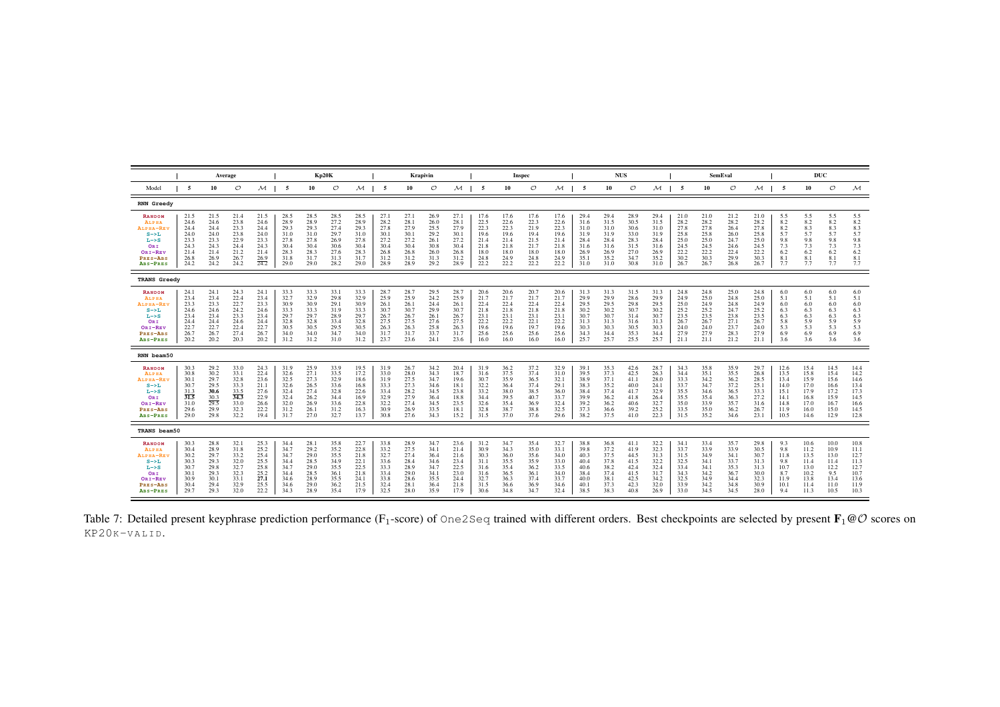<span id="page-17-0"></span>

|                                                                                                                     |                                                                      |                                                                      | Average                                                              |                                                                      |                                                                      |                                                                      | <b>Kp20K</b>                                                         |                                                                      |                                                                      |                                                                      | Krapivin                                                             |                                                                      |                                                                      |                                                                      | Inspec                                                               |                                                                      |                                                                      |                                                                      | <b>NUS</b>                                                           |                                                                      |                                                                      |                                                                      | <b>SemEval</b>                                                       |                                                                      |                                                                      | DUC                                                                  |                                                                      |                                                                      |
|---------------------------------------------------------------------------------------------------------------------|----------------------------------------------------------------------|----------------------------------------------------------------------|----------------------------------------------------------------------|----------------------------------------------------------------------|----------------------------------------------------------------------|----------------------------------------------------------------------|----------------------------------------------------------------------|----------------------------------------------------------------------|----------------------------------------------------------------------|----------------------------------------------------------------------|----------------------------------------------------------------------|----------------------------------------------------------------------|----------------------------------------------------------------------|----------------------------------------------------------------------|----------------------------------------------------------------------|----------------------------------------------------------------------|----------------------------------------------------------------------|----------------------------------------------------------------------|----------------------------------------------------------------------|----------------------------------------------------------------------|----------------------------------------------------------------------|----------------------------------------------------------------------|----------------------------------------------------------------------|----------------------------------------------------------------------|----------------------------------------------------------------------|----------------------------------------------------------------------|----------------------------------------------------------------------|----------------------------------------------------------------------|
| Model                                                                                                               | -5                                                                   | 10                                                                   | O                                                                    | $\mathcal M$                                                         | -5                                                                   | 10                                                                   | O                                                                    | $\mathcal M$                                                         | -5                                                                   | 10                                                                   | O                                                                    | м                                                                    | - 5                                                                  | 10                                                                   | $\circ$                                                              | $\mathcal M$                                                         | -5                                                                   | 10                                                                   | $\circ$                                                              | м                                                                    | -5                                                                   | 10                                                                   | O                                                                    | $\mathcal M$                                                         | -5                                                                   | 10                                                                   | $\circ$                                                              | $\mathcal M$                                                         |
| <b>RNN Greedy</b>                                                                                                   |                                                                      |                                                                      |                                                                      |                                                                      |                                                                      |                                                                      |                                                                      |                                                                      |                                                                      |                                                                      |                                                                      |                                                                      |                                                                      |                                                                      |                                                                      |                                                                      |                                                                      |                                                                      |                                                                      |                                                                      |                                                                      |                                                                      |                                                                      |                                                                      |                                                                      |                                                                      |                                                                      |                                                                      |
| <b>RANDOM</b><br>ALPHA<br>ALPHA-REV<br>$S->L$<br>$L \rightarrow S$<br>ORI<br>ORI-REV<br>PRES-ABS<br>ABS-PRES        | 21.5<br>24.6<br>24.4<br>24.0<br>23.3<br>24.3<br>21.4<br>26.8<br>24.2 | 21.5<br>24.6<br>24.4<br>24.0<br>23.3<br>24.3<br>21.4<br>26.9<br>24.2 | 21.4<br>23.8<br>23.3<br>23.8<br>22.9<br>24.4<br>21.2<br>26.7<br>24.2 | 21.5<br>24.6<br>24.4<br>24.0<br>23.3<br>24.3<br>21.4<br>26.9<br>24.2 | 28.5<br>28.9<br>29.3<br>31.0<br>27.8<br>30.4<br>28.3<br>31.8<br>29.0 | 28.5<br>28.9<br>29.3<br>31.0<br>27.8<br>30.4<br>28.3<br>31.7<br>29.0 | 28.5<br>27.2<br>27.4<br>29.7<br>26.9<br>30.6<br>27.6<br>31.3<br>28.2 | 28.5<br>28.9<br>29.3<br>31.0<br>27.8<br>30.4<br>28.3<br>31.7<br>29.0 | 27.1<br>28.2<br>27.8<br>30.1<br>27.2<br>30.4<br>26.8<br>31.2<br>28.9 | 27.1<br>28.1<br>27.9<br>30.1<br>27.2<br>30.4<br>26.8<br>31.2<br>28.9 | 26.9<br>26.0<br>25.5<br>29.2<br>26.1<br>30.8<br>26.0<br>31.3<br>29.2 | 27.1<br>28.1<br>27.9<br>30.1<br>27.2<br>30.4<br>26.8<br>31.2<br>28.9 | 17.6<br>22.5<br>22.3<br>19.6<br>21.4<br>21.8<br>18.0<br>24.8<br>22.2 | 17.6<br>22.6<br>22.3<br>19.6<br>21.4<br>21.8<br>18.0<br>24.9<br>22.2 | 17.6<br>22.3<br>21.9<br>19.4<br>21.5<br>21.7<br>18.0<br>24.8<br>22.2 | 17.6<br>22.6<br>22.3<br>19.6<br>21.4<br>21.8<br>18.0<br>24.9<br>22.2 | 29.4<br>31.6<br>31.0<br>31.9<br>28.4<br>31.6<br>26.9<br>35.1<br>31.0 | 29.4<br>31.5<br>31.0<br>31.9<br>28.4<br>31.6<br>26.9<br>35.2<br>31.0 | 28.9<br>30.5<br>30.6<br>33.0<br>28.3<br>31.5<br>27.0<br>34.7<br>30.8 | 29.4<br>31.5<br>31.0<br>31.9<br>28.4<br>31.6<br>26.9<br>35.2<br>31.0 | 21.0<br>28.2<br>27.8<br>25.8<br>25.0<br>24.5<br>22.2<br>30.2<br>26.7 | 21.0<br>28.2<br>27.8<br>25.8<br>25.0<br>24.5<br>22.2<br>30.3<br>26.7 | 21.2<br>28.2<br>26.4<br>26.0<br>24.7<br>24.6<br>22.4<br>29.9<br>26.8 | 21.0<br>28.2<br>27.8<br>25.8<br>25.0<br>24.5<br>22.2<br>30.3<br>26.7 | 5.5<br>8.2<br>8.2<br>5.7<br>9.8<br>7.3<br>6.2<br>8.1<br>7.7          | 5.5<br>8.2<br>8.3<br>5.7<br>9.8<br>7.3<br>6.2<br>8.1<br>7.7          | 5.5<br>8.2<br>8.3<br>5.7<br>9.8<br>7.3<br>6.2<br>8.1<br>7.7          | 5.5<br>8.2<br>8.3<br>5.7<br>9.8<br>7.3<br>6.2<br>8.1<br>7.7          |
| <b>TRANS Greedy</b>                                                                                                 |                                                                      |                                                                      |                                                                      |                                                                      |                                                                      |                                                                      |                                                                      |                                                                      |                                                                      |                                                                      |                                                                      |                                                                      |                                                                      |                                                                      |                                                                      |                                                                      |                                                                      |                                                                      |                                                                      |                                                                      |                                                                      |                                                                      |                                                                      |                                                                      |                                                                      |                                                                      |                                                                      |                                                                      |
| <b>RANDOM</b><br><b>ALPHA</b><br>ALPHA-REV<br>$S \rightarrow L$<br>$L->S$<br>ORI<br>ORI-REV<br>PRES-ABS<br>ABS-PRES | 24.1<br>23.4<br>23.3<br>24.6<br>23.4<br>24.4<br>22.7<br>26.7<br>20.2 | 24.1<br>23.4<br>23.3<br>24.6<br>23.4<br>24.4<br>22.7<br>26.7<br>20.2 | 24.3<br>22.4<br>22.7<br>24.2<br>23.3<br>24.6<br>22.4<br>27.4<br>20.3 | 24.1<br>23.4<br>23.3<br>24.6<br>23.4<br>24.4<br>22.7<br>26.7<br>20.2 | 33.3<br>32.7<br>30.9<br>33.3<br>29.7<br>32.8<br>30.5<br>34.0<br>31.2 | 33.3<br>32.9<br>30.9<br>33.3<br>29.7<br>32.8<br>30.5<br>34.0<br>31.2 | 33.1<br>29.8<br>29.1<br>31.9<br>28.9<br>33.4<br>29.5<br>34.7<br>31.0 | 33.3<br>32.9<br>30.9<br>33.3<br>29.7<br>32.8<br>30.5<br>34.0<br>31.2 | 28.7<br>25.9<br>26.1<br>30.7<br>26.7<br>27.5<br>26.3<br>31.7<br>23.7 | 28.7<br>25.9<br>26.1<br>30.7<br>26.7<br>27.5<br>26.3<br>31.7<br>23.6 | 29.5<br>24.2<br>24.4<br>29.9<br>26.1<br>27.6<br>25.8<br>33.7<br>24.1 | 28.7<br>25.9<br>26.1<br>30.7<br>26.7<br>27.5<br>26.3<br>31.7<br>23.6 | 20.6<br>21.7<br>22.4<br>21.8<br>23.1<br>22.2<br>19.6<br>25.6<br>16.0 | 20.6<br>21.7<br>22.4<br>21.8<br>23.1<br>22.2<br>19.6<br>25.6<br>16.0 | 20.7<br>21.7<br>22.4<br>21.8<br>23.1<br>22.1<br>19.7<br>25.6<br>16.0 | 20.6<br>21.7<br>22.4<br>21.8<br>23.1<br>22.2<br>19.6<br>25.6<br>16.0 | 31.3<br>29.9<br>29.5<br>30.2<br>30.7<br>31.3<br>30.3<br>34.3<br>25.7 | 31.3<br>29.9<br>29.5<br>30.2<br>30.7<br>31.3<br>30.3<br>34.4<br>25.7 | 31.5<br>28.6<br>29.8<br>30.7<br>31.4<br>31.6<br>30.5<br>35.3<br>25.5 | 31.3<br>29.9<br>29.5<br>30.2<br>30.7<br>31.3<br>30.3<br>34.4<br>25.7 | 24.8<br>24.9<br>25.0<br>25.2<br>23.5<br>26.7<br>24.0<br>27.9<br>21.1 | 24.8<br>25.0<br>24.9<br>25.2<br>23.5<br>26.7<br>24.0<br>27.9<br>21.1 | 25.0<br>24.8<br>24.8<br>24.7<br>23.8<br>27.1<br>23.7<br>28.3<br>21.2 | 24.8<br>25.0<br>24.9<br>25.2<br>23.5<br>26.7<br>24.0<br>27.9<br>21.1 | 6.0<br>5.1<br>6.0<br>6.3<br>6.3<br>5.8<br>5.3<br>6.9<br>3.6          | 6.0<br>5.1<br>6.0<br>6.3<br>6.3<br>5.9<br>5.3<br>6.9<br>3.6          | 6.0<br>5.1<br>6.0<br>6.3<br>6.3<br>5.9<br>5.3<br>6.9<br>3.6          | 6.0<br>5.1<br>6.0<br>6.3<br>6.3<br>5.9<br>5.3<br>6.9<br>3.6          |
| RNN beam50                                                                                                          |                                                                      |                                                                      |                                                                      |                                                                      |                                                                      |                                                                      |                                                                      |                                                                      |                                                                      |                                                                      |                                                                      |                                                                      |                                                                      |                                                                      |                                                                      |                                                                      |                                                                      |                                                                      |                                                                      |                                                                      |                                                                      |                                                                      |                                                                      |                                                                      |                                                                      |                                                                      |                                                                      |                                                                      |
| <b>RANDOM</b><br><b>ALPHA</b><br>ALPHA-RE'<br>$S->L$<br>$L->S$<br>ORI<br>ORI-REV<br>PRES-ABS<br>ABS-PRES            | 30.3<br>30.8<br>30.1<br>30.7<br>31.3<br>31.5<br>31.0<br>29.6<br>29.0 | 29.2<br>30.2<br>29.7<br>29.5<br>30.6<br>30.3<br>29.5<br>29.9<br>29.8 | 33.0<br>33.1<br>32.8<br>33.3<br>33.5<br>34.3<br>33.0<br>32.3<br>32.2 | 24.3<br>22.4<br>23.6<br>21.1<br>27.6<br>22.9<br>26.6<br>22.2<br>19.4 | 31.9<br>32.6<br>32.5<br>32.6<br>32.4<br>32.4<br>32.0<br>31.2<br>31.7 | 25.9<br>27.1<br>27.3<br>26.5<br>27.4<br>26.2<br>26.9<br>26.1<br>27.0 | 33.9<br>33.5<br>32.9<br>33.6<br>32.8<br>34.4<br>33.6<br>31.2<br>32.7 | 19.5<br>17.2<br>18.6<br>16.8<br>22.6<br>16.9<br>22.8<br>16.3<br>13.7 | 31.9<br>33.0<br>31.9<br>33.3<br>33.4<br>32.9<br>32.2<br>30.9<br>30.8 | 26.7<br>28.0<br>27.5<br>27.3<br>28.2<br>27.9<br>27.4<br>26.9<br>27.6 | 34.2<br>34.3<br>34.7<br>34.6<br>34.5<br>36.4<br>34.5<br>33.5<br>34.3 | 20.4<br>18.7<br>19.6<br>18.1<br>23.8<br>18.8<br>23.5<br>18.1<br>15.2 | 31.9<br>31.6<br>30.7<br>32.2<br>33.2<br>34.4<br>32.6<br>32.8<br>31.5 | 36.2<br>37.5<br>35.9<br>36.4<br>38.0<br>39.5<br>35.4<br>38.7<br>37.0 | 37.2<br>37.4<br>36.5<br>37.4<br>38.5<br>40.7<br>36.9<br>38.8<br>37.6 | 32.9<br>31.0<br>32.1<br>29.1<br>36.0<br>33.7<br>32.4<br>32.5<br>29.6 | 39.1<br>39.5<br>38.9<br>38.3<br>38.4<br>39.9<br>39.2<br>37.3<br>38.2 | 35.3<br>37.3<br>37.1<br>35.2<br>37.4<br>36.2<br>36.2<br>36.6<br>37.5 | 42.6<br>42.5<br>41.1<br>40.0<br>41.7<br>41.8<br>40.6<br>39.2<br>41.0 | 28.7<br>26.3<br>28.0<br>24.1<br>32.9<br>26.4<br>32.7<br>25.2<br>22.3 | 34.3<br>34.4<br>33.3<br>33.7<br>35.5<br>35.5<br>35.0<br>33.5<br>31.5 | 35.8<br>35.1<br>34.2<br>34.7<br>34.6<br>35.4<br>33.9<br>35.0<br>35.2 | 35.9<br>35.5<br>36.2<br>37.2<br>36.5<br>36.3<br>35.7<br>36.2<br>34.6 | 29.7<br>26.8<br>28.5<br>25.1<br>33.3<br>27.2<br>31.6<br>26.7<br>23.1 | 12.6<br>13.5<br>13.4<br>14.0<br>15.1<br>14.1<br>14.8<br>11.9<br>10.5 | 15.4<br>15.8<br>15.9<br>17.0<br>17.9<br>16.8<br>17.0<br>16.0<br>14.6 | 14.5<br>15.4<br>15.6<br>16.6<br>17.2<br>15.9<br>16.7<br>15.0<br>12.9 | 14.4<br>14.2<br>14.6<br>13.4<br>17.3<br>14.5<br>16.6<br>14.5<br>12.8 |
| TRANS beam50                                                                                                        |                                                                      |                                                                      |                                                                      |                                                                      |                                                                      |                                                                      |                                                                      |                                                                      |                                                                      |                                                                      |                                                                      |                                                                      |                                                                      |                                                                      |                                                                      |                                                                      |                                                                      |                                                                      |                                                                      |                                                                      |                                                                      |                                                                      |                                                                      |                                                                      |                                                                      |                                                                      |                                                                      |                                                                      |
| <b>RANDOM</b><br>ALPHA<br>ALPHA-REV<br>$S \rightarrow L$<br>$L->S$<br>ORI<br>ORI-REV<br>PRES-ABS<br>ABS-PRES        | 30.3<br>30.4<br>30.2<br>30.3<br>30.7<br>30.1<br>30.9<br>30.4<br>29.7 | 28.8<br>28.9<br>29.7<br>29.3<br>29.8<br>29.3<br>30.1<br>29.4<br>29.3 | 32.1<br>31.8<br>33.2<br>32.0<br>32.7<br>32.3<br>33.1<br>32.9<br>32.0 | 25.3<br>25.2<br>25.4<br>25.5<br>25.8<br>25.2<br>27.1<br>25.5<br>22.2 | 34.4<br>34.7<br>34.7<br>34.4<br>34.7<br>34.4<br>34.6<br>34.6<br>34.3 | 28.1<br>29.2<br>29.0<br>28.5<br>29.0<br>28.5<br>28.9<br>29.0<br>28.9 | 35.8<br>35.2<br>35.5<br>34.9<br>35.5<br>36.1<br>35.5<br>36.2<br>35.4 | 22.7<br>22.8<br>21.8<br>22.1<br>22.5<br>21.8<br>24.1<br>21.5<br>17.9 | 33.8<br>33.2<br>32.7<br>33.6<br>33.3<br>33.4<br>33.8<br>32.4<br>32.5 | 28.9<br>27.5<br>27.4<br>28.4<br>28.9<br>29.0<br>28.6<br>28.1<br>28.0 | 34.7<br>34.1<br>36.4<br>34.6<br>34.7<br>34.<br>35.5<br>36.4<br>35.9  | 23.6<br>21.4<br>21.6<br>23.4<br>22.5<br>23.0<br>24.4<br>21.8<br>17.9 | 31.2<br>30.9<br>30.3<br>31.1<br>31.6<br>31.6<br>32.7<br>31.5<br>30.6 | 34.7<br>34.3<br>36.0<br>35.5<br>35.4<br>36.5<br>36.3<br>36.6<br>34.8 | 35.4<br>35.0<br>35.6<br>35.9<br>36.2<br>36.1<br>37.4<br>36.9<br>34.7 | 32.7<br>33.1<br>34.0<br>33.0<br>33.5<br>34.0<br>33.7<br>34.6<br>32.4 | 38.8<br>39.8<br>40.3<br>40.4<br>40.6<br>38.4<br>40.0<br>40.1<br>38.5 | 36.8<br>37.2<br>37.5<br>37.8<br>38.2<br>37.4<br>38.1<br>37.3<br>38.3 | 41.1<br>41.9<br>44.5<br>41.5<br>42.4<br>41.5<br>42.5<br>42.3<br>40.8 | 32.2<br>32.3<br>31.3<br>32.2<br>32.4<br>31.7<br>34.2<br>32.0<br>26.9 | 34.1<br>33.7<br>31.5<br>32.5<br>33.4<br>34.3<br>32.5<br>33.9<br>33.0 | 33.4<br>33.9<br>34.9<br>34.1<br>34.1<br>34.2<br>34.9<br>34.2<br>34.5 | 35.7<br>33.9<br>34.1<br>33.7<br>35.3<br>36.7<br>34.4<br>34.8<br>34.5 | 29.8<br>30.5<br>30.7<br>31.3<br>31.3<br>30.0<br>32.3<br>30.9<br>28.0 | 9.3<br>9.8<br>11.8<br>9.8<br>10.7<br>8.7<br>11.9<br>10.1<br>9.4      | 10.6<br>11.2<br>13.5<br>11.4<br>13.0<br>10.2<br>13.8<br>11.4<br>11.3 | 10.0<br>10.9<br>13.0<br>11.4<br>12.2<br>9.5<br>13.4<br>11.0<br>10.5  | 10.8<br>11.1<br>12.7<br>11.3<br>12.7<br>10.7<br>13.6<br>11.9<br>10.3 |

Table 7: Detailed present keyphrase prediction performance (F<sub>1</sub>-score) of One2Seq trained with different orders. Best checkpoints are selected by present  $\mathbf{F}_1 \textcircled{O}$  scores on KP20K-VALID.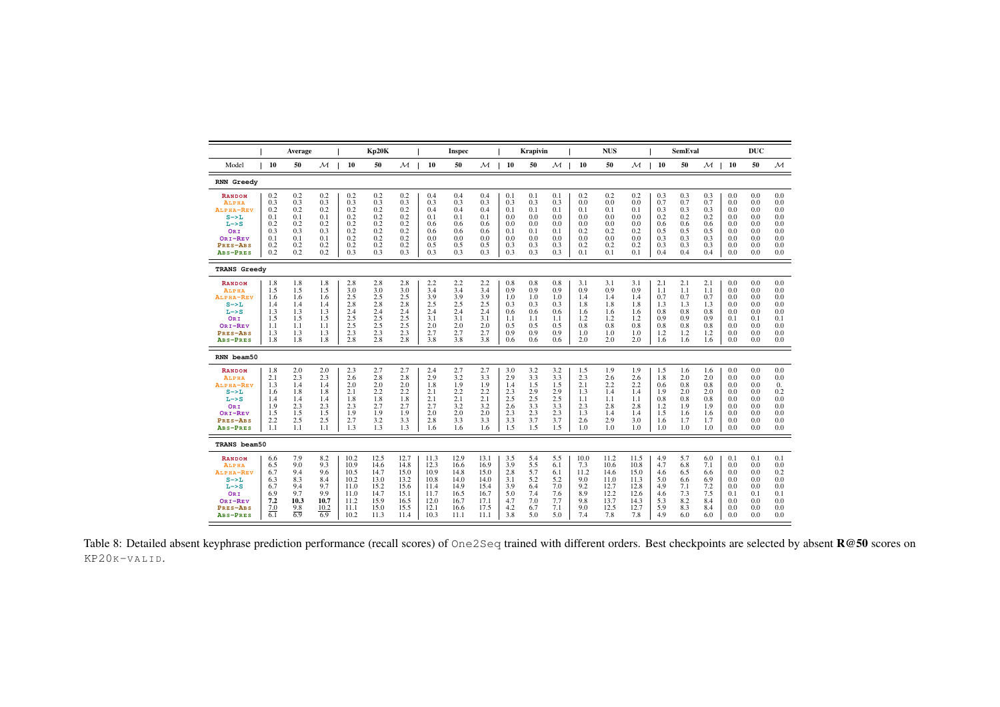|                                                                                                                                |                                                             | Average                                                      |                                                               |                                                                      | Kp20K                                                                |                                                                      |                                                                      | <b>Inspec</b>                                                        |                                                                      |                                                             | <b>Krapivin</b>                                             |                                                             |                                                               | <b>NUS</b>                                                          |                                                                     |                                                             | <b>SemEval</b>                                              |                                                             |                                                             | <b>DUC</b>                                                  |                                                             |
|--------------------------------------------------------------------------------------------------------------------------------|-------------------------------------------------------------|--------------------------------------------------------------|---------------------------------------------------------------|----------------------------------------------------------------------|----------------------------------------------------------------------|----------------------------------------------------------------------|----------------------------------------------------------------------|----------------------------------------------------------------------|----------------------------------------------------------------------|-------------------------------------------------------------|-------------------------------------------------------------|-------------------------------------------------------------|---------------------------------------------------------------|---------------------------------------------------------------------|---------------------------------------------------------------------|-------------------------------------------------------------|-------------------------------------------------------------|-------------------------------------------------------------|-------------------------------------------------------------|-------------------------------------------------------------|-------------------------------------------------------------|
| Model                                                                                                                          | 10                                                          | 50                                                           | м                                                             | 10                                                                   | 50                                                                   | м                                                                    | 10                                                                   | 50                                                                   | М                                                                    | 10                                                          | 50                                                          | м                                                           | 10                                                            | 50                                                                  | м                                                                   | 10                                                          | 50                                                          | $\mathcal M$                                                | 10                                                          | 50                                                          | ${\cal M}$                                                  |
| <b>RNN Greedy</b>                                                                                                              |                                                             |                                                              |                                                               |                                                                      |                                                                      |                                                                      |                                                                      |                                                                      |                                                                      |                                                             |                                                             |                                                             |                                                               |                                                                     |                                                                     |                                                             |                                                             |                                                             |                                                             |                                                             |                                                             |
| <b>RANDOM</b><br><b>ALPHA</b><br>ALPHA-REV<br>$S \rightarrow L$<br>$L->S$<br>ORI<br>ORI-REV<br>PRES-ABS<br>ABS-PRES            | 0.2<br>0.3<br>0.2<br>0.1<br>0.2<br>0.3<br>0.1<br>0.2<br>0.2 | 0.2<br>0.3<br>0.2<br>0.1<br>0.2<br>0.3<br>0.1<br>0.2<br>0.2  | 0.2<br>0.3<br>0.2<br>0.1<br>0.2<br>0.3<br>0.1<br>0.2<br>0.2   | 0.2<br>0.3<br>0.2<br>0.2<br>0.2<br>0.2<br>0.2<br>0.2<br>0.3          | 0.2<br>0.3<br>0.2<br>0.2<br>0.2<br>0.2<br>0.2<br>0.2<br>0.3          | 0.2<br>0.3<br>0.2<br>0.2<br>0.2<br>0.2<br>0.2<br>0.2<br>0.3          | 0.4<br>0.3<br>0.4<br>0.1<br>0.6<br>0.6<br>0.0<br>0.5<br>0.3          | 0.4<br>0.3<br>0.4<br>0.1<br>0.6<br>0.6<br>0.0<br>0.5<br>0.3          | 0.4<br>0.3<br>0.4<br>0.1<br>0.6<br>0.6<br>0.0<br>0.5<br>0.3          | 0.1<br>0.3<br>0.1<br>0.0<br>0.0<br>0.1<br>0.0<br>0.3<br>0.3 | 0.1<br>0.3<br>0.1<br>0.0<br>0.0<br>0.1<br>0.0<br>0.3<br>0.3 | 0.1<br>0.3<br>0.1<br>0.0<br>0.0<br>0.1<br>0.0<br>0.3<br>0.3 | 0.2<br>0.0<br>0.1<br>0.0<br>0.0<br>0.2<br>0.0<br>0.2<br>0.1   | 0.2<br>0.0<br>0.1<br>0.0<br>0.0<br>0.2<br>0.0<br>0.2<br>0.1         | 0.2<br>0.0<br>0.1<br>0.0<br>0.0<br>0.2<br>0.0<br>0.2<br>0.1         | 0.3<br>0.7<br>0.3<br>0.2<br>0.6<br>0.5<br>0.3<br>0.3<br>0.4 | 0.3<br>0.7<br>0.3<br>0.2<br>0.6<br>0.5<br>0.3<br>0.3<br>0.4 | 0.3<br>0.7<br>0.3<br>0.2<br>0.6<br>0.5<br>0.3<br>0.3<br>0.4 | 0.0<br>0.0<br>0.0<br>0.0<br>0.0<br>0.0<br>0.0<br>0.0<br>0.0 | 0.0<br>0.0<br>0.0<br>0.0<br>0.0<br>0.0<br>0.0<br>0.0<br>0.0 | 0.0<br>0.0<br>0.0<br>0.0<br>0.0<br>0.0<br>0.0<br>0.0<br>0.0 |
| <b>TRANS Greedy</b>                                                                                                            |                                                             |                                                              |                                                               |                                                                      |                                                                      |                                                                      |                                                                      |                                                                      |                                                                      |                                                             |                                                             |                                                             |                                                               |                                                                     |                                                                     |                                                             |                                                             |                                                             |                                                             |                                                             |                                                             |
| <b>RANDOM</b><br>ALPHA<br>ALPHA-REV<br>$S \rightarrow L$<br>$L->S$<br>ORI<br>ORI-REV<br>PRES-ABS<br>ABS-PRES                   | 1.8<br>1.5<br>1.6<br>1.4<br>1.3<br>1.5<br>1.1<br>1.3<br>1.8 | 1.8<br>1.5<br>1.6<br>1.4<br>1.3<br>1.5<br>1.1<br>1.3<br>1.8  | 1.8<br>1.5<br>1.6<br>1.4<br>1.3<br>1.5<br>1.1<br>1.3<br>1.8   | 2.8<br>3.0<br>2.5<br>2.8<br>2.4<br>2.5<br>2.5<br>2.3<br>2.8          | 2.8<br>3.0<br>2.5<br>2.8<br>2.4<br>2.5<br>2.5<br>2.3<br>2.8          | 2.8<br>3.0<br>2.5<br>2.8<br>2.4<br>2.5<br>2.5<br>2.3<br>2.8          | 2.2<br>3.4<br>3.9<br>2.5<br>2.4<br>3.1<br>2.0<br>2.7<br>3.8          | 2.2<br>3.4<br>3.9<br>2.5<br>2.4<br>3.1<br>2.0<br>2.7<br>3.8          | 2.2<br>3.4<br>3.9<br>2.5<br>2.4<br>3.1<br>2.0<br>2.7<br>3.8          | 0.8<br>0.9<br>1.0<br>0.3<br>0.6<br>1.1<br>0.5<br>0.9<br>0.6 | 0.8<br>0.9<br>1.0<br>0.3<br>0.6<br>1.1<br>0.5<br>0.9<br>0.6 | 0.8<br>0.9<br>1.0<br>0.3<br>0.6<br>1.1<br>0.5<br>0.9<br>0.6 | 3.1<br>0.9<br>1.4<br>1.8<br>1.6<br>1.2<br>0.8<br>1.0<br>2.0   | 3.1<br>0.9<br>1.4<br>1.8<br>1.6<br>1.2<br>0.8<br>1.0<br>2.0         | 3.1<br>0.9<br>1.4<br>1.8<br>1.6<br>1.2<br>0.8<br>1.0<br>2.0         | 2.1<br>1.1<br>0.7<br>1.3<br>0.8<br>0.9<br>0.8<br>1.2<br>1.6 | 2.1<br>1.1<br>0.7<br>1.3<br>0.8<br>0.9<br>0.8<br>1.2<br>1.6 | 2.1<br>1.1<br>0.7<br>1.3<br>0.8<br>0.9<br>0.8<br>1.2<br>1.6 | 0.0<br>0.0<br>0.0<br>0.0<br>0.0<br>0.1<br>0.0<br>0.0<br>0.0 | 0.0<br>0.0<br>0.0<br>0.0<br>0.0<br>0.1<br>0.0<br>0.0<br>0.0 | 0.0<br>0.0<br>0.0<br>0.0<br>0.0<br>0.1<br>0.0<br>0.0<br>0.0 |
| RNN beam50                                                                                                                     |                                                             |                                                              |                                                               |                                                                      |                                                                      |                                                                      |                                                                      |                                                                      |                                                                      |                                                             |                                                             |                                                             |                                                               |                                                                     |                                                                     |                                                             |                                                             |                                                             |                                                             |                                                             |                                                             |
| <b>RANDOM</b><br><b>ALPHA</b><br>ALPHA-REV<br>$S \rightarrow L$<br>$L \rightarrow S$<br>ORI<br>ORI-REV<br>PRES-ABS<br>ABS-PRES | 1.8<br>2.1<br>1.3<br>1.6<br>1.4<br>1.9<br>1.5<br>2.2<br>1.1 | 2.0<br>2.3<br>1.4<br>1.8<br>1.4<br>2.3<br>1.5<br>2.5<br>1.1  | 2.0<br>2.3<br>1.4<br>1.8<br>1.4<br>2.3<br>1.5<br>2.5<br>1.1   | 2.3<br>2.6<br>2.0<br>2.1<br>1.8<br>2.3<br>1.9<br>2.7<br>1.3          | 2.7<br>2.8<br>2.0<br>2.2<br>1.8<br>2.7<br>1.9<br>3.2<br>1.3          | 2.7<br>2.8<br>2.0<br>2.2<br>1.8<br>2.7<br>1.9<br>3.3<br>1.3          | 2.4<br>2.9<br>1.8<br>2.1<br>2.1<br>2.7<br>2.0<br>2.8<br>1.6          | 2.7<br>3.2<br>1.9<br>2.2<br>2.1<br>3.2<br>2.0<br>3.3<br>1.6          | 2.7<br>3.3<br>1.9<br>2.2<br>2.1<br>3.2<br>2.0<br>3.3<br>1.6          | 3.0<br>2.9<br>1.4<br>2.3<br>2.5<br>2.6<br>2.3<br>3.3<br>1.5 | 3.2<br>3.3<br>1.5<br>2.9<br>2.5<br>3.3<br>2.3<br>3.7<br>1.5 | 3.2<br>3.3<br>1.5<br>2.9<br>2.5<br>3.3<br>2.3<br>3.7<br>1.5 | 1.5<br>2.3<br>2.1<br>1.3<br>1.1<br>2.3<br>1.3<br>2.6<br>1.0   | 1.9<br>2.6<br>2.2<br>1.4<br>1.1<br>2.8<br>1.4<br>2.9<br>1.0         | 1.9<br>2.6<br>2.2<br>1.4<br>1.1<br>2.8<br>1.4<br>3.0<br>1.0         | 1.5<br>1.8<br>0.6<br>1.9<br>0.8<br>1.2<br>1.5<br>1.6<br>1.0 | 1.6<br>2.0<br>0.8<br>2.0<br>0.8<br>1.9<br>1.6<br>1.7<br>1.0 | 1.6<br>2.0<br>0.8<br>2.0<br>0.8<br>1.9<br>1.6<br>1.7<br>1.0 | 0.0<br>0.0<br>0.0<br>0.0<br>0.0<br>0.0<br>0.0<br>0.0<br>0.0 | 0.0<br>0.0<br>0.0<br>0.0<br>0.0<br>0.0<br>0.0<br>0.0<br>0.0 | 0.0<br>0.0<br>0.<br>0.2<br>0.0<br>0.0<br>0.0<br>0.0<br>0.0  |
| TRANS beam50                                                                                                                   |                                                             |                                                              |                                                               |                                                                      |                                                                      |                                                                      |                                                                      |                                                                      |                                                                      |                                                             |                                                             |                                                             |                                                               |                                                                     |                                                                     |                                                             |                                                             |                                                             |                                                             |                                                             |                                                             |
| <b>RANDOM</b><br><b>ALPHA</b><br>ALPHA-REV<br>$S \rightarrow L$<br>$L->S$<br>ORI<br>ORI-REV<br>PRES-ABS<br>ABS-PRES            | 6.6<br>6.5<br>6.7<br>6.3<br>6.7<br>6.9<br>7.2<br>7.0<br>6.1 | 7.9<br>9.0<br>9.4<br>8.3<br>9.4<br>9.7<br>10.3<br>9.8<br>6.9 | 8.2<br>9.3<br>9.6<br>8.4<br>9.7<br>9.9<br>10.7<br>10.2<br>6.9 | 10.2<br>10.9<br>10.5<br>10.2<br>11.0<br>11.0<br>11.2<br>11.1<br>10.2 | 12.5<br>14.6<br>14.7<br>13.0<br>15.2<br>14.7<br>15.9<br>15.0<br>11.3 | 12.7<br>14.8<br>15.0<br>13.2<br>15.6<br>15.1<br>16.5<br>15.5<br>11.4 | 11.3<br>12.3<br>10.9<br>10.8<br>11.4<br>11.7<br>12.0<br>12.1<br>10.3 | 12.9<br>16.6<br>14.8<br>14.0<br>14.9<br>16.5<br>16.7<br>16.6<br>11.1 | 13.1<br>16.9<br>15.0<br>14.0<br>15.4<br>16.7<br>17.1<br>17.5<br>11.1 | 3.5<br>3.9<br>2.8<br>3.1<br>3.9<br>5.0<br>4.7<br>4.2<br>3.8 | 5.4<br>5.5<br>5.7<br>5.2<br>6.4<br>7.4<br>7.0<br>6.7<br>5.0 | 5.5<br>6.1<br>6.1<br>5.2<br>7.0<br>7.6<br>7.7<br>7.1<br>5.0 | 10.0<br>7.3<br>11.2<br>9.0<br>9.2<br>8.9<br>9.8<br>9.0<br>7.4 | 11.2<br>10.6<br>14.6<br>11.0<br>12.7<br>12.2<br>13.7<br>12.5<br>7.8 | 11.5<br>10.8<br>15.0<br>11.3<br>12.8<br>12.6<br>14.3<br>12.7<br>7.8 | 4.9<br>4.7<br>4.6<br>5.0<br>4.9<br>4.6<br>5.3<br>5.9<br>4.9 | 5.7<br>6.8<br>6.5<br>6.6<br>7.1<br>7.3<br>8.2<br>8.3<br>6.0 | 6.0<br>7.1<br>6.6<br>6.9<br>7.2<br>7.5<br>8.4<br>8.4<br>6.0 | 0.1<br>0.0<br>0.0<br>0.0<br>0.0<br>0.1<br>0.0<br>0.0<br>0.0 | 0.1<br>0.0<br>0.0<br>0.0<br>0.0<br>0.1<br>0.0<br>0.0<br>0.0 | 0.1<br>0.0<br>0.2<br>0.0<br>0.0<br>0.1<br>0.0<br>0.0<br>0.0 |

<span id="page-18-0"></span>Table 8: Detailed absent keyphrase prediction performance (recall scores) of One2Seq trained with different orders. Best checkpoints are selected by absent R@50 scores on KP20K-VALID.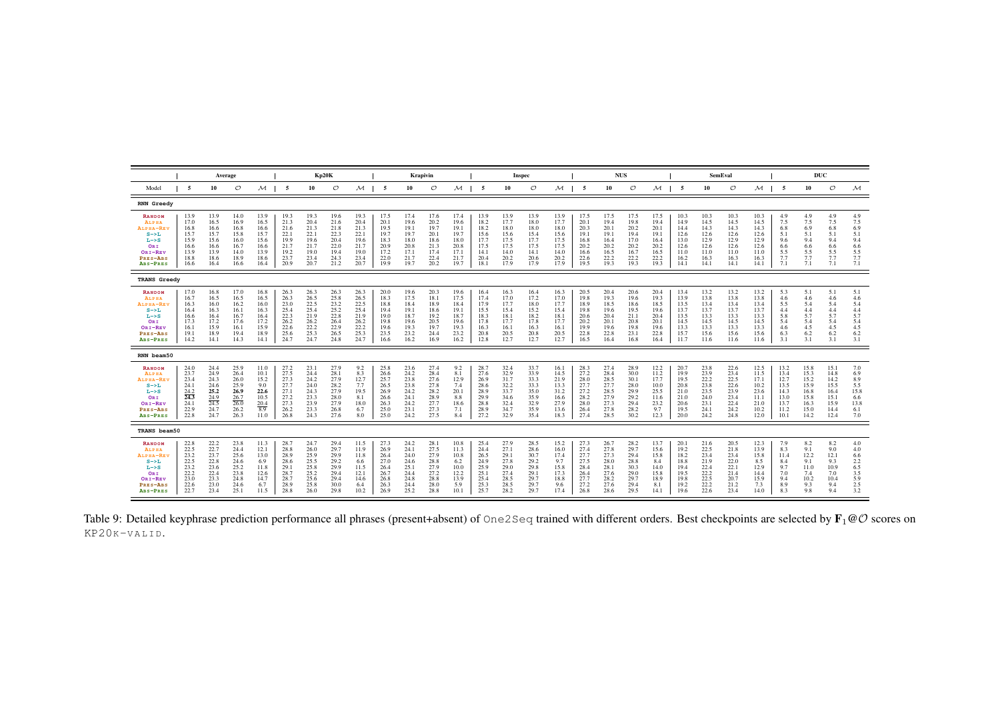<span id="page-19-0"></span>

|                                                                                                              |                                                                      | Average                                                                           |                                                                      |                                                                      |                                                                      |                                                                      | Kp20K                                                                |                                                                      |                                                                      |                                                                      | Krapivin                                                             |                                                                      |                                                                      |                                                                      | Inspec                                                               |                                                                      |                                                                      |                                                                      | <b>NUS</b>                                                           |                                                                      |                                                                      |                                                                      | <b>SemEval</b>                                                       |                                                                      |                                                                      | DUC                                                                  |                                                                      |                                                               |
|--------------------------------------------------------------------------------------------------------------|----------------------------------------------------------------------|-----------------------------------------------------------------------------------|----------------------------------------------------------------------|----------------------------------------------------------------------|----------------------------------------------------------------------|----------------------------------------------------------------------|----------------------------------------------------------------------|----------------------------------------------------------------------|----------------------------------------------------------------------|----------------------------------------------------------------------|----------------------------------------------------------------------|----------------------------------------------------------------------|----------------------------------------------------------------------|----------------------------------------------------------------------|----------------------------------------------------------------------|----------------------------------------------------------------------|----------------------------------------------------------------------|----------------------------------------------------------------------|----------------------------------------------------------------------|----------------------------------------------------------------------|----------------------------------------------------------------------|----------------------------------------------------------------------|----------------------------------------------------------------------|----------------------------------------------------------------------|----------------------------------------------------------------------|----------------------------------------------------------------------|----------------------------------------------------------------------|---------------------------------------------------------------|
| Model                                                                                                        | -5                                                                   | 10                                                                                | $\mathcal{O}$                                                        | м                                                                    | -5                                                                   | 10                                                                   | $\circ$                                                              | м                                                                    | -5                                                                   | 10                                                                   | $\mathcal{O}$                                                        | м                                                                    | -5                                                                   | 10                                                                   | $\circ$                                                              | м                                                                    | 5                                                                    | 10                                                                   | $\circ$                                                              | $\mathcal M$                                                         | 5                                                                    | 10                                                                   | $\circ$                                                              | $\mathcal M$                                                         | 5                                                                    | 10                                                                   | $\circ$                                                              | $\mathcal M$                                                  |
| <b>RNN Greedy</b>                                                                                            |                                                                      |                                                                                   |                                                                      |                                                                      |                                                                      |                                                                      |                                                                      |                                                                      |                                                                      |                                                                      |                                                                      |                                                                      |                                                                      |                                                                      |                                                                      |                                                                      |                                                                      |                                                                      |                                                                      |                                                                      |                                                                      |                                                                      |                                                                      |                                                                      |                                                                      |                                                                      |                                                                      |                                                               |
| <b>RANDOM</b><br>ALPHA<br>ALPHA-RE'<br>$S->L$<br>$L->S$<br>ORI<br>ORI-REV<br>PRES-ABS<br>ABS-PRES            | 13.9<br>17.0<br>16.8<br>15.7<br>15.9<br>16.6<br>13.9<br>18.8<br>16.6 | 13.9<br>16.5<br>16.6<br>15.7<br>15.6<br>16.6<br>13.9<br>18.6<br>16.4              | 14.0<br>16.9<br>16.8<br>15.8<br>16.0<br>16.7<br>14.0<br>18.9<br>16.6 | 13.9<br>16.5<br>16.6<br>15.7<br>15.6<br>16.6<br>13.9<br>18.6<br>16.4 | 19.3<br>21.3<br>21.6<br>22.1<br>19.9<br>21.7<br>19.2<br>23.7<br>20.9 | 19.3<br>20.4<br>21.3<br>22.1<br>19.6<br>21.7<br>19.0<br>23.4<br>20.7 | 19.6<br>21.6<br>21.8<br>22.3<br>20.4<br>22.0<br>19.4<br>24.3<br>21.2 | 19.3<br>20.4<br>21.3<br>22.1<br>19.6<br>21.7<br>19.0<br>23.4<br>20.7 | 17.5<br>20.1<br>19.5<br>19.7<br>18.3<br>20.9<br>17.2<br>22.0<br>19.9 | 17.4<br>19.6<br>19.1<br>19.7<br>18.0<br>20.8<br>17.1<br>21.7<br>19.7 | 17.6<br>20.2<br>19.7<br>20.1<br>18.6<br>21.3<br>17.4<br>22.4<br>20.2 | 17.4<br>19.6<br>19.1<br>19.7<br>18.0<br>20.8<br>17.1<br>21.7<br>19.7 | 13.9<br>18.2<br>18.2<br>15.6<br>17.7<br>17.5<br>14.1<br>20.4<br>18.1 | 13.9<br>17.7<br>18.0<br>15.6<br>17.5<br>17.5<br>14.0<br>20.2<br>17.9 | 13.9<br>18.0<br>18.0<br>15.4<br>17.7<br>17.5<br>14.1<br>20.6<br>17.9 | 13.9<br>17.7<br>18.0<br>15.6<br>17.5<br>17.5<br>14.0<br>20.2<br>17.9 | 17.5<br>20.1<br>20.3<br>19.1<br>16.8<br>20.2<br>16.6<br>22.6<br>19.5 | 17.5<br>19.4<br>20.1<br>19.1<br>16.4<br>20.2<br>16.5<br>22.2<br>19.3 | 17.5<br>19.8<br>20.2<br>19.4<br>17.0<br>20.2<br>16.7<br>22.2<br>19.3 | 17.5<br>19.4<br>20.1<br>19.1<br>16.4<br>20.2<br>16.5<br>22.2<br>19.3 | 10.3<br>14.9<br>14.4<br>12.6<br>13.0<br>12.6<br>11.0<br>16.2<br>14.1 | 10.3<br>14.5<br>14.3<br>12.6<br>12.9<br>12.6<br>11.0<br>16.3<br>14.1 | 10.3<br>14.5<br>14.3<br>12.6<br>12.9<br>12.6<br>11.0<br>16.3<br>14.1 | 10.3<br>14.5<br>14.3<br>12.6<br>12.9<br>12.6<br>11.0<br>16.3<br>14.1 | 4.9<br>7.5<br>6.8<br>5.1<br>9.6<br>6.6<br>5.5<br>7.7<br>7.1          | 4.9<br>7.5<br>6.9<br>5.1<br>9.4<br>6.6<br>5.5<br>7.7<br>7.1          | 4.9<br>7.5<br>6.8<br>5.1<br>9.4<br>6.6<br>5.5<br>7.7<br>7.1          | 4.9<br>7.5<br>6.9<br>5.1<br>9.4<br>6.6<br>5.5<br>7.7<br>7.1   |
| <b>TRANS Greedy</b>                                                                                          |                                                                      |                                                                                   |                                                                      |                                                                      |                                                                      |                                                                      |                                                                      |                                                                      |                                                                      |                                                                      |                                                                      |                                                                      |                                                                      |                                                                      |                                                                      |                                                                      |                                                                      |                                                                      |                                                                      |                                                                      |                                                                      |                                                                      |                                                                      |                                                                      |                                                                      |                                                                      |                                                                      |                                                               |
| <b>RANDOM</b><br>ALPHA<br>ALPHA-REV<br>$S->L$<br>$L->S$<br>ORI<br>ORI-REV<br>PRES-ABS<br>ABS-PRES            | 17.0<br>16.7<br>16.3<br>16.4<br>16.6<br>17.3<br>16.1<br>19.1<br>14.2 | 16.8<br>16.5<br>16.0<br>16.3<br>16.4<br>17.2<br>15.9<br>18.9<br>14.1              | 17.0<br>16.5<br>16.2<br>16.1<br>16.7<br>17.6<br>16.1<br>19.4<br>14.3 | 16.8<br>16.5<br>16.0<br>16.3<br>16.4<br>17.2<br>15.9<br>18.9<br>14.1 | 26.3<br>26.3<br>23.0<br>25.4<br>22.3<br>26.2<br>22.6<br>25.6<br>24.7 | 26.3<br>26.5<br>22.5<br>25.4<br>21.9<br>26.2<br>22.2<br>25.3<br>24.7 | 26.3<br>25.8<br>23.2<br>25.2<br>22.8<br>26.4<br>22.9<br>26.5<br>24.8 | 26.3<br>26.5<br>22.5<br>25.4<br>21.9<br>26.2<br>22.2<br>25.3<br>24.7 | 20.0<br>18.3<br>18.8<br>19.4<br>19.0<br>19.8<br>19.6<br>23.5<br>16.6 | 19.6<br>17.5<br>18.4<br>19.1<br>18.7<br>19.6<br>19.3<br>23.2<br>16.2 | 20.3<br>18.1<br>18.9<br>18.6<br>19.2<br>20.5<br>19.7<br>24.4<br>16.9 | 19.6<br>17.5<br>18.4<br>19.1<br>18.7<br>19.6<br>19.3<br>23.2<br>16.2 | 16.4<br>17.4<br>17.9<br>15.5<br>18.3<br>17.8<br>16.3<br>20.8<br>12.8 | 16.3<br>17.0<br>17.7<br>15.4<br>18.1<br>17.7<br>16.1<br>20.5<br>12.7 | 16.4<br>17.2<br>18.0<br>15.2<br>18.2<br>17.8<br>16.3<br>20.8<br>12.7 | 16.3<br>17.0<br>17.7<br>15.4<br>18.1<br>17.7<br>16.1<br>20.5<br>12.7 | 20.5<br>19.8<br>18.9<br>19.8<br>20.6<br>20.2<br>19.9<br>22.8<br>16.5 | 20.4<br>19.3<br>18.5<br>19.6<br>20.4<br>20.1<br>19.6<br>22.8<br>16.4 | 20.6<br>19.6<br>18.6<br>19.5<br>21.1<br>20.8<br>19.8<br>23.1<br>16.8 | 20.4<br>19.3<br>18.5<br>19.6<br>20.4<br>20.1<br>19.6<br>22.8<br>16.4 | 13.4<br>13.9<br>13.5<br>13.7<br>13.5<br>14.5<br>13.3<br>15.7<br>11.7 | 13.2<br>13.8<br>13.4<br>13.7<br>13.3<br>14.5<br>13.3<br>15.6<br>11.6 | 13.2<br>13.8<br>13.4<br>13.7<br>13.3<br>14.5<br>13.3<br>15.6<br>11.6 | 13.2<br>13.8<br>13.4<br>13.7<br>13.3<br>14.5<br>13.3<br>15.6<br>11.6 | 5.3<br>4.6<br>5.5<br>4.4<br>5.8<br>5.4<br>4.6<br>6.3<br>3.1          | 5.1<br>4.6<br>5.4<br>4.4<br>5.7<br>5.4<br>4.5<br>6.2<br>3.1          | 5.1<br>4.6<br>5.4<br>4.4<br>5.7<br>5.4<br>4.5<br>6.2<br>3.1          | 5.1<br>4.6<br>5.4<br>4.4<br>5.7<br>5.4<br>4.5<br>6.2<br>3.1   |
| RNN beam50                                                                                                   |                                                                      |                                                                                   |                                                                      |                                                                      |                                                                      |                                                                      |                                                                      |                                                                      |                                                                      |                                                                      |                                                                      |                                                                      |                                                                      |                                                                      |                                                                      |                                                                      |                                                                      |                                                                      |                                                                      |                                                                      |                                                                      |                                                                      |                                                                      |                                                                      |                                                                      |                                                                      |                                                                      |                                                               |
| <b>RANDOM</b><br>ALPHA<br>ALPHA-REV<br>$S->L$<br>$L->S$<br>ORI<br>ORI-REV<br>PRES-ABS<br>ABS-PRES            | 24.0<br>23.7<br>23.4<br>24.1<br>24.2<br>24.3<br>24.1<br>22.9<br>22.8 | 24.4<br>24.9<br>24.3<br>24.6<br>25.2<br>24.9<br>$\overline{24.5}$<br>24.7<br>24.7 | 25.9<br>26.4<br>26.0<br>25.9<br>26.9<br>26.7<br>26.0<br>26.2<br>26.3 | 11.0<br>10.1<br>15.2<br>9.0<br>22.6<br>10.5<br>20.4<br>8.9<br>11.0   | 27.2<br>27.5<br>27.3<br>27.7<br>27.1<br>27.2<br>27.3<br>26.2<br>26.8 | 23.1<br>24.4<br>24.2<br>24.0<br>24.3<br>23.3<br>23.9<br>23.3<br>24.3 | 27.9<br>28.1<br>27.9<br>28.2<br>27.9<br>28.0<br>27.9<br>26.8<br>27.6 | 9.2<br>8.3<br>12.7<br>7.7<br>19.5<br>8.1<br>18.0<br>6.7<br>8.0       | 25.8<br>26.6<br>25.7<br>26.5<br>26.9<br>26.6<br>26.3<br>25.0<br>25.0 | 23.6<br>24.2<br>23.8<br>23.8<br>24.2<br>24.1<br>24.2<br>23.1<br>24.2 | 27.4<br>28.4<br>27.6<br>27.8<br>28.2<br>28.9<br>27.7<br>27.3<br>27.5 | 9.2<br>8.1<br>12.9<br>7.4<br>20.1<br>8.8<br>18.6<br>7.1<br>8.4       | 28.7<br>27.6<br>26.9<br>28.6<br>28.9<br>29.9<br>28.8<br>28.9<br>27.2 | 32.4<br>32.9<br>31.7<br>32.2<br>33.7<br>34.6<br>32.4<br>34.7<br>32.9 | 33.7<br>33.9<br>33.3<br>33.3<br>35.0<br>35.9<br>32.9<br>35.9<br>35.4 | 16.1<br>14.5<br>21.9<br>13.3<br>31.2<br>16.6<br>27.9<br>13.6<br>18.3 | 28.3<br>27.2<br>28.0<br>27.7<br>27.2<br>28.2<br>28.0<br>26.4<br>27.4 | 27.4<br>28.4<br>28.5<br>27.7<br>28.5<br>27.9<br>27.3<br>27.8<br>28.5 | 28.9<br>30.0<br>30.1<br>28.0<br>29.9<br>29.2<br>29.4<br>28.2<br>30.2 | 12.2<br>11.2<br>17.7<br>10.0<br>25.5<br>11.6<br>23.2<br>9.7<br>12.3  | 20.7<br>19.9<br>19.5<br>20.8<br>21.0<br>21.0<br>20.6<br>19.5<br>20.0 | 23.8<br>23.9<br>22.2<br>23.8<br>23.5<br>24.0<br>23.1<br>24.1<br>24.2 | 22.6<br>23.4<br>22.5<br>22.6<br>23.9<br>23.4<br>22.4<br>24.2<br>24.8 | 12.5<br>11.5<br>17.1<br>10.2<br>23.6<br>11.1<br>21.0<br>10.2<br>12.0 | 13.2<br>13.4<br>12.7<br>13.5<br>14.3<br>13.0<br>13.7<br>11.2<br>10.1 | 15.8<br>15.3<br>15.2<br>15.9<br>16.8<br>15.8<br>16.3<br>15.0<br>14.2 | 15.1<br>14.8<br>14.2<br>15.5<br>16.4<br>15.1<br>15.9<br>14.4<br>12.4 | 7.0<br>6.9<br>8.9<br>5.5<br>15.8<br>6.6<br>13.8<br>6.1<br>7.0 |
| TRANS beam50                                                                                                 |                                                                      |                                                                                   |                                                                      |                                                                      |                                                                      |                                                                      |                                                                      |                                                                      |                                                                      |                                                                      |                                                                      |                                                                      |                                                                      |                                                                      |                                                                      |                                                                      |                                                                      |                                                                      |                                                                      |                                                                      |                                                                      |                                                                      |                                                                      |                                                                      |                                                                      |                                                                      |                                                                      |                                                               |
| <b>RANDOM</b><br>ALPHA<br>ALPHA-REV<br>$S \rightarrow L$<br>$L->S$<br>ORI<br>ORI-REV<br>PRES-ABS<br>ABS-PRES | 22.8<br>22.5<br>23.2<br>22.5<br>23.2<br>22.2<br>23.0<br>22.6<br>22.7 | 22.2<br>22.7<br>23.7<br>22.8<br>23.6<br>22.4<br>23.3<br>23.0<br>23.4              | 23.8<br>24.4<br>25.6<br>24.6<br>25.2<br>23.8<br>24.8<br>24.6<br>25.1 | 11.3<br>12.1<br>13.0<br>6.9<br>11.8<br>12.6<br>14.7<br>6.7<br>11.5   | 28.7<br>28.8<br>28.9<br>28.6<br>29.1<br>28.7<br>28.7<br>28.9<br>28.8 | 24.7<br>26.0<br>25.9<br>25.5<br>25.8<br>25.2<br>25.6<br>25.8<br>26.0 | 29.4<br>29.7<br>29.9<br>29.2<br>29.9<br>29.4<br>29.4<br>30.0<br>29.8 | 11.5<br>11.9<br>11.8<br>6.6<br>11.5<br>12.1<br>14.6<br>6.4<br>10.2   | 27.3<br>26.9<br>26.4<br>27.0<br>26.4<br>26.7<br>26.8<br>26.3<br>26.9 | 24.2<br>24.1<br>24.0<br>24.6<br>25.1<br>24.4<br>24.8<br>24.4<br>25.2 | 28.1<br>27.5<br>27.9<br>28.8<br>27.9<br>27.2<br>28.8<br>28.0<br>28.8 | 10.8<br>11.3<br>10.8<br>6.2<br>10.0<br>12.2<br>13.9<br>5.9<br>10.1   | 25.4<br>24.4<br>26.5<br>24.9<br>25.9<br>25.1<br>25.4<br>25.3<br>25.7 | 27.9<br>27.1<br>29.1<br>27.8<br>29.0<br>27.4<br>28.5<br>28.5<br>28.2 | 28.5<br>28.6<br>30.7<br>29.2<br>29.8<br>29.1<br>29.7<br>29.7<br>29.7 | 15.2<br>16.0<br>17.4<br>9.7<br>15.8<br>17.3<br>18.8<br>9.6<br>17.4   | 27.3<br>27.4<br>27.7<br>27.5<br>28.4<br>26.4<br>27.7<br>27.2<br>26.8 | 26.7<br>27.8<br>27.3<br>28.0<br>28.1<br>27.6<br>28.2<br>27.6<br>28.6 | 28.2<br>29.7<br>29.4<br>28.8<br>30.3<br>29.0<br>29.7<br>29.4<br>29.5 | 13.7<br>15.6<br>15.8<br>8.4<br>14.0<br>15.8<br>18.9<br>8.1<br>14.1   | 20.1<br>19.2<br>18.2<br>18.8<br>19.4<br>19.5<br>19.8<br>19.2<br>19.6 | 21.6<br>22.5<br>23.4<br>21.9<br>22.4<br>22.2<br>22.5<br>22.2<br>22.6 | 20.5<br>21.8<br>23.4<br>22.0<br>22.1<br>21.4<br>20.7<br>21.2<br>23.4 | 12.3<br>13.9<br>15.8<br>8.5<br>12.9<br>14.4<br>15.9<br>7.3<br>14.0   | 7.9<br>8.3<br>11.4<br>8.4<br>9.7<br>7.0<br>9.4<br>8.9<br>8.3         | 8.2<br>9.1<br>12.2<br>9.1<br>11.0<br>7.4<br>10.2<br>9.3<br>9.8       | 8.2<br>9.0<br>12.1<br>9.3<br>10.9<br>7.0<br>10.4<br>9.4<br>9.4       | 4.0<br>4.0<br>6.6<br>2.2<br>6.5<br>3.5<br>5.9<br>2.5<br>3.2   |

Table 9: Detailed keyphrase prediction performance all phrases (present+absent) of One2Seq trained with different orders. Best checkpoints are selected by  $\mathbf{F}_1 \text{@} \mathcal{O}$  scores on KP20K-VALID.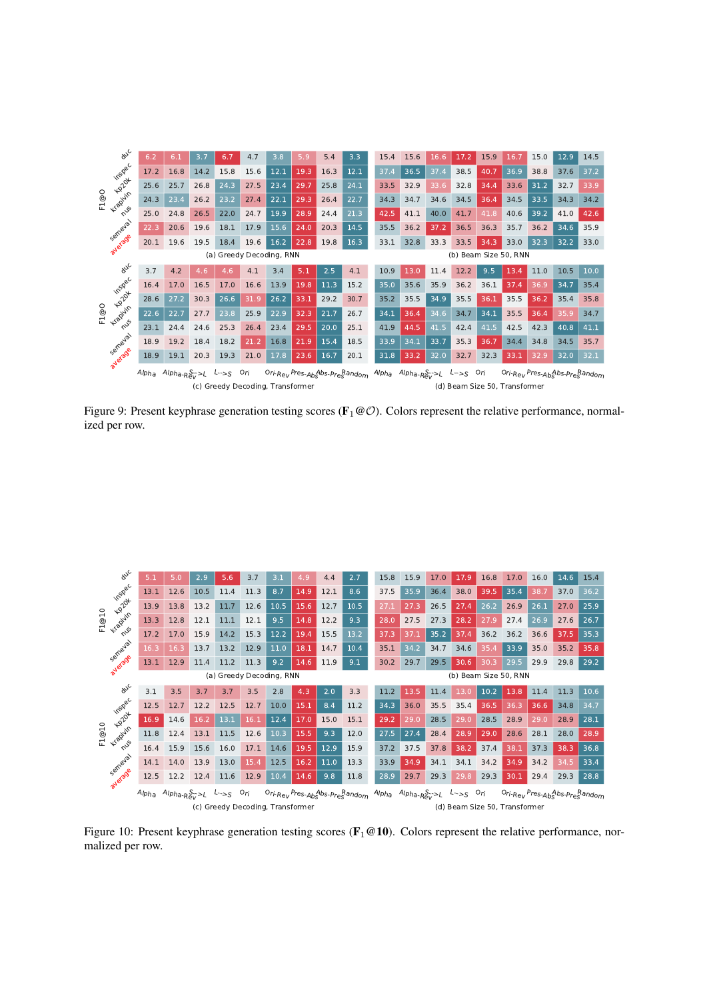<span id="page-20-0"></span>

Figure 9: Present keyphrase generation testing scores ( $\mathbf{F}_1 \otimes \mathcal{O}$ ). Colors represent the relative performance, normalized per row.

<span id="page-20-1"></span>

Figure 10: Present keyphrase generation testing scores ( $\mathbf{F}_1 \textcircled{a} 10$ ). Colors represent the relative performance, normalized per row.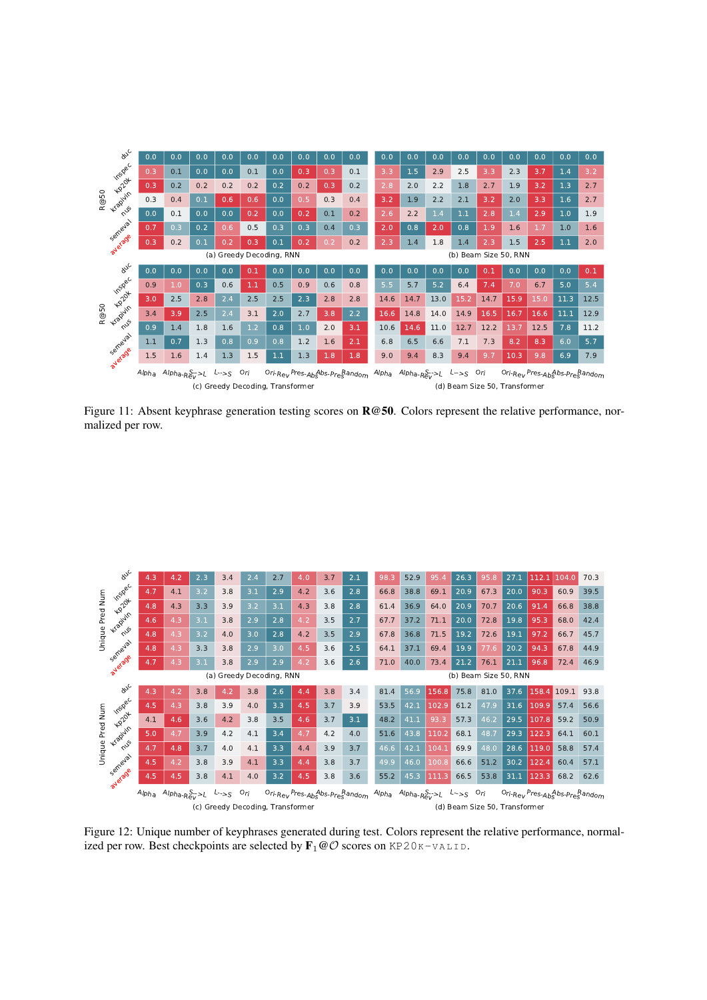<span id="page-21-1"></span>

Figure 11: Absent keyphrase generation testing scores on  $\mathbb{R} \omega$  50. Colors represent the relative performance, normalized per row.

<span id="page-21-0"></span>

Figure 12: Unique number of keyphrases generated during test. Colors represent the relative performance, normalized per row. Best checkpoints are selected by  $\mathbf{F}_1 \textcircled{O}$  scores on KP20K-VALID.